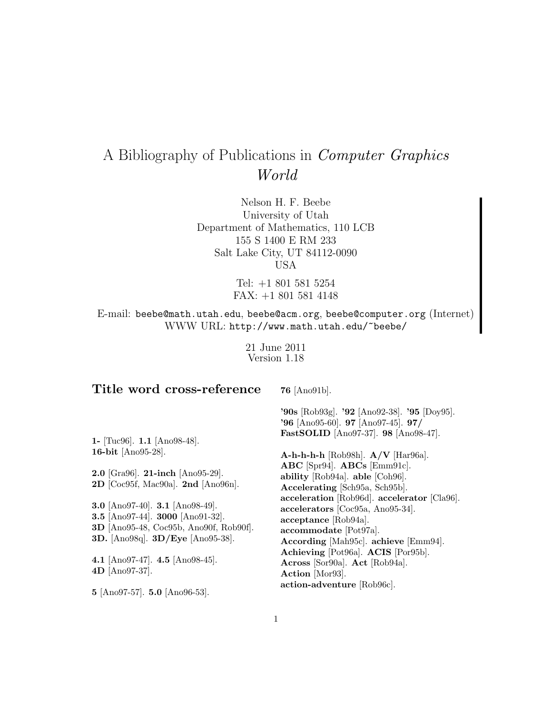# A Bibliography of Publications in Computer Graphics World

Nelson H. F. Beebe University of Utah Department of Mathematics, 110 LCB 155 S 1400 E RM 233 Salt Lake City, UT 84112-0090 USA

> Tel: +1 801 581 5254 FAX: +1 801 581 4148

E-mail: beebe@math.utah.edu, beebe@acm.org, beebe@computer.org (Internet) WWW URL: http://www.math.utah.edu/~beebe/

> 21 June 2011 Version 1.18

## **Title word cross-reference**

**76** [Ano91b].

**'90s** [Rob93g]. **'92** [Ano92-38]. **'95** [Doy95]. **'96** [Ano95-60]. **97** [Ano97-45]. **97/ FastSOLID** [Ano97-37]. **98** [Ano98-47].

**1-** [Tuc96]. **1.1** [Ano98-48]. **16-bit** [Ano95-28].

**2.0** [Gra96]. **21-inch** [Ano95-29]. **2D** [Coc95f, Mac90a]. **2nd** [Ano96n].

**3.0** [Ano97-40]. **3.1** [Ano98-49]. **3.5** [Ano97-44]. **3000** [Ano91-32]. **3D** [Ano95-48, Coc95b, Ano90f, Rob90f]. **3D.** [Ano98q]. **3D/Eye** [Ano95-38].

**4.1** [Ano97-47]. **4.5** [Ano98-45]. **4D** [Ano97-37].

**5** [Ano97-57]. **5.0** [Ano96-53].

**A-h-h-h-h** [Rob98h]. **A/V** [Har96a]. **ABC** [Spr94]. **ABCs** [Emm91c]. **ability** [Rob94a]. **able** [Coh96]. **Accelerating** [Sch95a, Sch95b]. **acceleration** [Rob96d]. **accelerator** [Cla96]. **accelerators** [Coc95a, Ano95-34]. **acceptance** [Rob94a]. **accommodate** [Pot97a]. **According** [Mah95c]. **achieve** [Emm94]. **Achieving** [Pot96a]. **ACIS** [Por95b]. **Across** [Sor90a]. **Act** [Rob94a]. **Action** [Mor93]. **action-adventure** [Rob96c].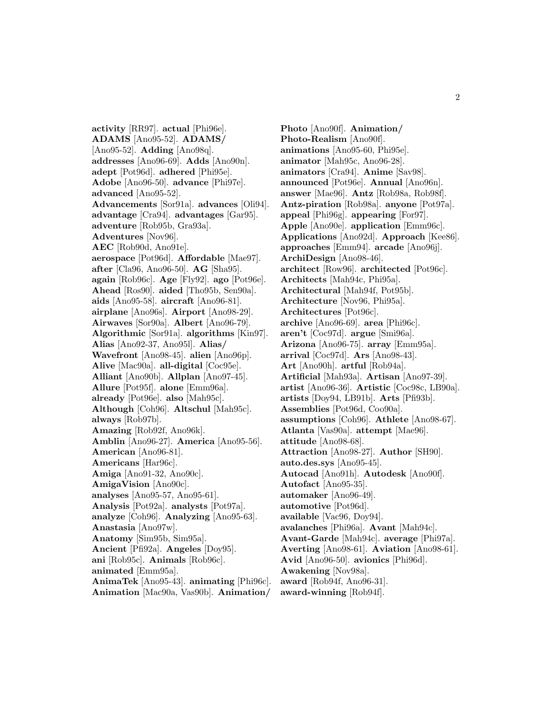**activity** [RR97]. **actual** [Phi96e]. **ADAMS** [Ano95-52]. **ADAMS/** [Ano95-52]. **Adding** [Ano98q]. **addresses** [Ano96-69]. **Adds** [Ano90n]. **adept** [Pot96d]. **adhered** [Phi95e]. **Adobe** [Ano96-50]. **advance** [Phi97e]. **advanced** [Ano95-52]. **Advancements** [Sor91a]. **advances** [Oli94]. **advantage** [Cra94]. **advantages** [Gar95]. **adventure** [Rob95b, Gra93a]. **Adventures** [Nov96]. **AEC** [Rob90d, Ano91e]. **aerospace** [Pot96d]. **Affordable** [Mae97]. **after** [Cla96, Ano96-50]. **AG** [Sha95]. **again** [Rob96c]. **Age** [Fly92]. **ago** [Pot96e]. **Ahead** [Ros90]. **aided** [Tho95b, Sen90a]. **aids** [Ano95-58]. **aircraft** [Ano96-81]. **airplane** [Ano96s]. **Airport** [Ano98-29]. **Airwaves** [Sor90a]. **Albert** [Ano96-79]. **Algorithmic** [Sor91a]. **algorithms** [Kin97]. **Alias** [Ano92-37, Ano95l]. **Alias/ Wavefront** [Ano98-45]. **alien** [Ano96p]. **Alive** [Mac90a]. **all-digital** [Coc95e]. **Alliant** [Ano90b]. **Allplan** [Ano97-45]. **Allure** [Pot95f]. **alone** [Emm96a]. **already** [Pot96e]. **also** [Mah95c]. **Although** [Coh96]. **Altschul** [Mah95c]. **always** [Rob97b]. **Amazing** [Rob92f, Ano96k]. **Amblin** [Ano96-27]. **America** [Ano95-56]. **American** [Ano96-81]. **Americans** [Har96c]. **Amiga** [Ano91-32, Ano90c]. **AmigaVision** [Ano90c]. **analyses** [Ano95-57, Ano95-61]. **Analysis** [Pot92a]. **analysts** [Pot97a]. **analyze** [Coh96]. **Analyzing** [Ano95-63]. **Anastasia** [Ano97w]. **Anatomy** [Sim95b, Sim95a]. **Ancient** [Pfi92a]. **Angeles** [Doy95]. **ani** [Rob95c]. **Animals** [Rob96c]. **animated** [Emm95a]. **AnimaTek** [Ano95-43]. **animating** [Phi96c]. **Animation** [Mac90a, Vas90b]. **Animation/**

**Photo** [Ano90f]. **Animation/ Photo-Realism** [Ano90f]. **animations** [Ano95-60, Phi95e]. **animator** [Mah95c, Ano96-28]. **animators** [Cra94]. **Anime** [Sav98]. **announced** [Pot96e]. **Annual** [Ano96n]. **answer** [Mae96]. **Antz** [Rob98a, Rob98f]. **Antz-piration** [Rob98a]. **anyone** [Pot97a]. **appeal** [Phi96g]. **appearing** [For97]. **Apple** [Ano90e]. **application** [Emm96c]. **Applications** [Ano92d]. **Approach** [Kee86]. **approaches** [Emm94]. **arcade** [Ano96j]. **ArchiDesign** [Ano98-46]. **architect** [Row96]. **architected** [Pot96c]. **Architects** [Mah94c, Phi95a]. **Architectural** [Mah94f, Pot95b]. **Architecture** [Nov96, Phi95a]. **Architectures** [Pot96c]. **archive** [Ano96-69]. **area** [Phi96c]. **aren't** [Coc97d]. **argue** [Smi96a]. **Arizona** [Ano96-75]. **array** [Emm95a]. **arrival** [Coc97d]. **Ars** [Ano98-43]. **Art** [Ano90h]. **artful** [Rob94a]. **Artificial** [Mah93a]. **Artisan** [Ano97-39]. **artist** [Ano96-36]. **Artistic** [Coc98c, LB90a]. **artists** [Doy94, LB91b]. **Arts** [Pfi93b]. **Assemblies** [Pot96d, Coo90a]. **assumptions** [Coh96]. **Athlete** [Ano98-67]. **Atlanta** [Vas90a]. **attempt** [Mae96]. **attitude** [Ano98-68]. **Attraction** [Ano98-27]. **Author** [SH90]. **auto.des.sys** [Ano95-45]. **Autocad** [Ano91h]. **Autodesk** [Ano90f]. **Autofact** [Ano95-35]. **automaker** [Ano96-49]. **automotive** [Pot96d]. **available** [Vac96, Doy94]. **avalanches** [Phi96a]. **Avant** [Mah94c]. **Avant-Garde** [Mah94c]. **average** [Phi97a]. **Averting** [Ano98-61]. **Aviation** [Ano98-61]. **Avid** [Ano96-50]. **avionics** [Phi96d]. **Awakening** [Nov98a]. **award** [Rob94f, Ano96-31]. **award-winning** [Rob94f].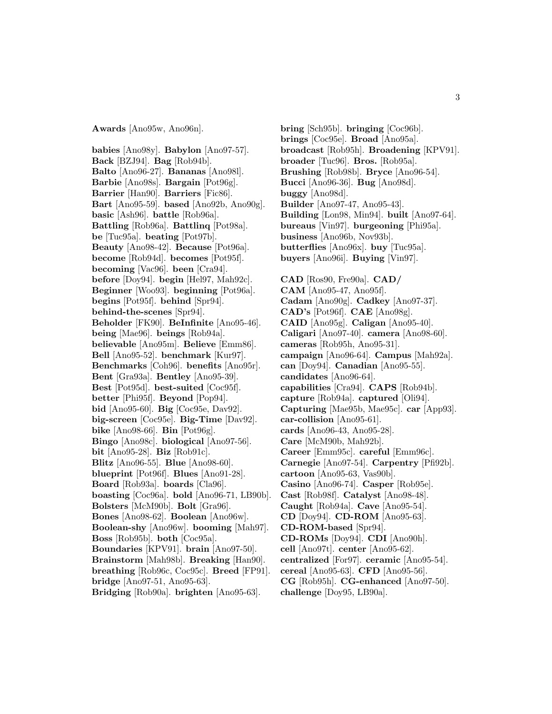**Awards** [Ano95w, Ano96n].

**babies** [Ano98y]. **Babylon** [Ano97-57]. **Back** [BZJ94]. **Bag** [Rob94b]. **Balto** [Ano96-27]. **Bananas** [Ano98l]. **Barbie** [Ano98s]. **Bargain** [Pot96g]. **Barrier** [Han90]. **Barriers** [Fic86]. **Bart** [Ano95-59]. **based** [Ano92b, Ano90g]. **basic** [Ash96]. **battle** [Rob96a]. **Battling** [Rob96a]. **Battlinq** [Pot98a]. **be** [Tuc95a]. **beating** [Pot97b]. **Beauty** [Ano98-42]. **Because** [Pot96a]. **become** [Rob94d]. **becomes** [Pot95f]. **becoming** [Vac96]. **been** [Cra94]. **before** [Doy94]. **begin** [Hel97, Mah92c]. **Beginner** [Woo93]. **beginning** [Pot96a]. **begins** [Pot95f]. **behind** [Spr94]. **behind-the-scenes** [Spr94]. **Beholder** [FK90]. **BeInfinite** [Ano95-46]. **being** [Mae96]. **beings** [Rob94a]. **believable** [Ano95m]. **Believe** [Emm86]. **Bell** [Ano95-52]. **benchmark** [Kur97]. **Benchmarks** [Coh96]. **benefits** [Ano95r]. **Bent** [Gra93a]. **Bentley** [Ano95-39]. **Best** [Pot95d]. **best-suited** [Coc95f]. **better** [Phi95f]. **Beyond** [Pop94]. **bid** [Ano95-60]. **Big** [Coc95e, Dav92]. **big-screen** [Coc95e]. **Big-Time** [Dav92]. **bike** [Ano98-66]. **Bin** [Pot96g]. **Bingo** [Ano98c]. **biological** [Ano97-56]. **bit** [Ano95-28]. **Biz** [Rob91c]. **Blitz** [Ano96-55]. **Blue** [Ano98-60]. **blueprint** [Pot96f]. **Blues** [Ano91-28]. **Board** [Rob93a]. **boards** [Cla96]. **boasting** [Coc96a]. **bold** [Ano96-71, LB90b]. **Bolsters** [McM90b]. **Bolt** [Gra96]. **Bones** [Ano98-62]. **Boolean** [Ano96w]. **Boolean-shy** [Ano96w]. **booming** [Mah97]. **Boss** [Rob95b]. **both** [Coc95a]. **Boundaries** [KPV91]. **brain** [Ano97-50]. **Brainstorm** [Mah98b]. **Breaking** [Han90]. **breathing** [Rob96c, Coc95c]. **Breed** [FP91]. **bridge** [Ano97-51, Ano95-63].

**Bridging** [Rob90a]. **brighten** [Ano95-63].

**bring** [Sch95b]. **bringing** [Coc96b]. **brings** [Coc95e]. **Broad** [Ano95a]. **broadcast** [Rob95h]. **Broadening** [KPV91]. **broader** [Tuc96]. **Bros.** [Rob95a]. **Brushing** [Rob98b]. **Bryce** [Ano96-54]. **Bucci** [Ano96-36]. **Bug** [Ano98d]. **buggy** [Ano98d]. **Builder** [Ano97-47, Ano95-43]. **Building** [Lon98, Min94]. **built** [Ano97-64]. **bureaus** [Vin97]. **burgeoning** [Phi95a]. **business** [Ano96b, Nov93b]. **butterflies** [Ano96x]. **buy** [Tuc95a]. **buyers** [Ano96i]. **Buying** [Vin97]. **CAD** [Ros90, Fre90a]. **CAD/ CAM** [Ano95-47, Ano95f]. **Cadam** [Ano90g]. **Cadkey** [Ano97-37]. **CAD's** [Pot96f]. **CAE** [Ano98g]. **CAID** [Ano95g]. **Caligan** [Ano95-40].

**Caligari** [Ano97-40]. **camera** [Ano98-60]. **cameras** [Rob95h, Ano95-31]. **campaign** [Ano96-64]. **Campus** [Mah92a]. **can** [Doy94]. **Canadian** [Ano95-55]. **candidates** [Ano96-64]. **capabilities** [Cra94]. **CAPS** [Rob94b]. **capture** [Rob94a]. **captured** [Oli94]. **Capturing** [Mae95b, Mae95c]. **car** [App93]. **car-collision** [Ano95-61]. **cards** [Ano96-43, Ano95-28]. **Care** [McM90b, Mah92b]. **Career** [Emm95c]. **careful** [Emm96c].

**Carnegie** [Ano97-54]. **Carpentry** [Pfi92b].

**cartoon** [Ano95-63, Vas90b].

**Casino** [Ano96-74]. **Casper** [Rob95e].

**Cast** [Rob98f]. **Catalyst** [Ano98-48].

**Caught** [Rob94a]. **Cave** [Ano95-54].

**CD** [Doy94]. **CD-ROM** [Ano95-63].

**CD-ROM-based** [Spr94].

**CD-ROMs** [Doy94]. **CDI** [Ano90h].

**cell** [Ano97t]. **center** [Ano95-62].

**centralized** [For97]. **ceramic** [Ano95-54].

**cereal** [Ano95-63]. **CFD** [Ano95-56].

**CG** [Rob95h]. **CG-enhanced** [Ano97-50]. **challenge** [Doy95, LB90a].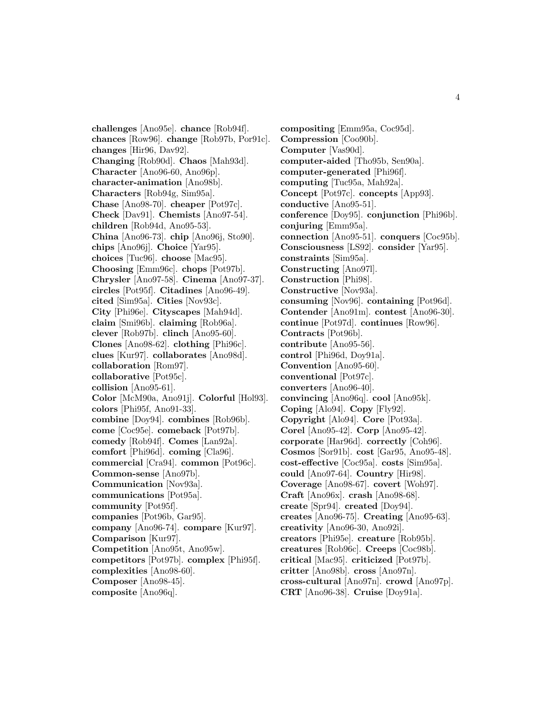**challenges** [Ano95e]. **chance** [Rob94f]. **chances** [Row96]. **change** [Rob97b, Por91c]. **changes** [Hir96, Dav92]. **Changing** [Rob90d]. **Chaos** [Mah93d]. **Character** [Ano96-60, Ano96p]. **character-animation** [Ano98b]. **Characters** [Rob94g, Sim95a]. **Chase** [Ano98-70]. **cheaper** [Pot97c]. **Check** [Dav91]. **Chemists** [Ano97-54]. **children** [Rob94d, Ano95-53]. **China** [Ano96-73]. **chip** [Ano96j, Sto90]. **chips** [Ano96j]. **Choice** [Yar95]. **choices** [Tuc96]. **choose** [Mac95]. **Choosing** [Emm96c]. **chops** [Pot97b]. **Chrysler** [Ano97-58]. **Cinema** [Ano97-37]. **circles** [Pot95f]. **Citadines** [Ano96-49]. **cited** [Sim95a]. **Cities** [Nov93c]. **City** [Phi96e]. **Cityscapes** [Mah94d]. **claim** [Smi96b]. **claiming** [Rob96a]. **clever** [Rob97b]. **clinch** [Ano95-60]. **Clones** [Ano98-62]. **clothing** [Phi96c]. **clues** [Kur97]. **collaborates** [Ano98d]. **collaboration** [Rom97]. **collaborative** [Pot95c]. **collision** [Ano95-61]. **Color** [McM90a, Ano91j]. **Colorful** [Hol93]. **colors** [Phi95f, Ano91-33]. **combine** [Doy94]. **combines** [Rob96b]. **come** [Coc95e]. **comeback** [Pot97b]. **comedy** [Rob94f]. **Comes** [Lan92a]. **comfort** [Phi96d]. **coming** [Cla96]. **commercial** [Cra94]. **common** [Pot96c]. **Common-sense** [Ano97b]. **Communication** [Nov93a]. **communications** [Pot95a]. **community** [Pot95f]. **companies** [Pot96b, Gar95]. **company** [Ano96-74]. **compare** [Kur97]. **Comparison** [Kur97]. **Competition** [Ano95t, Ano95w]. **competitors** [Pot97b]. **complex** [Phi95f]. **complexities** [Ano98-60]. **Composer** [Ano98-45]. **composite** [Ano96q].

**compositing** [Emm95a, Coc95d]. **Compression** [Coo90b]. **Computer** [Vas90d]. **computer-aided** [Tho95b, Sen90a]. **computer-generated** [Phi96f]. **computing** [Tuc95a, Mah92a]. **Concept** [Pot97c]. **concepts** [App93]. **conductive** [Ano95-51]. **conference** [Doy95]. **conjunction** [Phi96b]. **conjuring** [Emm95a]. **connection** [Ano95-51]. **conquers** [Coc95b]. **Consciousness** [LS92]. **consider** [Yar95]. **constraints** [Sim95a]. **Constructing** [Ano97l]. **Construction** [Phi98]. **Constructive** [Nov93a]. **consuming** [Nov96]. **containing** [Pot96d]. **Contender** [Ano91m]. **contest** [Ano96-30]. **continue** [Pot97d]. **continues** [Row96]. **Contracts** [Pot96b]. **contribute** [Ano95-56]. **control** [Phi96d, Doy91a]. **Convention** [Ano95-60]. **conventional** [Pot97c]. **converters** [Ano96-40]. **convincing** [Ano96q]. **cool** [Ano95k]. **Coping** [Alo94]. **Copy** [Fly92]. **Copyright** [Alo94]. **Core** [Pot93a]. **Corel** [Ano95-42]. **Corp** [Ano95-42]. **corporate** [Har96d]. **correctly** [Coh96]. **Cosmos** [Sor91b]. **cost** [Gar95, Ano95-48]. **cost-effective** [Coc95a]. **costs** [Sim95a]. **could** [Ano97-64]. **Country** [Hir98]. **Coverage** [Ano98-67]. **covert** [Woh97]. **Craft** [Ano96x]. **crash** [Ano98-68]. **create** [Spr94]. **created** [Doy94]. **creates** [Ano96-75]. **Creating** [Ano95-63]. **creativity** [Ano96-30, Ano92i]. **creators** [Phi95e]. **creature** [Rob95b]. **creatures** [Rob96c]. **Creeps** [Coc98b]. **critical** [Mac95]. **criticized** [Pot97b]. **critter** [Ano98b]. **cross** [Ano97n]. **cross-cultural** [Ano97n]. **crowd** [Ano97p]. **CRT** [Ano96-38]. **Cruise** [Doy91a].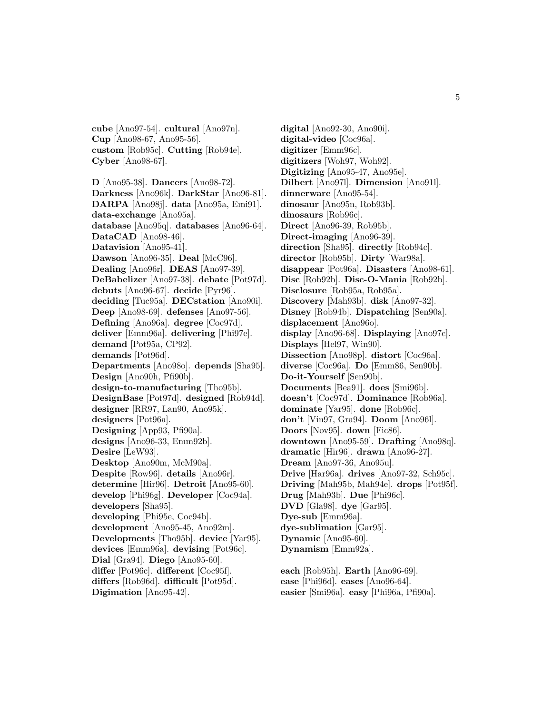**cube** [Ano97-54]. **cultural** [Ano97n]. **Cup** [Ano98-67, Ano95-56]. **custom** [Rob95c]. **Cutting** [Rob94e]. **Cyber** [Ano98-67].

**D** [Ano95-38]. **Dancers** [Ano98-72]. **Darkness** [Ano96k]. **DarkStar** [Ano96-81]. **DARPA** [Ano98j]. **data** [Ano95a, Emi91]. **data-exchange** [Ano95a]. **database** [Ano95q]. **databases** [Ano96-64]. **DataCAD** [Ano98-46]. **Datavision** [Ano95-41]. **Dawson** [Ano96-35]. **Deal** [McC96]. **Dealing** [Ano96r]. **DEAS** [Ano97-39]. **DeBabelizer** [Ano97-38]. **debate** [Pot97d]. **debuts** [Ano96-67]. **decide** [Pyr96]. **deciding** [Tuc95a]. **DECstation** [Ano90i]. **Deep** [Ano98-69]. **defenses** [Ano97-56]. **Defining** [Ano96a]. **degree** [Coc97d]. **deliver** [Emm96a]. **delivering** [Phi97e]. **demand** [Pot95a, CP92]. **demands** [Pot96d]. **Departments** [Ano98o]. **depends** [Sha95]. **Design** [Ano90h, Pfi90b]. **design-to-manufacturing** [Tho95b]. **DesignBase** [Pot97d]. **designed** [Rob94d]. **designer** [RR97, Lan90, Ano95k]. **designers** [Pot96a]. **Designing** [App93, Pfi90a]. **designs** [Ano96-33, Emm92b]. **Desire** [LeW93]. **Desktop** [Ano90m, McM90a]. **Despite** [Row96]. **details** [Ano96r]. **determine** [Hir96]. **Detroit** [Ano95-60]. **develop** [Phi96g]. **Developer** [Coc94a]. **developers** [Sha95]. **developing** [Phi95e, Coc94b]. **development** [Ano95-45, Ano92m]. **Developments** [Tho95b]. **device** [Yar95]. **devices** [Emm96a]. **devising** [Pot96c]. **Dial** [Gra94]. **Diego** [Ano95-60]. **differ** [Pot96c]. **different** [Coc95f]. **differs** [Rob96d]. **difficult** [Pot95d].

**Digimation** [Ano95-42].

**digital** [Ano92-30, Ano90i]. **digital-video** [Coc96a]. **digitizer** [Emm96c]. **digitizers** [Woh97, Woh92]. **Digitizing** [Ano95-47, Ano95e]. **Dilbert** [Ano97l]. **Dimension** [Ano91l]. **dinnerware** [Ano95-54]. **dinosaur** [Ano95n, Rob93b]. **dinosaurs** [Rob96c]. **Direct** [Ano96-39, Rob95b]. **Direct-imaging** [Ano96-39]. **direction** [Sha95]. **directly** [Rob94c]. **director** [Rob95b]. **Dirty** [War98a]. **disappear** [Pot96a]. **Disasters** [Ano98-61]. **Disc** [Rob92b]. **Disc-O-Mania** [Rob92b]. **Disclosure** [Rob95a, Rob95a]. **Discovery** [Mah93b]. **disk** [Ano97-32]. **Disney** [Rob94b]. **Dispatching** [Sen90a]. **displacement** [Ano96o]. **display** [Ano96-68]. **Displaying** [Ano97c]. **Displays** [Hel97, Win90]. **Dissection** [Ano98p]. **distort** [Coc96a]. **diverse** [Coc96a]. **Do** [Emm86, Sen90b]. **Do-it-Yourself** [Sen90b]. **Documents** [Bea91]. **does** [Smi96b]. **doesn't** [Coc97d]. **Dominance** [Rob96a]. **dominate** [Yar95]. **done** [Rob96c]. **don't** [Vin97, Gra94]. **Doom** [Ano96l]. **Doors** [Nov95]. **down** [Fic86]. **downtown** [Ano95-59]. **Drafting** [Ano98q]. **dramatic** [Hir96]. **drawn** [Ano96-27]. **Dream** [Ano97-36, Ano95u]. **Drive** [Har96a]. **drives** [Ano97-32, Sch95c]. **Driving** [Mah95b, Mah94e]. **drops** [Pot95f]. **Drug** [Mah93b]. **Due** [Phi96c]. **DVD** [Gla98]. **dye** [Gar95]. **Dye-sub** [Emm96a]. **dye-sublimation** [Gar95]. **Dynamic** [Ano95-60]. **Dynamism** [Emm92a]. **each** [Rob95h]. **Earth** [Ano96-69].

**ease** [Phi96d]. **eases** [Ano96-64]. **easier** [Smi96a]. **easy** [Phi96a, Pfi90a].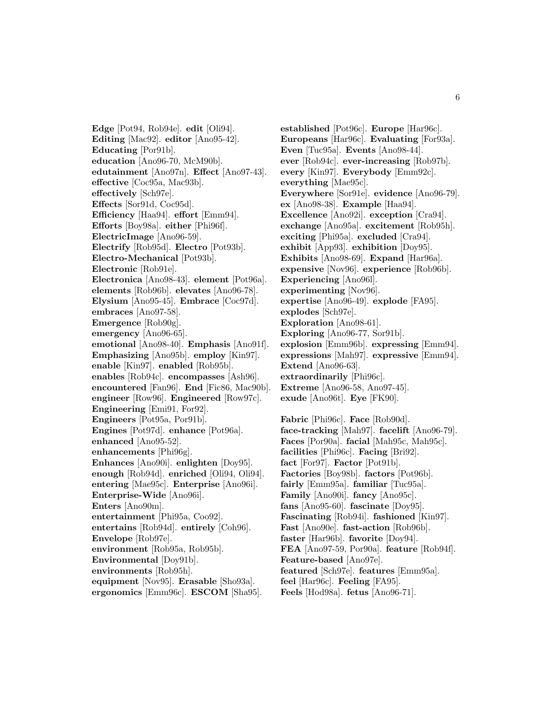**Edge** [Pot94, Rob94e]. **edit** [Oli94]. **Editing** [Mac92]. **editor** [Ano95-42]. **Educating** [Por91b]. **education** [Ano96-70, McM90b]. **edutainment** [Ano97n]. **Effect** [Ano97-43]. **effective** [Coc95a, Mac93b]. **effectively** [Sch97e]. **Effects** [Sor91d, Coc95d]. **Efficiency** [Haa94]. **effort** [Emm94]. **Efforts** [Boy98a]. **either** [Phi96f]. **ElectricImage** [Ano96-59]. **Electrify** [Rob95d]. **Electro** [Pot93b]. **Electro-Mechanical** [Pot93b]. **Electronic** [Rob91e]. **Electronica** [Ano98-43]. **element** [Pot96a]. **elements** [Rob96b]. **elevates** [Ano96-78]. **Elysium** [Ano95-45]. **Embrace** [Coc97d]. **embraces** [Ano97-58]. **Emergence** [Rob90g]. **emergency** [Ano96-65]. **emotional** [Ano98-40]. **Emphasis** [Ano91f]. **Emphasizing** [Ano95b]. **employ** [Kin97]. **enable** [Kin97]. **enabled** [Rob95b]. **enables** [Rob94c]. **encompasses** [Ash96]. **encountered** [Fan96]. **End** [Fic86, Mac90b]. **engineer** [Row96]. **Engineered** [Row97c]. **Engineering** [Emi91, For92]. **Engineers** [Pot95a, Por91b]. **Engines** [Pot97d]. **enhance** [Pot96a]. **enhanced** [Ano95-52]. **enhancements** [Phi96g]. **Enhances** [Ano90i]. **enlighten** [Doy95]. **enough** [Rob94d]. **enriched** [Oli94, Oli94]. **entering** [Mae95c]. **Enterprise** [Ano96i]. **Enterprise-Wide** [Ano96i]. **Enters** [Ano90m]. **entertainment** [Phi95a, Coo92]. **entertains** [Rob94d]. **entirely** [Coh96]. **Envelope** [Rob97e]. **environment** [Rob95a, Rob95b]. **Environmental** [Doy91b]. **environments** [Rob95h]. **equipment** [Nov95]. **Erasable** [Sho93a]. **ergonomics** [Emm96c]. **ESCOM** [Sha95].

**established** [Pot96c]. **Europe** [Har96c]. **Europeans** [Har96c]. **Evaluating** [For93a]. **Even** [Tuc95a]. **Events** [Ano98-44]. **ever** [Rob94c]. **ever-increasing** [Rob97b]. **every** [Kin97]. **Everybody** [Emm92c]. **everything** [Mae95c]. **Everywhere** [Sor91e]. **evidence** [Ano96-79]. **ex** [Ano98-38]. **Example** [Haa94]. **Excellence** [Ano92i]. **exception** [Cra94]. **exchange** [Ano95a]. **excitement** [Rob95h]. **exciting** [Phi95a]. **excluded** [Cra94]. **exhibit** [App93]. **exhibition** [Doy95]. **Exhibits** [Ano98-69]. **Expand** [Har96a]. **expensive** [Nov96]. **experience** [Rob96b]. **Experiencing** [Ano96l]. **experimenting** [Nov96]. **expertise** [Ano96-49]. **explode** [FA95]. **explodes** [Sch97e]. **Exploration** [Ano98-61]. **Exploring** [Ano96-77, Sor91b]. **explosion** [Emm96b]. **expressing** [Emm94]. **expressions** [Mah97]. **expressive** [Emm94]. **Extend** [Ano96-63]. **extraordinarily** [Phi96c]. **Extreme** [Ano96-58, Ano97-45]. **exude** [Ano96t]. **Eye** [FK90].

**Fabric** [Phi96c]. **Face** [Rob90d]. **face-tracking** [Mah97]. **facelift** [Ano96-79]. **Faces** [Por90a]. **facial** [Mah95c, Mah95c]. **facilities** [Phi96c]. **Facing** [Bri92]. **fact** [For97]. **Factor** [Pot91b]. **Factories** [Boy98b]. **factors** [Pot96b]. **fairly** [Emm95a]. **familiar** [Tuc95a]. **Family** [Ano90i]. **fancy** [Ano95c]. **fans** [Ano95-60]. **fascinate** [Doy95]. **Fascinating** [Rob94i]. **fashioned** [Kin97]. **Fast** [Ano90e]. **fast-action** [Rob96b]. **faster** [Har96b]. **favorite** [Doy94]. **FEA** [Ano97-59, Por90a]. **feature** [Rob94f]. **Feature-based** [Ano97e]. **featured** [Sch97e]. **features** [Emm95a]. **feel** [Har96c]. **Feeling** [FA95]. **Feels** [Hod98a]. **fetus** [Ano96-71].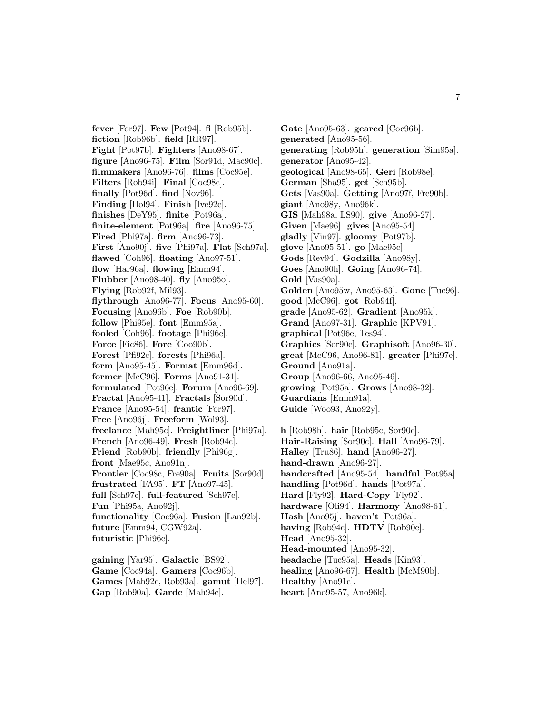**fever** [For97]. **Few** [Pot94]. **fi** [Rob95b]. **fiction** [Rob96b]. **field** [RR97]. **Fight** [Pot97b]. **Fighters** [Ano98-67]. **figure** [Ano96-75]. **Film** [Sor91d, Mac90c]. **filmmakers** [Ano96-76]. **films** [Coc95e]. **Filters** [Rob94i]. **Final** [Coc98c]. **finally** [Pot96d]. **find** [Nov96]. **Finding** [Hol94]. **Finish** [Ive92c]. **finishes** [DeY95]. **finite** [Pot96a]. **finite-element** [Pot96a]. **fire** [Ano96-75]. **Fired** [Phi97a]. **firm** [Ano96-73]. **First** [Ano90j]. **five** [Phi97a]. **Flat** [Sch97a]. **flawed** [Coh96]. **floating** [Ano97-51]. **flow** [Har96a]. **flowing** [Emm94]. **Flubber** [Ano98-40]. **fly** [Ano95o]. **Flying** [Rob92f, Mil93]. **flythrough** [Ano96-77]. **Focus** [Ano95-60]. **Focusing** [Ano96b]. **Foe** [Rob90b]. **follow** [Phi95e]. **font** [Emm95a]. **fooled** [Coh96]. **footage** [Phi96e]. **Force** [Fic86]. **Fore** [Coo90b]. **Forest** [Pfi92c]. **forests** [Phi96a]. **form** [Ano95-45]. **Format** [Emm96d]. **former** [McC96]. **Forms** [Ano91-31]. **formulated** [Pot96e]. **Forum** [Ano96-69]. **Fractal** [Ano95-41]. **Fractals** [Sor90d]. **France** [Ano95-54]. **frantic** [For97]. **Free** [Ano96j]. **Freeform** [Wol93]. **freelance** [Mah95c]. **Freightliner** [Phi97a]. **French** [Ano96-49]. **Fresh** [Rob94c]. **Friend** [Rob90b]. **friendly** [Phi96g]. **front** [Mae95c, Ano91n]. **Frontier** [Coc98c, Fre90a]. **Fruits** [Sor90d]. **frustrated** [FA95]. **FT** [Ano97-45]. **full** [Sch97e]. **full-featured** [Sch97e]. **Fun** [Phi95a, Ano92j]. **functionality** [Coc96a]. **Fusion** [Lan92b]. **future** [Emm94, CGW92a]. **futuristic** [Phi96e]. **gaining** [Yar95]. **Galactic** [BS92].

**Game** [Coc94a]. **Gamers** [Coc96b]. **Games** [Mah92c, Rob93a]. **gamut** [Hel97]. **Gap** [Rob90a]. **Garde** [Mah94c].

**Gate** [Ano95-63]. **geared** [Coc96b]. **generated** [Ano95-56]. **generating** [Rob95h]. **generation** [Sim95a]. **generator** [Ano95-42]. **geological** [Ano98-65]. **Geri** [Rob98e]. **German** [Sha95]. **get** [Sch95b]. **Gets** [Vas90a]. **Getting** [Ano97f, Fre90b]. **giant** [Ano98y, Ano96k]. **GIS** [Mah98a, LS90]. **give** [Ano96-27]. **Given** [Mae96]. **gives** [Ano95-54]. **gladly** [Vin97]. **gloomy** [Pot97b]. **glove** [Ano95-51]. **go** [Mae95c]. **Gods** [Rev94]. **Godzilla** [Ano98y]. **Goes** [Ano90h]. **Going** [Ano96-74]. **Gold** [Vas90a]. **Golden** [Ano95w, Ano95-63]. **Gone** [Tuc96]. **good** [McC96]. **got** [Rob94f]. **grade** [Ano95-62]. **Gradient** [Ano95k]. **Grand** [Ano97-31]. **Graphic** [KPV91]. **graphical** [Pot96e, Tes94]. **Graphics** [Sor90c]. **Graphisoft** [Ano96-30]. **great** [McC96, Ano96-81]. **greater** [Phi97e]. **Ground** [Ano91a]. **Group** [Ano96-66, Ano95-46]. **growing** [Pot95a]. **Grows** [Ano98-32]. **Guardians** [Emm91a]. **Guide** [Woo93, Ano92y]. **h** [Rob98h]. **hair** [Rob95c, Sor90c]. **Hair-Raising** [Sor90c]. **Hall** [Ano96-79]. **Halley** [Tru86]. **hand** [Ano96-27]. **hand-drawn** [Ano96-27]. **handcrafted** [Ano95-54]. **handful** [Pot95a]. **handling** [Pot96d]. **hands** [Pot97a]. **Hard** [Fly92]. **Hard-Copy** [Fly92]. **hardware** [Oli94]. **Harmony** [Ano98-61]. **Hash** [Ano95j]. **haven't** [Pot96a]. **having** [Rob94c]. **HDTV** [Rob90e]. **Head** [Ano95-32]. **Head-mounted** [Ano95-32]. **headache** [Tuc95a]. **Heads** [Kin93]. **healing** [Ano96-67]. **Health** [McM90b].

**Healthy** [Ano91c].

**heart** [Ano95-57, Ano96k].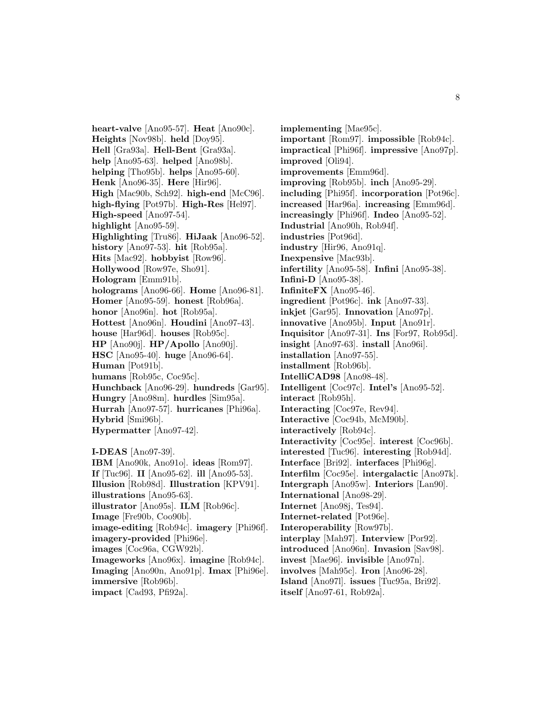**heart-valve** [Ano95-57]. **Heat** [Ano90c]. **Heights** [Nov98b]. **held** [Doy95]. **Hell** [Gra93a]. **Hell-Bent** [Gra93a]. **help** [Ano95-63]. **helped** [Ano98b]. **helping** [Tho95b]. **helps** [Ano95-60]. **Henk** [Ano96-35]. **Here** [Hir96]. **High** [Mac90b, Sch92]. **high-end** [McC96]. **high-flying** [Pot97b]. **High-Res** [Hel97]. **High-speed** [Ano97-54]. **highlight** [Ano95-59]. **Highlighting** [Tru86]. **HiJaak** [Ano96-52]. **history** [Ano97-53]. **hit** [Rob95a]. **Hits** [Mac92]. **hobbyist** [Row96]. **Hollywood** [Row97e, Sho91]. **Hologram** [Emm91b]. **holograms** [Ano96-66]. **Home** [Ano96-81]. **Homer** [Ano95-59]. **honest** [Rob96a]. **honor** [Ano96n]. **hot** [Rob95a]. **Hottest** [Ano96n]. **Houdini** [Ano97-43]. **house** [Har96d]. **houses** [Rob95c]. **HP** [Ano90j]. **HP/Apollo** [Ano90j]. **HSC** [Ano95-40]. **huge** [Ano96-64]. **Human** [Pot91b]. **humans** [Rob95c, Coc95c]. **Hunchback** [Ano96-29]. **hundreds** [Gar95]. **Hungry** [Ano98m]. **hurdles** [Sim95a]. **Hurrah** [Ano97-57]. **hurricanes** [Phi96a]. **Hybrid** [Smi96b]. **Hypermatter** [Ano97-42]. **I-DEAS** [Ano97-39]. **IBM** [Ano90k, Ano91o]. **ideas** [Rom97].

**If** [Tuc96]. **II** [Ano95-62]. **ill** [Ano95-53]. **Illusion** [Rob98d]. **Illustration** [KPV91]. **illustrations** [Ano95-63]. **illustrator** [Ano95s]. **ILM** [Rob96c]. **Image** [Fre90b, Coo90b]. **image-editing** [Rob94c]. **imagery** [Phi96f]. **imagery-provided** [Phi96e]. **images** [Coc96a, CGW92b]. **Imageworks** [Ano96x]. **imagine** [Rob94c]. **Imaging** [Ano90n, Ano91p]. **Imax** [Phi96e]. **immersive** [Rob96b]. **impact** [Cad93, Pfi92a].

**implementing** [Mae95c]. **important** [Rom97]. **impossible** [Rob94c]. **impractical** [Phi96f]. **impressive** [Ano97p]. **improved** [Oli94]. **improvements** [Emm96d]. **improving** [Rob95b]. **inch** [Ano95-29]. **including** [Phi95f]. **incorporation** [Pot96c]. **increased** [Har96a]. **increasing** [Emm96d]. **increasingly** [Phi96f]. **Indeo** [Ano95-52]. **Industrial** [Ano90h, Rob94f]. **industries** [Pot96d]. **industry** [Hir96, Ano91q]. **Inexpensive** [Mac93b]. **infertility** [Ano95-58]. **Infini** [Ano95-38]. **Infini-D** [Ano95-38]. **InfiniteFX** [Ano95-46]. **ingredient** [Pot96c]. **ink** [Ano97-33]. **inkjet** [Gar95]. **Innovation** [Ano97p]. **innovative** [Ano95b]. **Input** [Ano91r]. **Inquisitor** [Ano97-31]. **Ins** [For97, Rob95d]. **insight** [Ano97-63]. **install** [Ano96i]. **installation** [Ano97-55]. **installment** [Rob96b]. **IntelliCAD98** [Ano98-48]. **Intelligent** [Coc97c]. **Intel's** [Ano95-52]. **interact** [Rob95h]. **Interacting** [Coc97e, Rev94]. **Interactive** [Coc94b, McM90b]. **interactively** [Rob94c]. **Interactivity** [Coc95e]. **interest** [Coc96b]. **interested** [Tuc96]. **interesting** [Rob94d]. **Interface** [Bri92]. **interfaces** [Phi96g]. **Interfilm** [Coc95e]. **intergalactic** [Ano97k]. **Intergraph** [Ano95w]. **Interiors** [Lan90]. **International** [Ano98-29]. **Internet** [Ano98j, Tes94]. **Internet-related** [Pot96e]. **Interoperability** [Row97b]. **interplay** [Mah97]. **Interview** [Por92]. **introduced** [Ano96n]. **Invasion** [Sav98]. **invest** [Mae96]. **invisible** [Ano97n]. **involves** [Mah95c]. **Iron** [Ano96-28]. **Island** [Ano97l]. **issues** [Tuc95a, Bri92].

**itself** [Ano97-61, Rob92a].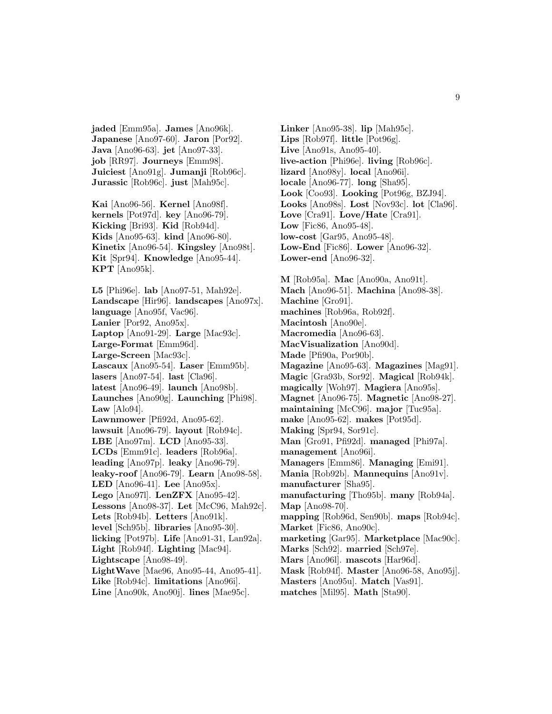**jaded** [Emm95a]. **James** [Ano96k]. **Japanese** [Ano97-60]. **Jaron** [Por92]. **Java** [Ano96-63]. **jet** [Ano97-33]. **job** [RR97]. **Journeys** [Emm98]. **Juiciest** [Ano91g]. **Jumanji** [Rob96c]. **Jurassic** [Rob96c]. **just** [Mah95c].

**Kai** [Ano96-56]. **Kernel** [Ano98f]. **kernels** [Pot97d]. **key** [Ano96-79]. **Kicking** [Bri93]. **Kid** [Rob94d]. **Kids** [Ano95-63]. **kind** [Ano96-80]. **Kinetix** [Ano96-54]. **Kingsley** [Ano98t]. **Kit** [Spr94]. **Knowledge** [Ano95-44]. **KPT** [Ano95k].

**L5** [Phi96e]. **lab** [Ano97-51, Mah92e]. **Landscape** [Hir96]. **landscapes** [Ano97x]. **language** [Ano95f, Vac96]. **Lanier** [Por92, Ano95x]. **Laptop** [Ano91-29]. **Large** [Mac93c]. **Large-Format** [Emm96d]. **Large-Screen** [Mac93c]. **Lascaux** [Ano95-54]. **Laser** [Emm95b]. **lasers** [Ano97-54]. **last** [Cla96]. **latest** [Ano96-49]. **launch** [Ano98b]. **Launches** [Ano90g]. **Launching** [Phi98]. **Law** [Alo94]. **Lawnmower** [Pfi92d, Ano95-62]. **lawsuit** [Ano96-79]. **layout** [Rob94c]. **LBE** [Ano97m]. **LCD** [Ano95-33]. **LCDs** [Emm91c]. **leaders** [Rob96a]. **leading** [Ano97p]. **leaky** [Ano96-79]. **leaky-roof** [Ano96-79]. **Learn** [Ano98-58]. **LED** [Ano96-41]. **Lee** [Ano95x]. **Lego** [Ano97l]. **LenZFX** [Ano95-42]. **Lessons** [Ano98-37]. **Let** [McC96, Mah92c]. **Lets** [Rob94b]. **Letters** [Ano91k]. **level** [Sch95b]. **libraries** [Ano95-30]. **licking** [Pot97b]. **Life** [Ano91-31, Lan92a]. **Light** [Rob94f]. **Lighting** [Mac94]. **Lightscape** [Ano98-49]. **LightWave** [Mae96, Ano95-44, Ano95-41]. **Like** [Rob94c]. **limitations** [Ano96i]. **Line** [Ano90k, Ano90j]. **lines** [Mae95c].

**Linker** [Ano95-38]. **lip** [Mah95c]. **Lips** [Rob97f]. **little** [Pot96g]. **Live** [Ano91s, Ano95-40]. **live-action** [Phi96e]. **living** [Rob96c]. **lizard** [Ano98y]. **local** [Ano96i]. **locale** [Ano96-77]. **long** [Sha95]. **Look** [Coo93]. **Looking** [Pot96g, BZJ94]. **Looks** [Ano98s]. **Lost** [Nov93c]. **lot** [Cla96]. **Love** [Cra91]. **Love/Hate** [Cra91]. **Low** [Fic86, Ano95-48]. **low-cost** [Gar95, Ano95-48]. **Low-End** [Fic86]. **Lower** [Ano96-32]. **Lower-end** [Ano96-32]. **M** [Rob95a]. **Mac** [Ano90a, Ano91t]. **Mach** [Ano96-51]. **Machina** [Ano98-38]. **Machine** [Gro91]. **machines** [Rob96a, Rob92f].

**Macintosh** [Ano90e].

**Macromedia** [Ano96-63]. **MacVisualization** [Ano90d].

**Made** [Pfi90a, Por90b].

**Magazine** [Ano95-63]. **Magazines** [Mag91]. **Magic** [Gra93b, Sor92]. **Magical** [Rob94k].

**magically** [Woh97]. **Magiera** [Ano95s]. **Magnet** [Ano96-75]. **Magnetic** [Ano98-27].

**maintaining** [McC96]. **major** [Tuc95a].

**make** [Ano95-62]. **makes** [Pot95d].

**Making** [Spr94, Sor91c].

**Man** [Gro91, Pfi92d]. **managed** [Phi97a]. **management** [Ano96i].

**Managers** [Emm86]. **Managing** [Emi91]. **Mania** [Rob92b]. **Mannequins** [Ano91v].

**manufacturer** [Sha95].

**manufacturing** [Tho95b]. **many** [Rob94a]. **Map** [Ano98-70].

**mapping** [Rob96d, Sen90b]. **maps** [Rob94c]. **Market** [Fic86, Ano90c].

**marketing** [Gar95]. **Marketplace** [Mac90c]. **Marks** [Sch92]. **married** [Sch97e].

**Mars** [Ano96l]. **mascots** [Har96d].

**Mask** [Rob94f]. **Master** [Ano96-58, Ano95j].

- **Masters** [Ano95u]. **Match** [Vas91].
- **matches** [Mil95]. **Math** [Sta90].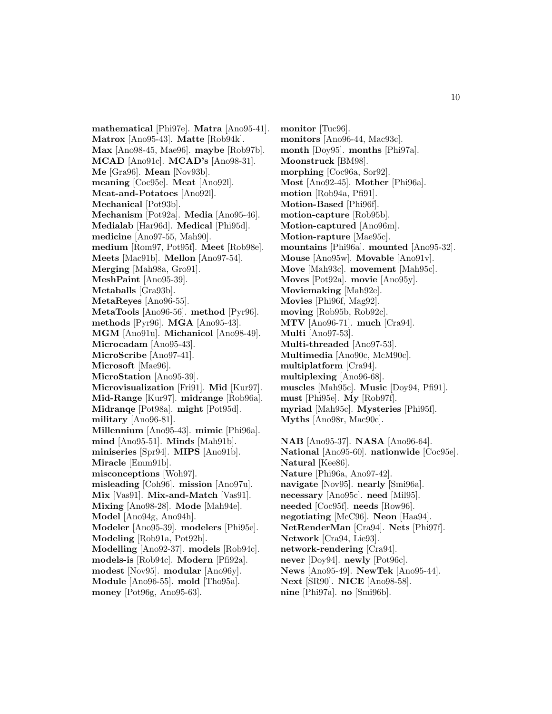**mathematical** [Phi97e]. **Matra** [Ano95-41]. **Matrox** [Ano95-43]. **Matte** [Rob94k]. **Max** [Ano98-45, Mae96]. **maybe** [Rob97b]. **MCAD** [Ano91c]. **MCAD's** [Ano98-31]. **Me** [Gra96]. **Mean** [Nov93b]. **meaning** [Coc95e]. **Meat** [Ano92l]. **Meat-and-Potatoes** [Ano92l]. **Mechanical** [Pot93b]. **Mechanism** [Pot92a]. **Media** [Ano95-46]. **Medialab** [Har96d]. **Medical** [Phi95d]. **medicine** [Ano97-55, Mah90]. **medium** [Rom97, Pot95f]. **Meet** [Rob98e]. **Meets** [Mac91b]. **Mellon** [Ano97-54]. **Merging** [Mah98a, Gro91]. **MeshPaint** [Ano95-39]. **Metaballs** [Gra93b]. **MetaReyes** [Ano96-55]. **MetaTools** [Ano96-56]. **method** [Pyr96]. **methods** [Pyr96]. **MGA** [Ano95-43]. **MGM** [Ano91u]. **Michanicol** [Ano98-49]. **Microcadam** [Ano95-43]. **MicroScribe** [Ano97-41]. **Microsoft** [Mae96]. **MicroStation** [Ano95-39]. **Microvisualization** [Fri91]. **Mid** [Kur97]. **Mid-Range** [Kur97]. **midrange** [Rob96a]. **Midranqe** [Pot98a]. **might** [Pot95d]. **military** [Ano96-81]. **Millennium** [Ano95-43]. **mimic** [Phi96a]. **mind** [Ano95-51]. **Minds** [Mah91b]. **miniseries** [Spr94]. **MIPS** [Ano91b]. **Miracle** [Emm91b]. **misconceptions** [Woh97]. **misleading** [Coh96]. **mission** [Ano97u]. **Mix** [Vas91]. **Mix-and-Match** [Vas91]. **Mixing** [Ano98-28]. **Mode** [Mah94e]. **Model** [Ano94g, Ano94h]. **Modeler** [Ano95-39]. **modelers** [Phi95e]. **Modeling** [Rob91a, Pot92b]. **Modelling** [Ano92-37]. **models** [Rob94c]. **models-is** [Rob94c]. **Modern** [Pfi92a]. **modest** [Nov95]. **modular** [Ano96y]. **Module** [Ano96-55]. **mold** [Tho95a]. **money** [Pot96g, Ano95-63].

**monitor** [Tuc96]. **monitors** [Ano96-44, Mac93c]. **month** [Doy95]. **months** [Phi97a]. **Moonstruck** [BM98]. **morphing** [Coc96a, Sor92]. **Most** [Ano92-45]. **Mother** [Phi96a]. **motion** [Rob94a, Pfi91]. **Motion-Based** [Phi96f]. **motion-capture** [Rob95b]. **Motion-captured** [Ano96m]. **Motion-rapture** [Mae95c]. **mountains** [Phi96a]. **mounted** [Ano95-32]. **Mouse** [Ano95w]. **Movable** [Ano91v]. **Move** [Mah93c]. **movement** [Mah95c]. **Moves** [Pot92a]. **movie** [Ano95y]. **Moviemaking** [Mah92e]. **Movies** [Phi96f, Mag92]. **moving** [Rob95b, Rob92c]. **MTV** [Ano96-71]. **much** [Cra94]. **Multi** [Ano97-53]. **Multi-threaded** [Ano97-53]. **Multimedia** [Ano90c, McM90c]. **multiplatform** [Cra94]. **multiplexing** [Ano96-68]. **muscles** [Mah95c]. **Music** [Doy94, Pfi91]. **must** [Phi95e]. **My** [Rob97f]. **myriad** [Mah95c]. **Mysteries** [Phi95f].

**Myths** [Ano98r, Mac90c].

**NAB** [Ano95-37]. **NASA** [Ano96-64]. **National** [Ano95-60]. **nationwide** [Coc95e]. **Natural** [Kee86]. **Nature** [Phi96a, Ano97-42]. **navigate** [Nov95]. **nearly** [Smi96a]. **necessary** [Ano95c]. **need** [Mil95]. **needed** [Coc95f]. **needs** [Row96]. **negotiating** [McC96]. **Neon** [Haa94]. **NetRenderMan** [Cra94]. **Nets** [Phi97f]. **Network** [Cra94, Lie93]. **network-rendering** [Cra94]. **never** [Doy94]. **newly** [Pot96c]. **News** [Ano95-49]. **NewTek** [Ano95-44]. **Next** [SR90]. **NICE** [Ano98-58]. **nine** [Phi97a]. **no** [Smi96b].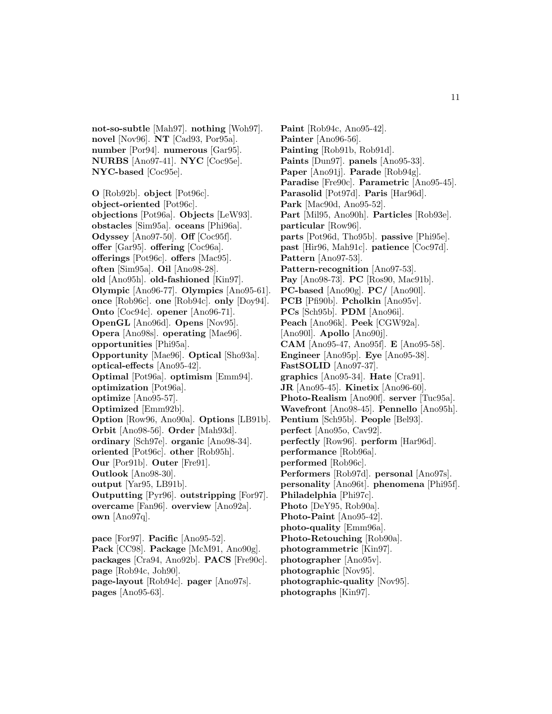**not-so-subtle** [Mah97]. **nothing** [Woh97]. **novel** [Nov96]. **NT** [Cad93, Por95a]. **number** [Por94]. **numerous** [Gar95]. **NURBS** [Ano97-41]. **NYC** [Coc95e]. **NYC-based** [Coc95e].

**O** [Rob92b]. **object** [Pot96c]. **object-oriented** [Pot96c]. **objections** [Pot96a]. **Objects** [LeW93]. **obstacles** [Sim95a]. **oceans** [Phi96a]. **Odyssey** [Ano97-50]. **Off** [Coc95f]. **offer** [Gar95]. **offering** [Coc96a]. **offerings** [Pot96c]. **offers** [Mac95]. **often** [Sim95a]. **Oil** [Ano98-28]. **old** [Ano95h]. **old-fashioned** [Kin97]. **Olympic** [Ano96-77]. **Olympics** [Ano95-61]. **once** [Rob96c]. **one** [Rob94c]. **only** [Doy94]. **Onto** [Coc94c]. **opener** [Ano96-71]. **OpenGL** [Ano96d]. **Opens** [Nov95]. **Opera** [Ano98s]. **operating** [Mae96]. **opportunities** [Phi95a]. **Opportunity** [Mae96]. **Optical** [Sho93a]. **optical-effects** [Ano95-42]. **Optimal** [Pot96a]. **optimism** [Emm94]. **optimization** [Pot96a]. **optimize** [Ano95-57]. **Optimized** [Emm92b]. **Option** [Row96, Ano90a]. **Options** [LB91b]. **Orbit** [Ano98-56]. **Order** [Mah93d]. **ordinary** [Sch97e]. **organic** [Ano98-34]. **oriented** [Pot96c]. **other** [Rob95h]. **Our** [Por91b]. **Outer** [Fre91]. **Outlook** [Ano98-30]. **output** [Yar95, LB91b]. **Outputting** [Pyr96]. **outstripping** [For97]. **overcame** [Fan96]. **overview** [Ano92a]. **own** [Ano97q]. **pace** [For97]. **Pacific** [Ano95-52].

**Pack** [CC98]. **Package** [McM91, Ano90g]. **packages** [Cra94, Ano92b]. **PACS** [Fre90c]. **page** [Rob94c, Joh90]. **page-layout** [Rob94c]. **pager** [Ano97s]. **pages** [Ano95-63].

**Paint** [Rob94c, Ano95-42]. **Painter** [Ano96-56]. **Painting** [Rob91b, Rob91d]. **Paints** [Dun97]. **panels** [Ano95-33]. **Paper** [Ano91j]. **Parade** [Rob94g]. **Paradise** [Fre90c]. **Parametric** [Ano95-45]. **Parasolid** [Pot97d]. **Paris** [Har96d]. **Park** [Mac90d, Ano95-52]. **Part** [Mil95, Ano90h]. **Particles** [Rob93e]. **particular** [Row96]. **parts** [Pot96d, Tho95b]. **passive** [Phi95e]. **past** [Hir96, Mah91c]. **patience** [Coc97d]. **Pattern** [Ano97-53]. **Pattern-recognition** [Ano97-53]. **Pay** [Ano98-73]. **PC** [Ros90, Mac91b]. **PC-based** [Ano90g]. **PC/** [Ano90l]. **PCB** [Pfi90b]. **Pcholkin** [Ano95v]. **PCs** [Sch95b]. **PDM** [Ano96i]. **Peach** [Ano96k]. **Peek** [CGW92a]. [Ano90l]. **Apollo** [Ano90j]. **CAM** [Ano95-47, Ano95f]. **E** [Ano95-58]. **Engineer** [Ano95p]. **Eye** [Ano95-38]. **FastSOLID** [Ano97-37]. **graphics** [Ano95-34]. **Hate** [Cra91]. **JR** [Ano95-45]. **Kinetix** [Ano96-60]. **Photo-Realism** [Ano90f]. **server** [Tuc95a]. **Wavefront** [Ano98-45]. **Pennello** [Ano95h]. **Pentium** [Sch95b]. **People** [Bel93]. **perfect** [Ano95o, Cav92]. **perfectly** [Row96]. **perform** [Har96d]. **performance** [Rob96a]. **performed** [Rob96c]. **Performers** [Rob97d]. **personal** [Ano97s]. **personality** [Ano96t]. **phenomena** [Phi95f]. **Philadelphia** [Phi97c]. **Photo** [DeY95, Rob90a]. **Photo-Paint** [Ano95-42]. **photo-quality** [Emm96a]. **Photo-Retouching** [Rob90a]. **photogrammetric** [Kin97]. **photographer** [Ano95v]. **photographic** [Nov95]. **photographic-quality** [Nov95]. **photographs** [Kin97].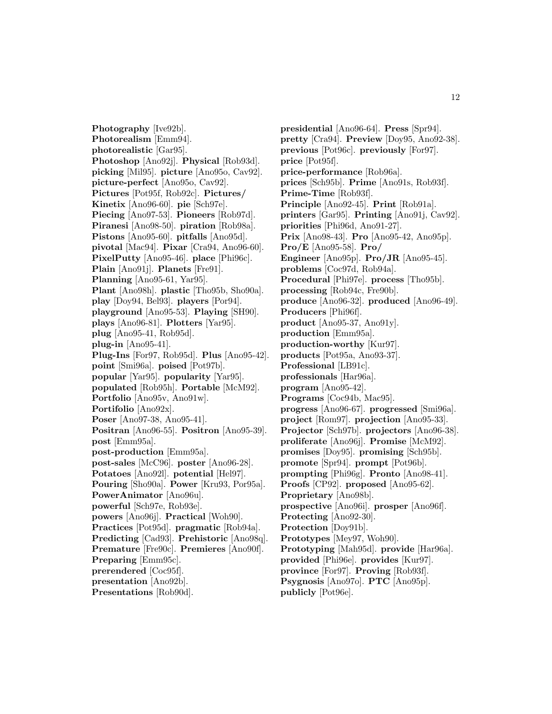**Photography** [Ive92b]. **Photorealism** [Emm94]. **photorealistic** [Gar95]. **Photoshop** [Ano92j]. **Physical** [Rob93d]. **picking** [Mil95]. **picture** [Ano95o, Cav92]. **picture-perfect** [Ano95o, Cav92]. **Pictures** [Pot95f, Rob92c]. **Pictures/ Kinetix** [Ano96-60]. **pie** [Sch97e]. **Piecing** [Ano97-53]. **Pioneers** [Rob97d]. **Piranesi** [Ano98-50]. **piration** [Rob98a]. **Pistons** [Ano95-60]. **pitfalls** [Ano95d]. **pivotal** [Mac94]. **Pixar** [Cra94, Ano96-60]. **PixelPutty** [Ano95-46]. **place** [Phi96c]. **Plain** [Ano91j]. **Planets** [Fre91]. **Planning** [Ano95-61, Yar95]. **Plant** [Ano98h]. **plastic** [Tho95b, Sho90a]. **play** [Doy94, Bel93]. **players** [Por94]. **playground** [Ano95-53]. **Playing** [SH90]. **plays** [Ano96-81]. **Plotters** [Yar95]. **plug** [Ano95-41, Rob95d]. **plug-in** [Ano95-41]. **Plug-Ins** [For97, Rob95d]. **Plus** [Ano95-42]. **point** [Smi96a]. **poised** [Pot97b]. **popular** [Yar95]. **popularity** [Yar95]. **populated** [Rob95h]. **Portable** [McM92]. **Portfolio** [Ano95v, Ano91w]. **Portifolio** [Ano92x]. **Poser** [Ano97-38, Ano95-41]. **Positran** [Ano96-55]. **Positron** [Ano95-39]. **post** [Emm95a]. **post-production** [Emm95a]. **post-sales** [McC96]. **poster** [Ano96-28]. **Potatoes** [Ano92l]. **potential** [Hel97]. **Pouring** [Sho90a]. **Power** [Kru93, Por95a]. **PowerAnimator** [Ano96u]. **powerful** [Sch97e, Rob93e]. **powers** [Ano96j]. **Practical** [Woh90]. **Practices** [Pot95d]. **pragmatic** [Rob94a]. **Predicting** [Cad93]. **Prehistoric** [Ano98q]. **Premature** [Fre90c]. **Premieres** [Ano90f]. **Preparing** [Emm95c]. **prerendered** [Coc95f]. **presentation** [Ano92b].

**Presentations** [Rob90d].

**presidential** [Ano96-64]. **Press** [Spr94]. **pretty** [Cra94]. **Preview** [Doy95, Ano92-38]. **previous** [Pot96c]. **previously** [For97]. **price** [Pot95f]. **price-performance** [Rob96a]. **prices** [Sch95b]. **Prime** [Ano91s, Rob93f]. **Prime-Time** [Rob93f]. **Principle** [Ano92-45]. **Print** [Rob91a]. **printers** [Gar95]. **Printing** [Ano91j, Cav92]. **priorities** [Phi96d, Ano91-27]. **Prix** [Ano98-43]. **Pro** [Ano95-42, Ano95p]. **Pro/E** [Ano95-58]. **Pro/ Engineer** [Ano95p]. **Pro/JR** [Ano95-45]. **problems** [Coc97d, Rob94a]. **Procedural** [Phi97e]. **process** [Tho95b]. **processing** [Rob94c, Fre90b]. **produce** [Ano96-32]. **produced** [Ano96-49]. **Producers** [Phi96f]. **product** [Ano95-37, Ano91y]. **production** [Emm95a]. **production-worthy** [Kur97]. **products** [Pot95a, Ano93-37]. **Professional** [LB91c]. **professionals** [Har96a]. **program** [Ano95-42]. **Programs** [Coc94b, Mac95]. **progress** [Ano96-67]. **progressed** [Smi96a]. **project** [Rom97]. **projection** [Ano95-33]. **Projector** [Sch97b]. **projectors** [Ano96-38]. **proliferate** [Ano96j]. **Promise** [McM92]. **promises** [Doy95]. **promising** [Sch95b]. **promote** [Spr94]. **prompt** [Pot96b]. **prompting** [Phi96g]. **Pronto** [Ano98-41]. **Proofs** [CP92]. **proposed** [Ano95-62]. **Proprietary** [Ano98b]. **prospective** [Ano96i]. **prosper** [Ano96f]. **Protecting** [Ano92-30]. **Protection** [Doy91b]. **Prototypes** [Mey97, Woh90]. **Prototyping** [Mah95d]. **provide** [Har96a]. **provided** [Phi96e]. **provides** [Kur97]. **province** [For97]. **Proving** [Rob93f]. **Psygnosis** [Ano97o]. **PTC** [Ano95p]. **publicly** [Pot96e].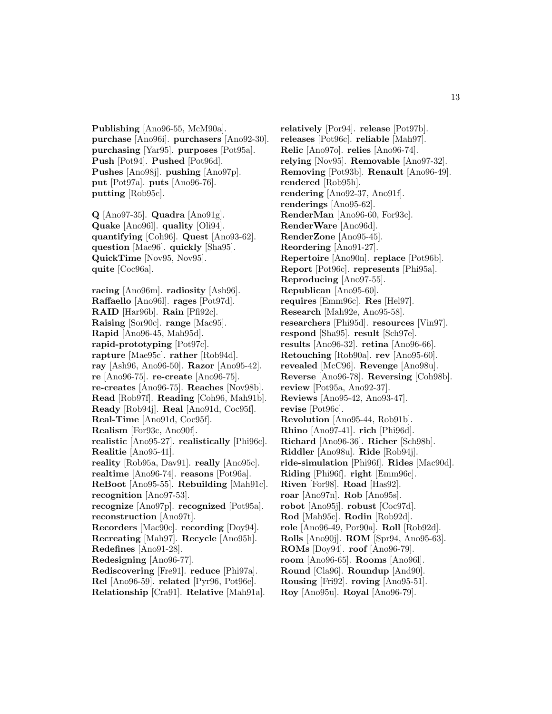**Publishing** [Ano96-55, McM90a]. **purchase** [Ano96i]. **purchasers** [Ano92-30]. **purchasing** [Yar95]. **purposes** [Pot95a]. **Push** [Pot94]. **Pushed** [Pot96d]. **Pushes** [Ano98j]. **pushing** [Ano97p]. **put** [Pot97a]. **puts** [Ano96-76]. **putting** [Rob95c].

**Q** [Ano97-35]. **Quadra** [Ano91g]. **Quake** [Ano96l]. **quality** [Oli94]. **quantifying** [Coh96]. **Quest** [Ano93-62]. **question** [Mae96]. **quickly** [Sha95]. **QuickTime** [Nov95, Nov95]. **quite** [Coc96a].

**racing** [Ano96m]. **radiosity** [Ash96]. **Raffaello** [Ano96l]. **rages** [Pot97d]. **RAID** [Har96b]. **Rain** [Pfi92c]. **Raising** [Sor90c]. **range** [Mac95]. **Rapid** [Ano96-45, Mah95d]. **rapid-prototyping** [Pot97c]. **rapture** [Mae95c]. **rather** [Rob94d]. **ray** [Ash96, Ano96-50]. **Razor** [Ano95-42]. **re** [Ano96-75]. **re-create** [Ano96-75]. **re-creates** [Ano96-75]. **Reaches** [Nov98b]. **Read** [Rob97f]. **Reading** [Coh96, Mah91b]. **Ready** [Rob94j]. **Real** [Ano91d, Coc95f]. **Real-Time** [Ano91d, Coc95f]. **Realism** [For93c, Ano90f]. **realistic** [Ano95-27]. **realistically** [Phi96c]. **Realitie** [Ano95-41]. **reality** [Rob95a, Dav91]. **really** [Ano95c]. **realtime** [Ano96-74]. **reasons** [Pot96a]. **ReBoot** [Ano95-55]. **Rebuilding** [Mah91c]. **recognition** [Ano97-53]. **recognize** [Ano97p]. **recognized** [Pot95a]. **reconstruction** [Ano97t]. **Recorders** [Mac90c]. **recording** [Doy94]. **Recreating** [Mah97]. **Recycle** [Ano95h]. **Redefines** [Ano91-28]. **Redesigning** [Ano96-77]. **Rediscovering** [Fre91]. **reduce** [Phi97a]. **Rel** [Ano96-59]. **related** [Pyr96, Pot96e]. **Relationship** [Cra91]. **Relative** [Mah91a].

**relatively** [Por94]. **release** [Pot97b]. **releases** [Pot96c]. **reliable** [Mah97]. **Relic** [Ano97o]. **relies** [Ano96-74]. **relying** [Nov95]. **Removable** [Ano97-32]. **Removing** [Pot93b]. **Renault** [Ano96-49]. **rendered** [Rob95h]. **rendering** [Ano92-37, Ano91f]. **renderings** [Ano95-62]. **RenderMan** [Ano96-60, For93c]. **RenderWare** [Ano96d]. **RenderZone** [Ano95-45]. **Reordering** [Ano91-27]. **Repertoire** [Ano90n]. **replace** [Pot96b]. **Report** [Pot96c]. **represents** [Phi95a]. **Reproducing** [Ano97-55]. **Republican** [Ano95-60]. **requires** [Emm96c]. **Res** [Hel97]. **Research** [Mah92e, Ano95-58]. **researchers** [Phi95d]. **resources** [Vin97]. **respond** [Sha95]. **result** [Sch97e]. **results** [Ano96-32]. **retina** [Ano96-66]. **Retouching** [Rob90a]. **rev** [Ano95-60]. **revealed** [McC96]. **Revenge** [Ano98u]. **Reverse** [Ano96-78]. **Reversing** [Coh98b]. **review** [Pot95a, Ano92-37]. **Reviews** [Ano95-42, Ano93-47]. **revise** [Pot96c]. **Revolution** [Ano95-44, Rob91b]. **Rhino** [Ano97-41]. **rich** [Phi96d]. **Richard** [Ano96-36]. **Richer** [Sch98b]. **Riddler** [Ano98u]. **Ride** [Rob94j]. **ride-simulation** [Phi96f]. **Rides** [Mac90d]. **Riding** [Phi96f]. **right** [Emm96c]. **Riven** [For98]. **Road** [Has92]. **roar** [Ano97n]. **Rob** [Ano95s]. **robot** [Ano95j]. **robust** [Coc97d]. **Rod** [Mah95c]. **Rodin** [Rob92d]. **role** [Ano96-49, Por90a]. **Roll** [Rob92d]. **Rolls** [Ano90j]. **ROM** [Spr94, Ano95-63]. **ROMs** [Doy94]. **roof** [Ano96-79]. **room** [Ano96-65]. **Rooms** [Ano96l]. **Round** [Cla96]. **Roundup** [And90]. **Rousing** [Fri92]. **roving** [Ano95-51].

**Roy** [Ano95u]. **Royal** [Ano96-79].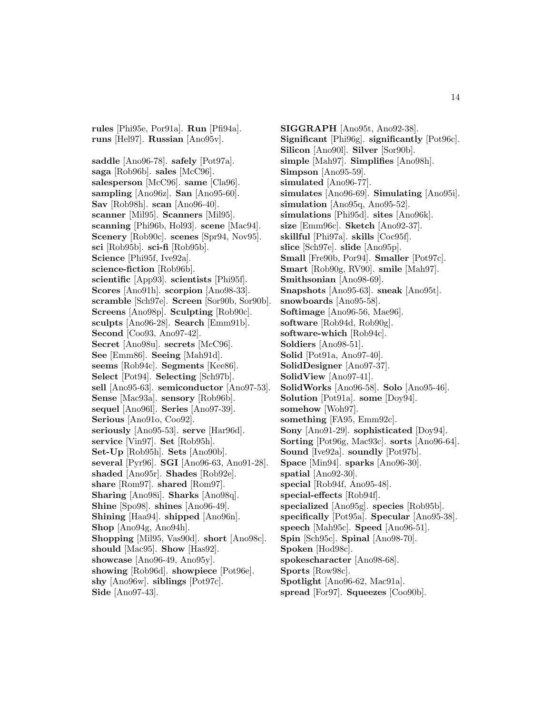**rules** [Phi95e, Por91a]. **Run** [Pfi94a]. **runs** [Hel97]. **Russian** [Ano95v].

**saddle** [Ano96-78]. **safely** [Pot97a]. **saga** [Rob96b]. **sales** [McC96]. **salesperson** [McC96]. **same** [Cla96]. **sampling** [Ano96z]. **San** [Ano95-60]. **Sav** [Rob98h]. **scan** [Ano96-40]. **scanner** [Mil95]. **Scanners** [Mil95]. **scanning** [Phi96b, Hol93]. **scene** [Mac94]. **Scenery** [Rob90c]. **scenes** [Spr94, Nov95]. **sci** [Rob95b]. **sci-fi** [Rob95b]. **Science** [Phi95f, Ive92a]. **science-fiction** [Rob96b]. **scientific** [App93]. **scientists** [Phi95f]. **Scores** [Ano91h]. **scorpion** [Ano98-33]. **scramble** [Sch97e]. **Screen** [Sor90b, Sor90b]. **Screens** [Ano98p]. **Sculpting** [Rob90c]. **sculpts** [Ano96-28]. **Search** [Emm91b]. **Second** [Coo93, Ano97-42]. **Secret** [Ano98u]. **secrets** [McC96]. **See** [Emm86]. **Seeing** [Mah91d]. **seems** [Rob94c]. **Segments** [Kee86]. **Select** [Pot94]. **Selecting** [Sch97b]. **sell** [Ano95-63]. **semiconductor** [Ano97-53]. **Sense** [Mac93a]. **sensory** [Rob96b]. **sequel** [Ano96l]. **Series** [Ano97-39]. **Serious** [Ano91o, Coo92]. **seriously** [Ano95-53]. **serve** [Har96d]. **service** [Vin97]. **Set** [Rob95h]. **Set-Up** [Rob95h]. **Sets** [Ano90b]. **several** [Pyr96]. **SGI** [Ano96-63, Ano91-28]. **shaded** [Ano95r]. **Shades** [Rob92e]. **share** [Rom97]. **shared** [Rom97]. **Sharing** [Ano98i]. **Sharks** [Ano98q]. **Shine** [Spo98]. **shines** [Ano96-49]. **Shining** [Haa94]. **shipped** [Ano96n]. **Shop** [Ano94g, Ano94h]. **Shopping** [Mil95, Vas90d]. **short** [Ano98c]. **should** [Mac95]. **Show** [Has92]. **showcase** [Ano96-49, Ano95y]. **showing** [Rob96d]. **showpiece** [Pot96e]. **shy** [Ano96w]. **siblings** [Pot97c].

**Side** [Ano97-43].

**SIGGRAPH** [Ano95t, Ano92-38]. **Significant** [Phi96g]. **significantly** [Pot96c]. **Silicon** [Ano90l]. **Silver** [Sor90b]. **simple** [Mah97]. **Simplifies** [Ano98h]. **Simpson** [Ano95-59]. **simulated** [Ano96-77]. **simulates** [Ano96-69]. **Simulating** [Ano95i]. **simulation** [Ano95q, Ano95-52]. **simulations** [Phi95d]. **sites** [Ano96k]. **size** [Emm96c]. **Sketch** [Ano92-37]. **skillful** [Phi97a]. **skills** [Coc95f]. **slice** [Sch97e]. **slide** [Ano95p]. **Small** [Fre90b, Por94]. **Smaller** [Pot97c]. **Smart** [Rob90g, RV90]. **smile** [Mah97]. **Smithsonian** [Ano98-69]. **Snapshots** [Ano95-63]. **sneak** [Ano95t]. **snowboards** [Ano95-58]. **Softimage** [Ano96-56, Mae96]. **software** [Rob94d, Rob90g]. **software-which** [Rob94c]. **Soldiers** [Ano98-51]. **Solid** [Pot91a, Ano97-40]. **SolidDesigner** [Ano97-37]. **SolidView** [Ano97-41]. **SolidWorks** [Ano96-58]. **Solo** [Ano95-46]. **Solution** [Pot91a]. **some** [Doy94]. **somehow** [Woh97]. **something** [FA95, Emm92c]. **Sony** [Ano91-29]. **sophisticated** [Doy94]. **Sorting** [Pot96g, Mac93c]. **sorts** [Ano96-64]. **Sound** [Ive92a]. **soundly** [Pot97b]. **Space** [Min94]. **sparks** [Ano96-30]. **spatial** [Ano92-30]. **special** [Rob94f, Ano95-48]. **special-effects** [Rob94f]. **specialized** [Ano95g]. **species** [Rob95b]. **specifically** [Pot95a]. **Specular** [Ano95-38]. **speech** [Mah95c]. **Speed** [Ano96-51]. **Spin** [Sch95c]. **Spinal** [Ano98-70]. **Spoken** [Hod98c]. **spokescharacter** [Ano98-68]. **Sports** [Row98c]. **Spotlight** [Ano96-62, Mac91a].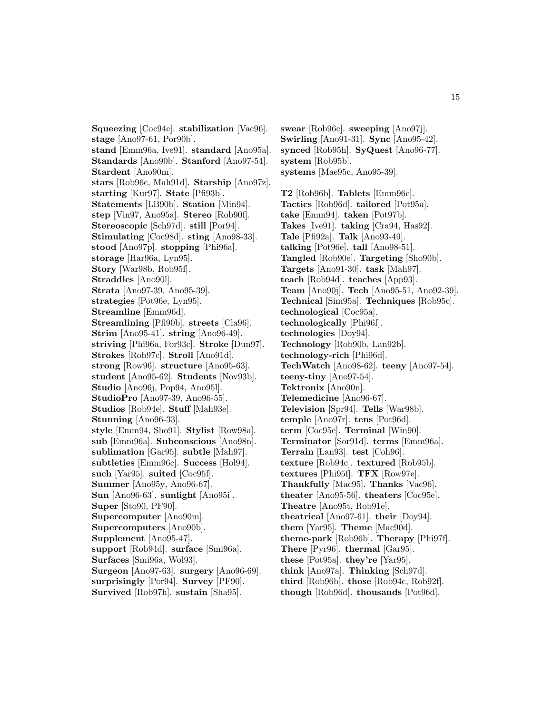**Squeezing** [Coc94c]. **stabilization** [Vac96]. **stage** [Ano97-61, Por90b]. **stand** [Emm96a, Ive91]. **standard** [Ano95a]. **Standards** [Ano90b]. **Stanford** [Ano97-54]. **Stardent** [Ano90m]. **stars** [Rob96c, Mah91d]. **Starship** [Ano97z]. **starting** [Kur97]. **State** [Pfi93b]. **Statements** [LB90b]. **Station** [Min94]. **step** [Vin97, Ano95a]. **Stereo** [Rob90f]. **Stereoscopic** [Sch97d]. **still** [Por94]. **Stimulating** [Coc98d]. **sting** [Ano98-33]. **stood** [Ano97p]. **stopping** [Phi96a]. **storage** [Har96a, Lyn95]. **Story** [War98b, Rob95f]. **Straddles** [Ano90l]. **Strata** [Ano97-39, Ano95-39]. **strategies** [Pot96e, Lyn95]. **Streamline** [Emm96d]. **Streamlining** [Pfi90b]. **streets** [Cla96]. **Strim** [Ano95-41]. **string** [Ano96-49]. **striving** [Phi96a, For93c]. **Stroke** [Dun97]. **Strokes** [Rob97c]. **Stroll** [Ano91d]. **strong** [Row96]. **structure** [Ano95-63]. **student** [Ano95-62]. **Students** [Nov93b]. **Studio** [Ano96j, Pop94, Ano95l]. **StudioPro** [Ano97-39, Ano96-55]. **Studios** [Rob94e]. **Stuff** [Mah93e]. **Stunning** [Ano96-33]. **style** [Emm94, Sho91]. **Stylist** [Row98a]. **sub** [Emm96a]. **Subconscious** [Ano98n]. **sublimation** [Gar95]. **subtle** [Mah97]. **subtleties** [Emm96c]. **Success** [Hol94]. **such** [Yar95]. **suited** [Coc95f]. **Summer** [Ano95y, Ano96-67]. **Sun** [Ano96-63]. **sunlight** [Ano95i]. **Super** [Sto90, PF90]. **Supercomputer** [Ano90m]. **Supercomputers** [Ano90b]. **Supplement** [Ano95-47]. **support** [Rob94d]. **surface** [Smi96a]. **Surfaces** [Smi96a, Wol93]. **Surgeon** [Ano97-63]. **surgery** [Ano96-69]. **surprisingly** [Por94]. **Survey** [PF90]. **Survived** [Rob97h]. **sustain** [Sha95].

**swear** [Rob96c]. **sweeping** [Ano97j]. **Swirling** [Ano91-31]. **Sync** [Ano95-42]. **synced** [Rob95h]. **SyQuest** [Ano96-77]. **system** [Rob95b]. **systems** [Mae95c, Ano95-39].

**T2** [Rob96b]. **Tablets** [Emm96c]. **Tactics** [Rob96d]. **tailored** [Pot95a]. **take** [Emm94]. **taken** [Pot97b]. **Takes** [Ive91]. **taking** [Cra94, Has92]. **Tale** [Pfi92a]. **Talk** [Ano93-49]. **talking** [Pot96e]. **tall** [Ano98-51]. **Tangled** [Rob90e]. **Targeting** [Sho90b]. **Targets** [Ano91-30]. **task** [Mah97]. **teach** [Rob94d]. **teaches** [App93]. **Team** [Ano90j]. **Tech** [Ano95-51, Ano92-39]. **Technical** [Sim95a]. **Techniques** [Rob95c]. **technological** [Coc95a]. **technologically** [Phi96f]. **technologies** [Doy94]. **Technology** [Rob90b, Lan92b]. **technology-rich** [Phi96d]. **TechWatch** [Ano98-62]. **teeny** [Ano97-54]. **teeny-tiny** [Ano97-54]. **Tektronix** [Ano90n]. **Telemedicine** [Ano96-67]. **Television** [Spr94]. **Tells** [War98b]. **temple** [Ano97r]. **tens** [Pot96d]. **term** [Coc95e]. **Terminal** [Win90]. **Terminator** [Sor91d]. **terms** [Emm96a]. **Terrain** [Lan93]. **test** [Coh96]. **texture** [Rob94c]. **textured** [Rob95b]. **textures** [Phi95f]. **TFX** [Row97e]. **Thankfully** [Mac95]. **Thanks** [Vac96]. **theater** [Ano95-56]. **theaters** [Coc95e]. **Theatre** [Ano95t, Rob91e]. **theatrical** [Ano97-61]. **their** [Doy94]. **them** [Yar95]. **Theme** [Mac90d]. **theme-park** [Rob96b]. **Therapy** [Phi97f]. **There** [Pyr96]. **thermal** [Gar95]. **these** [Pot95a]. **they're** [Yar95]. **think** [Ano97a]. **Thinking** [Sch97d]. **third** [Rob96b]. **those** [Rob94c, Rob92f].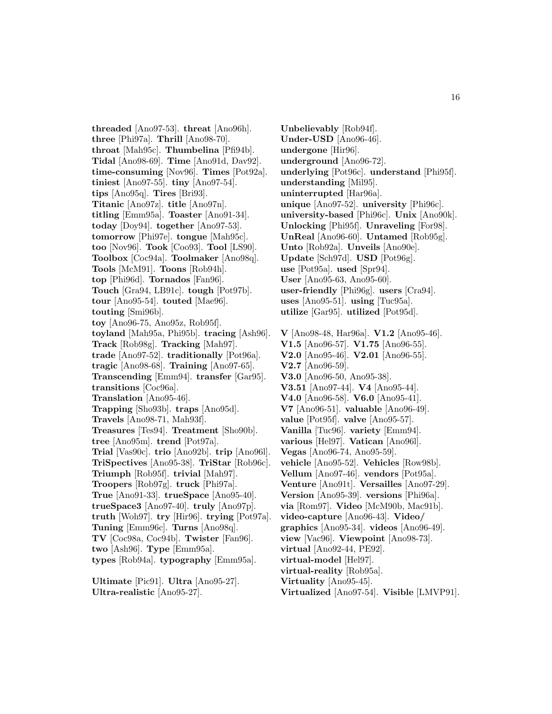**threaded** [Ano97-53]. **threat** [Ano96h]. **three** [Phi97a]. **Thrill** [Ano98-70]. **throat** [Mah95c]. **Thumbelina** [Pfi94b]. **Tidal** [Ano98-69]. **Time** [Ano91d, Dav92]. **time-consuming** [Nov96]. **Times** [Pot92a]. **tiniest** [Ano97-55]. **tiny** [Ano97-54]. **tips** [Ano95q]. **Tires** [Bri93]. **Titanic** [Ano97z]. **title** [Ano97n]. **titling** [Emm95a]. **Toaster** [Ano91-34]. **today** [Doy94]. **together** [Ano97-53]. **tomorrow** [Phi97e]. **tongue** [Mah95c]. **too** [Nov96]. **Took** [Coo93]. **Tool** [LS90]. **Toolbox** [Coc94a]. **Toolmaker** [Ano98q]. **Tools** [McM91]. **Toons** [Rob94h]. **top** [Phi96d]. **Tornados** [Fan96]. **Touch** [Gra94, LB91c]. **tough** [Pot97b]. **tour** [Ano95-54]. **touted** [Mae96]. **touting** [Smi96b]. **toy** [Ano96-75, Ano95z, Rob95f]. **toyland** [Mah95a, Phi95b]. **tracing** [Ash96]. **Track** [Rob98g]. **Tracking** [Mah97]. **trade** [Ano97-52]. **traditionally** [Pot96a]. **tragic** [Ano98-68]. **Training** [Ano97-65]. **Transcending** [Emm94]. **transfer** [Gar95]. **transitions** [Coc96a]. **Translation** [Ano95-46]. **Trapping** [Sho93b]. **traps** [Ano95d]. **Travels** [Ano98-71, Mah93f]. **Treasures** [Tes94]. **Treatment** [Sho90b]. **tree** [Ano95m]. **trend** [Pot97a]. **Trial** [Vas90c]. **trio** [Ano92b]. **trip** [Ano96l]. **TriSpectives** [Ano95-38]. **TriStar** [Rob96c]. **Triumph** [Rob95f]. **trivial** [Mah97]. **Troopers** [Rob97g]. **truck** [Phi97a]. **True** [Ano91-33]. **trueSpace** [Ano95-40]. **trueSpace3** [Ano97-40]. **truly** [Ano97p]. **truth** [Woh97]. **try** [Hir96]. **trying** [Pot97a]. **Tuning** [Emm96c]. **Turns** [Ano98q]. **TV** [Coc98a, Coc94b]. **Twister** [Fan96]. **two** [Ash96]. **Type** [Emm95a]. **types** [Rob94a]. **typography** [Emm95a].

**Ultimate** [Pic91]. **Ultra** [Ano95-27]. **Ultra-realistic** [Ano95-27].

**Unbelievably** [Rob94f]. **Under-USD** [Ano96-46]. **undergone** [Hir96]. **underground** [Ano96-72]. **underlying** [Pot96c]. **understand** [Phi95f]. **understanding** [Mil95]. **uninterrupted** [Har96a]. **unique** [Ano97-52]. **university** [Phi96c]. **university-based** [Phi96c]. **Unix** [Ano90k]. **Unlocking** [Phi95f]. **Unraveling** [For98]. **UnReal** [Ano96-60]. **Untamed** [Rob95g]. **Unto** [Rob92a]. **Unveils** [Ano90e]. **Update** [Sch97d]. **USD** [Pot96g]. **use** [Pot95a]. **used** [Spr94]. **User** [Ano95-63, Ano95-60]. **user-friendly** [Phi96g]. **users** [Cra94]. **uses** [Ano95-51]. **using** [Tuc95a]. **utilize** [Gar95]. **utilized** [Pot95d]. **V** [Ano98-48, Har96a]. **V1.2** [Ano95-46]. **V1.5** [Ano96-57]. **V1.75** [Ano96-55]. **V2.0** [Ano95-46]. **V2.01** [Ano96-55]. **V2.7** [Ano96-59].

**V3.0** [Ano96-50, Ano95-38]. **V3.51** [Ano97-44]. **V4** [Ano95-44]. **V4.0** [Ano96-58]. **V6.0** [Ano95-41]. **V7** [Ano96-51]. **valuable** [Ano96-49]. **value** [Pot95f]. **valve** [Ano95-57]. **Vanilla** [Tuc96]. **variety** [Emm94]. **various** [Hel97]. **Vatican** [Ano96l]. **Vegas** [Ano96-74, Ano95-59].

**virtual** [Ano92-44, PE92]. **virtual-model** [Hel97]. **virtual-reality** [Rob95a]. **Virtuality** [Ano95-45].

**vehicle** [Ano95-52]. **Vehicles** [Row98b]. **Vellum** [Ano97-46]. **vendors** [Pot95a]. **Venture** [Ano91t]. **Versailles** [Ano97-29]. **Version** [Ano95-39]. **versions** [Phi96a]. **via** [Rom97]. **Video** [McM90b, Mac91b]. **video-capture** [Ano96-43]. **Video/ graphics** [Ano95-34]. **videos** [Ano96-49]. **view** [Vac96]. **Viewpoint** [Ano98-73].

**Virtualized** [Ano97-54]. **Visible** [LMVP91].

16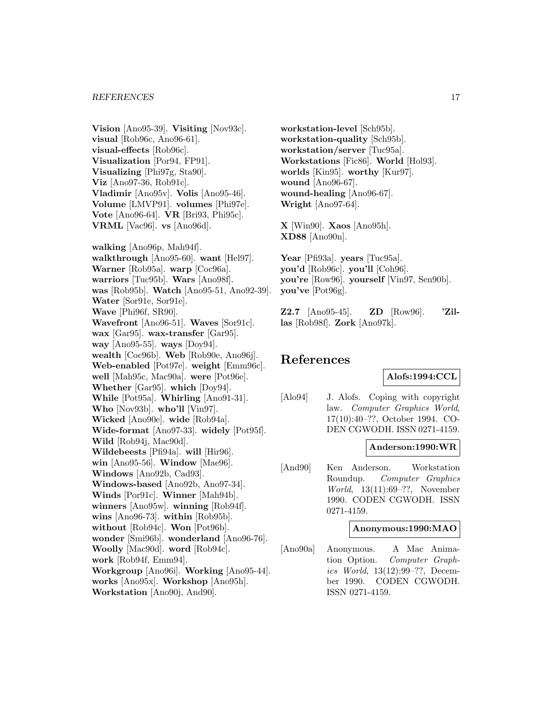**Vision** [Ano95-39]. **Visiting** [Nov93c]. **visual** [Rob96c, Ano96-61]. **visual-effects** [Rob96c]. **Visualization** [Por94, FP91]. **Visualizing** [Phi97g, Sta90]. **Viz** [Ano97-36, Rob91c]. **Vladimir** [Ano95v]. **Volis** [Ano95-46]. **Volume** [LMVP91]. **volumes** [Phi97e]. **Vote** [Ano96-64]. **VR** [Bri93, Phi95c]. **VRML** [Vac96]. **vs** [Ano96d].

**walking** [Ano96p, Mah94f]. **walkthrough** [Ano95-60]. **want** [Hel97]. **Warner** [Rob95a]. **warp** [Coc96a]. **warriors** [Tuc95b]. **Wars** [Ano98f]. **was** [Rob95b]. **Watch** [Ano95-51, Ano92-39]. **Water** [Sor91e, Sor91e]. **Wave** [Phi96f, SR90]. **Wavefront** [Ano96-51]. **Waves** [Sor91c]. **wax** [Gar95]. **wax-transfer** [Gar95]. **way** [Ano95-55]. **ways** [Doy94]. **wealth** [Coc96b]. **Web** [Rob90e, Ano96j]. **Web-enabled** [Pot97e]. **weight** [Emm96c]. **well** [Mah95c, Mac90a]. **were** [Pot96e]. **Whether** [Gar95]. **which** [Doy94]. **While** [Pot95a]. **Whirling** [Ano91-31]. **Who** [Nov93b]. **who'll** [Vin97]. **Wicked** [Ano90e]. **wide** [Rob94a]. **Wide-format** [Ano97-33]. **widely** [Pot95f]. **Wild** [Rob94j, Mac90d]. **Wildebeests** [Pfi94a]. **will** [Hir96]. **win** [Ano95-56]. **Window** [Mae96]. **Windows** [Ano92b, Cad93]. **Windows-based** [Ano92b, Ano97-34]. **Winds** [Por91c]. **Winner** [Mah94b]. **winners** [Ano95w]. **winning** [Rob94f]. **wins** [Ano96-73]. **within** [Rob95b]. **without** [Rob94c]. **Won** [Pot96b]. **wonder** [Smi96b]. **wonderland** [Ano96-76]. **Woolly** [Mac90d]. **word** [Rob94c]. **work** [Rob94f, Emm94]. **Workgroup** [Ano96i]. **Working** [Ano95-44]. **works** [Ano95x]. **Workshop** [Ano95h]. **Workstation** [Ano90j, And90].

**workstation-level** [Sch95b]. **workstation-quality** [Sch95b]. **workstation/server** [Tuc95a]. **Workstations** [Fic86]. **World** [Hol93]. **worlds** [Kin95]. **worthy** [Kur97]. **wound** [Ano96-67]. **wound-healing** [Ano96-67]. **Wright** [Ano97-64].

**X** [Win90]. **Xaos** [Ano95h]. **XD88** [Ano90n].

**Year** [Pfi93a]. **years** [Tuc95a]. **you'd** [Rob96c]. **you'll** [Coh96]. **you're** [Row96]. **yourself** [Vin97, Sen90b]. **you've** [Pot96g].

**Z2.7** [Ano95-45]. **ZD** [Row96]. **'Zillas** [Rob98f]. **Zork** [Ano97k].

## **References**

**Alofs:1994:CCL**

[Alo94] J. Alofs. Coping with copyright law. Computer Graphics World, 17(10):40–??, October 1994. CO-DEN CGWODH. ISSN 0271-4159.

#### **Anderson:1990:WR**

[And90] Ken Anderson. Workstation Roundup. Computer Graphics World, 13(11):69–??, November 1990. CODEN CGWODH. ISSN 0271-4159.

#### **Anonymous:1990:MAO**

[Ano90a] Anonymous. A Mac Animation Option. Computer Graphics World, 13(12):99–??, December 1990. CODEN CGWODH. ISSN 0271-4159.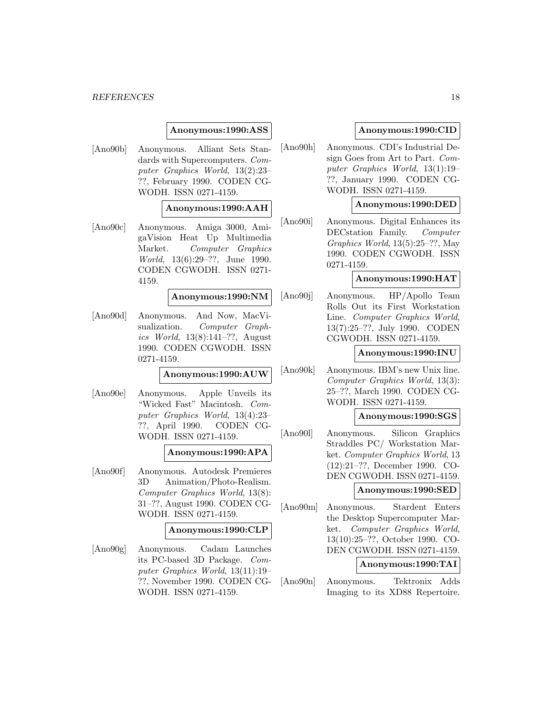#### **Anonymous:1990:ASS**

[Ano90b] Anonymous. Alliant Sets Standards with Supercomputers. Computer Graphics World, 13(2):23– ??, February 1990. CODEN CG-WODH. ISSN 0271-4159.

#### **Anonymous:1990:AAH**

[Ano90c] Anonymous. Amiga 3000, AmigaVision Heat Up Multimedia Market. Computer Graphics World, 13(6):29–??, June 1990. CODEN CGWODH. ISSN 0271- 4159.

**Anonymous:1990:NM**

[Ano90d] Anonymous. And Now, MacVisualization. Computer Graphics World, 13(8):141–??, August 1990. CODEN CGWODH. ISSN 0271-4159.

**Anonymous:1990:AUW**

[Ano90e] Anonymous. Apple Unveils its "Wicked Fast" Macintosh. Computer Graphics World, 13(4):23– ??, April 1990. CODEN CG-WODH. ISSN 0271-4159.

#### **Anonymous:1990:APA**

[Ano90f] Anonymous. Autodesk Premieres 3D Animation/Photo-Realism. Computer Graphics World, 13(8): 31–??, August 1990. CODEN CG-WODH. ISSN 0271-4159.

#### **Anonymous:1990:CLP**

[Ano90g] Anonymous. Cadam Launches its PC-based 3D Package. Computer Graphics World, 13(11):19– ??, November 1990. CODEN CG-WODH. ISSN 0271-4159.

#### **Anonymous:1990:CID**

[Ano90h] Anonymous. CDI's Industrial Design Goes from Art to Part. Computer Graphics World, 13(1):19– ??, January 1990. CODEN CG-WODH. ISSN 0271-4159.

#### **Anonymous:1990:DED**

[Ano90i] Anonymous. Digital Enhances its DECstation Family. Computer Graphics World, 13(5):25–??, May 1990. CODEN CGWODH. ISSN 0271-4159.

#### **Anonymous:1990:HAT**

[Ano90j] Anonymous. HP/Apollo Team Rolls Out its First Workstation Line. Computer Graphics World, 13(7):25–??, July 1990. CODEN CGWODH. ISSN 0271-4159.

#### **Anonymous:1990:INU**

[Ano90k] Anonymous. IBM's new Unix line. Computer Graphics World, 13(3): 25–??, March 1990. CODEN CG-WODH. ISSN 0271-4159.

## **Anonymous:1990:SGS**

[Ano90l] Anonymous. Silicon Graphics Straddles PC/ Workstation Market. Computer Graphics World, 13 (12):21–??, December 1990. CO-DEN CGWODH. ISSN 0271-4159.

#### **Anonymous:1990:SED**

[Ano90m] Anonymous. Stardent Enters the Desktop Supercomputer Market. Computer Graphics World, 13(10):25–??, October 1990. CO-DEN CGWODH. ISSN 0271-4159.

#### **Anonymous:1990:TAI**

[Ano90n] Anonymous. Tektronix Adds Imaging to its XD88 Repertoire.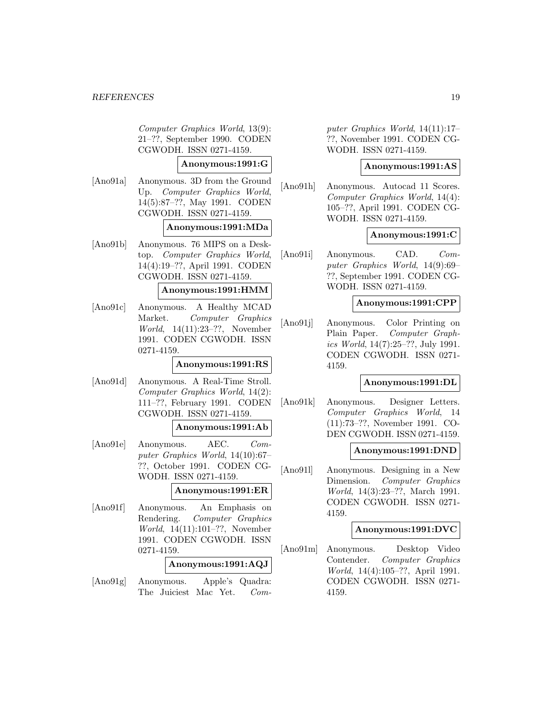Computer Graphics World, 13(9): 21–??, September 1990. CODEN CGWODH. ISSN 0271-4159.

## **Anonymous:1991:G**

[Ano91a] Anonymous. 3D from the Ground Up. Computer Graphics World, 14(5):87–??, May 1991. CODEN CGWODH. ISSN 0271-4159.

#### **Anonymous:1991:MDa**

[Ano91b] Anonymous. 76 MIPS on a Desktop. Computer Graphics World, 14(4):19–??, April 1991. CODEN CGWODH. ISSN 0271-4159.

#### **Anonymous:1991:HMM**

[Ano91c] Anonymous. A Healthy MCAD Market. Computer Graphics World, 14(11):23–??, November 1991. CODEN CGWODH. ISSN 0271-4159.

#### **Anonymous:1991:RS**

[Ano91d] Anonymous. A Real-Time Stroll. Computer Graphics World, 14(2): 111–??, February 1991. CODEN CGWODH. ISSN 0271-4159.

#### **Anonymous:1991:Ab**

[Ano91e] Anonymous. AEC. Computer Graphics World, 14(10):67– ??, October 1991. CODEN CG-WODH. ISSN 0271-4159.

## **Anonymous:1991:ER**

[Ano91f] Anonymous. An Emphasis on Rendering. Computer Graphics World, 14(11):101–??, November 1991. CODEN CGWODH. ISSN 0271-4159.

#### **Anonymous:1991:AQJ**

[Ano91g] Anonymous. Apple's Quadra: The Juiciest Mac Yet. Computer Graphics World, 14(11):17– ??, November 1991. CODEN CG-WODH. ISSN 0271-4159.

#### **Anonymous:1991:AS**

[Ano91h] Anonymous. Autocad 11 Scores. Computer Graphics World, 14(4): 105–??, April 1991. CODEN CG-WODH. ISSN 0271-4159.

#### **Anonymous:1991:C**

[Ano91i] Anonymous. CAD. Computer Graphics World, 14(9):69– ??, September 1991. CODEN CG-WODH. ISSN 0271-4159.

#### **Anonymous:1991:CPP**

[Ano91j] Anonymous. Color Printing on Plain Paper. Computer Graphics World, 14(7):25–??, July 1991. CODEN CGWODH. ISSN 0271- 4159.

## **Anonymous:1991:DL**

[Ano91k] Anonymous. Designer Letters. Computer Graphics World, 14 (11):73–??, November 1991. CO-DEN CGWODH. ISSN 0271-4159.

## **Anonymous:1991:DND**

[Ano91l] Anonymous. Designing in a New Dimension. Computer Graphics World, 14(3):23–??, March 1991. CODEN CGWODH. ISSN 0271- 4159.

#### **Anonymous:1991:DVC**

[Ano91m] Anonymous. Desktop Video Contender. Computer Graphics World, 14(4):105–??, April 1991. CODEN CGWODH. ISSN 0271- 4159.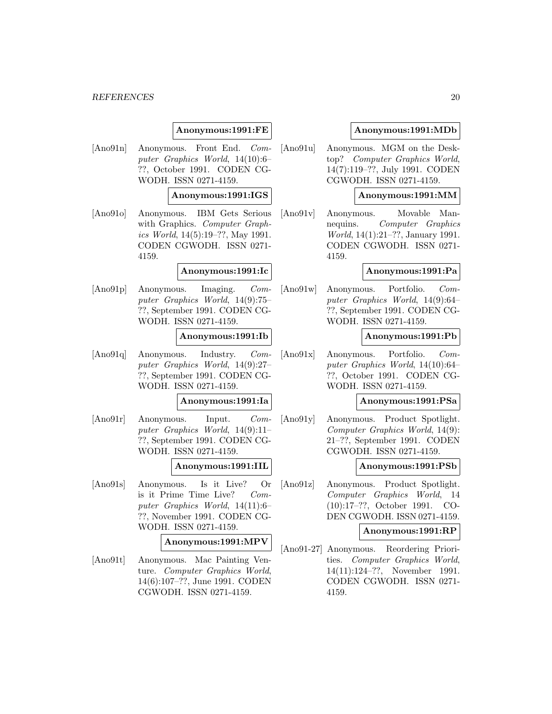## **Anonymous:1991:FE**

[Ano91n] Anonymous. Front End. Computer Graphics World, 14(10):6– ??, October 1991. CODEN CG-WODH. ISSN 0271-4159.

#### **Anonymous:1991:IGS**

[Ano91o] Anonymous. IBM Gets Serious with Graphics. Computer Graphics World, 14(5):19–??, May 1991. CODEN CGWODH. ISSN 0271- 4159.

#### **Anonymous:1991:Ic**

[Ano91p] Anonymous. Imaging. Computer Graphics World, 14(9):75– ??, September 1991. CODEN CG-WODH. ISSN 0271-4159.

#### **Anonymous:1991:Ib**

[Ano91q] Anonymous. Industry. Computer Graphics World, 14(9):27– ??, September 1991. CODEN CG-WODH. ISSN 0271-4159.

## **Anonymous:1991:Ia**

[Ano91r] Anonymous. Input. Computer Graphics World, 14(9):11– ??, September 1991. CODEN CG-WODH. ISSN 0271-4159.

#### **Anonymous:1991:IIL**

[Ano91s] Anonymous. Is it Live? Or is it Prime Time Live? Computer Graphics World, 14(11):6– ??, November 1991. CODEN CG-WODH. ISSN 0271-4159.

#### **Anonymous:1991:MPV**

[Ano91t] Anonymous. Mac Painting Venture. Computer Graphics World, 14(6):107–??, June 1991. CODEN CGWODH. ISSN 0271-4159.

#### **Anonymous:1991:MDb**

[Ano91u] Anonymous. MGM on the Desktop? Computer Graphics World, 14(7):119–??, July 1991. CODEN CGWODH. ISSN 0271-4159.

## **Anonymous:1991:MM**

[Ano91v] Anonymous. Movable Mannequins. Computer Graphics World, 14(1):21–??, January 1991. CODEN CGWODH. ISSN 0271- 4159.

#### **Anonymous:1991:Pa**

[Ano91w] Anonymous. Portfolio. Computer Graphics World, 14(9):64– ??, September 1991. CODEN CG-WODH. ISSN 0271-4159.

#### **Anonymous:1991:Pb**

[Ano91x] Anonymous. Portfolio. Computer Graphics World, 14(10):64– ??, October 1991. CODEN CG-WODH. ISSN 0271-4159.

#### **Anonymous:1991:PSa**

[Ano91y] Anonymous. Product Spotlight. Computer Graphics World, 14(9): 21–??, September 1991. CODEN CGWODH. ISSN 0271-4159.

#### **Anonymous:1991:PSb**

[Ano91z] Anonymous. Product Spotlight. Computer Graphics World, 14 (10):17–??, October 1991. CO-DEN CGWODH. ISSN 0271-4159.

#### **Anonymous:1991:RP**

[Ano91-27] Anonymous. Reordering Priorities. Computer Graphics World, 14(11):124–??, November 1991. CODEN CGWODH. ISSN 0271- 4159.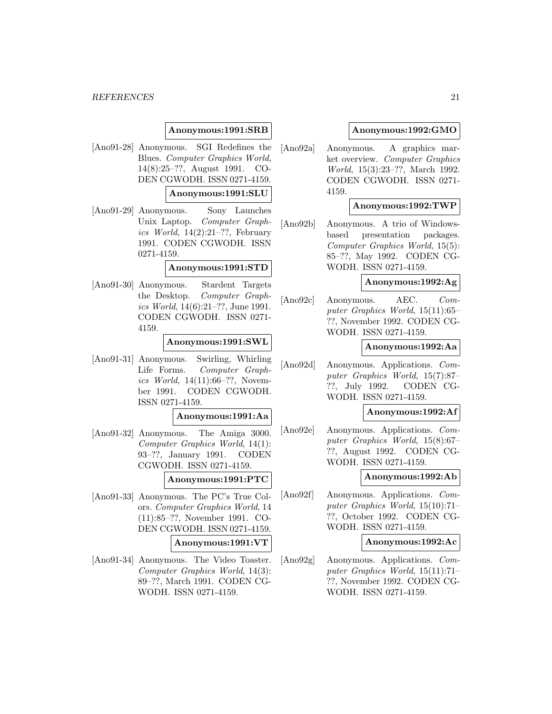#### **Anonymous:1991:SRB**

[Ano91-28] Anonymous. SGI Redefines the Blues. Computer Graphics World, 14(8):25–??, August 1991. CO-DEN CGWODH. ISSN 0271-4159.

## **Anonymous:1991:SLU**

[Ano91-29] Anonymous. Sony Launches Unix Laptop. Computer Graphics World,  $14(2):21-??$ , February 1991. CODEN CGWODH. ISSN 0271-4159.

#### **Anonymous:1991:STD**

[Ano91-30] Anonymous. Stardent Targets the Desktop. Computer Graphics World, 14(6):21–??, June 1991. CODEN CGWODH. ISSN 0271- 4159.

#### **Anonymous:1991:SWL**

[Ano91-31] Anonymous. Swirling, Whirling Life Forms. Computer Graphics World, 14(11):66–??, November 1991. CODEN CGWODH. ISSN 0271-4159.

#### **Anonymous:1991:Aa**

[Ano91-32] Anonymous. The Amiga 3000. Computer Graphics World, 14(1): 93–??, January 1991. CODEN CGWODH. ISSN 0271-4159.

#### **Anonymous:1991:PTC**

- [Ano91-33] Anonymous. The PC's True Colors. Computer Graphics World, 14 (11):85–??, November 1991. CO-DEN CGWODH. ISSN 0271-4159. **Anonymous:1991:VT**
- [Ano91-34] Anonymous. The Video Toaster. Computer Graphics World, 14(3): 89–??, March 1991. CODEN CG-WODH. ISSN 0271-4159.

#### **Anonymous:1992:GMO**

[Ano92a] Anonymous. A graphics market overview. Computer Graphics World, 15(3):23–??, March 1992. CODEN CGWODH. ISSN 0271- 4159.

#### **Anonymous:1992:TWP**

[Ano92b] Anonymous. A trio of Windowsbased presentation packages. Computer Graphics World, 15(5): 85–??, May 1992. CODEN CG-WODH. ISSN 0271-4159.

## **Anonymous:1992:Ag**

[Ano92c] Anonymous. AEC. Computer Graphics World, 15(11):65– ??, November 1992. CODEN CG-WODH. ISSN 0271-4159.

#### **Anonymous:1992:Aa**

[Ano92d] Anonymous. Applications. Computer Graphics World, 15(7):87– ??, July 1992. CODEN CG-WODH. ISSN 0271-4159.

#### **Anonymous:1992:Af**

[Ano92e] Anonymous. Applications. Computer Graphics World, 15(8):67– ??, August 1992. CODEN CG-WODH. ISSN 0271-4159.

#### **Anonymous:1992:Ab**

[Ano92f] Anonymous. Applications. Computer Graphics World, 15(10):71– ??, October 1992. CODEN CG-WODH. ISSN 0271-4159.

#### **Anonymous:1992:Ac**

[Ano92g] Anonymous. Applications. Computer Graphics World, 15(11):71– ??, November 1992. CODEN CG-WODH. ISSN 0271-4159.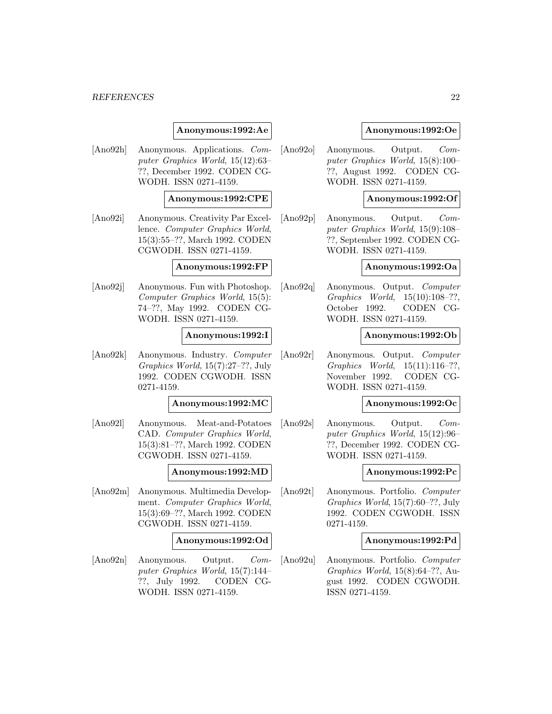#### **Anonymous:1992:Ae**

[Ano92h] Anonymous. Applications. Computer Graphics World, 15(12):63– ??, December 1992. CODEN CG-WODH. ISSN 0271-4159.

#### **Anonymous:1992:CPE**

[Ano92i] Anonymous. Creativity Par Excellence. Computer Graphics World, 15(3):55–??, March 1992. CODEN CGWODH. ISSN 0271-4159.

#### **Anonymous:1992:FP**

[Ano92j] Anonymous. Fun with Photoshop. Computer Graphics World, 15(5): 74–??, May 1992. CODEN CG-WODH. ISSN 0271-4159.

#### **Anonymous:1992:I**

[Ano92k] Anonymous. Industry. Computer Graphics World, 15(7):27–??, July 1992. CODEN CGWODH. ISSN 0271-4159.

#### **Anonymous:1992:MC**

[Ano92l] Anonymous. Meat-and-Potatoes CAD. Computer Graphics World, 15(3):81–??, March 1992. CODEN CGWODH. ISSN 0271-4159.

#### **Anonymous:1992:MD**

[Ano92m] Anonymous. Multimedia Development. Computer Graphics World, 15(3):69–??, March 1992. CODEN CGWODH. ISSN 0271-4159.

#### **Anonymous:1992:Od**

[Ano92n] Anonymous. Output. Computer Graphics World, 15(7):144– ??, July 1992. CODEN CG-WODH. ISSN 0271-4159.

#### **Anonymous:1992:Oe**

[Ano92o] Anonymous. Output. Computer Graphics World, 15(8):100– ??, August 1992. CODEN CG-WODH. ISSN 0271-4159.

#### **Anonymous:1992:Of**

[Ano92p] Anonymous. Output. Computer Graphics World, 15(9):108– ??, September 1992. CODEN CG-WODH. ISSN 0271-4159.

#### **Anonymous:1992:Oa**

[Ano92q] Anonymous. Output. Computer Graphics World, 15(10):108–??, October 1992. CODEN CG-WODH. ISSN 0271-4159.

#### **Anonymous:1992:Ob**

[Ano92r] Anonymous. Output. Computer Graphics World, 15(11):116–??, November 1992. CODEN CG-WODH. ISSN 0271-4159.

#### **Anonymous:1992:Oc**

[Ano92s] Anonymous. Output. Computer Graphics World, 15(12):96– ??, December 1992. CODEN CG-WODH. ISSN 0271-4159.

#### **Anonymous:1992:Pc**

[Ano92t] Anonymous. Portfolio. Computer Graphics World, 15(7):60–??, July 1992. CODEN CGWODH. ISSN 0271-4159.

#### **Anonymous:1992:Pd**

[Ano92u] Anonymous. Portfolio. Computer Graphics World, 15(8):64–??, August 1992. CODEN CGWODH. ISSN 0271-4159.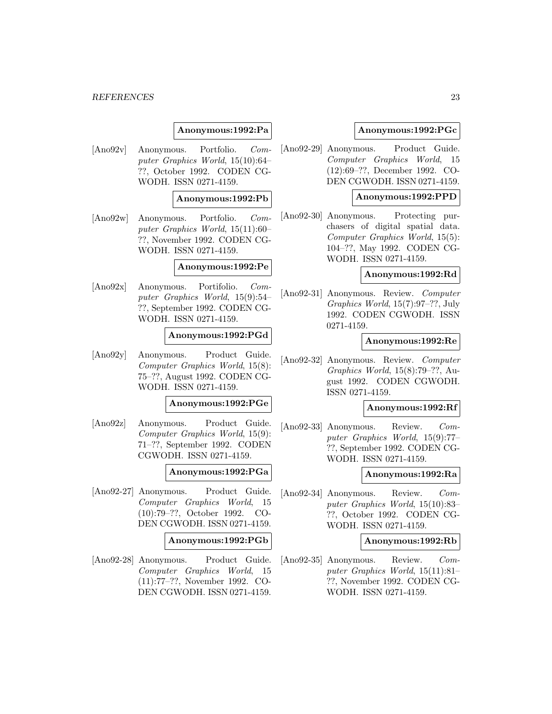#### **Anonymous:1992:Pa**

[Ano92v] Anonymous. Portfolio. Computer Graphics World, 15(10):64– ??, October 1992. CODEN CG-WODH. ISSN 0271-4159.

#### **Anonymous:1992:Pb**

[Ano92w] Anonymous. Portfolio. Computer Graphics World, 15(11):60– ??, November 1992. CODEN CG-WODH. ISSN 0271-4159.

#### **Anonymous:1992:Pe**

[Ano92x] Anonymous. Portifolio. Computer Graphics World, 15(9):54– ??, September 1992. CODEN CG-WODH. ISSN 0271-4159.

#### **Anonymous:1992:PGd**

[Ano92y] Anonymous. Product Guide. Computer Graphics World, 15(8): 75–??, August 1992. CODEN CG-WODH. ISSN 0271-4159.

## **Anonymous:1992:PGe**

[Ano92z] Anonymous. Product Guide. Computer Graphics World, 15(9): 71–??, September 1992. CODEN CGWODH. ISSN 0271-4159.

#### **Anonymous:1992:PGa**

[Ano92-27] Anonymous. Product Guide. Computer Graphics World, 15 (10):79–??, October 1992. CO-DEN CGWODH. ISSN 0271-4159.

#### **Anonymous:1992:PGb**

[Ano92-28] Anonymous. Product Guide. Computer Graphics World, 15 (11):77–??, November 1992. CO-DEN CGWODH. ISSN 0271-4159.

#### **Anonymous:1992:PGc**

[Ano92-29] Anonymous. Product Guide. Computer Graphics World, 15 (12):69–??, December 1992. CO-DEN CGWODH. ISSN 0271-4159.

#### **Anonymous:1992:PPD**

[Ano92-30] Anonymous. Protecting purchasers of digital spatial data. Computer Graphics World, 15(5): 104–??, May 1992. CODEN CG-WODH. ISSN 0271-4159.

#### **Anonymous:1992:Rd**

[Ano92-31] Anonymous. Review. Computer Graphics World, 15(7):97–??, July 1992. CODEN CGWODH. ISSN 0271-4159.

#### **Anonymous:1992:Re**

[Ano92-32] Anonymous. Review. Computer Graphics World, 15(8):79–??, August 1992. CODEN CGWODH. ISSN 0271-4159.

#### **Anonymous:1992:Rf**

[Ano92-33] Anonymous. Review. Computer Graphics World, 15(9):77– ??, September 1992. CODEN CG-WODH. ISSN 0271-4159.

#### **Anonymous:1992:Ra**

[Ano92-34] Anonymous. Review. Computer Graphics World, 15(10):83– ??, October 1992. CODEN CG-WODH. ISSN 0271-4159.

#### **Anonymous:1992:Rb**

[Ano92-35] Anonymous. Review. Computer Graphics World, 15(11):81– ??, November 1992. CODEN CG-WODH. ISSN 0271-4159.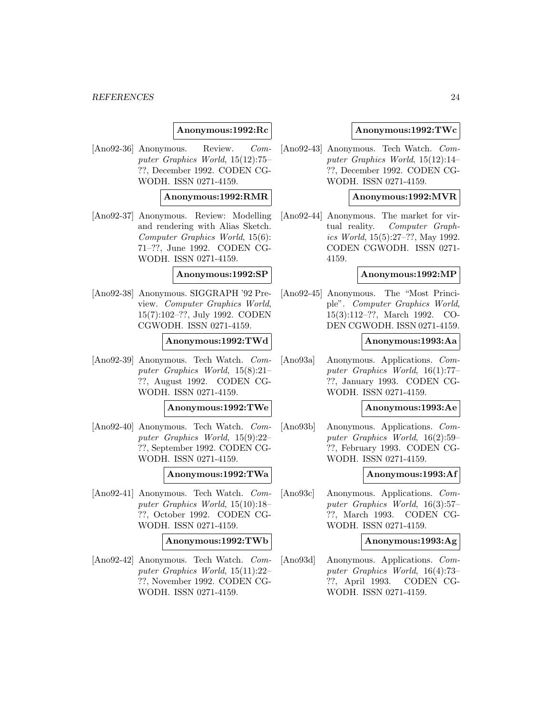#### **Anonymous:1992:Rc**

[Ano92-36] Anonymous. Review. Computer Graphics World, 15(12):75– ??, December 1992. CODEN CG-WODH. ISSN 0271-4159.

#### **Anonymous:1992:RMR**

[Ano92-37] Anonymous. Review: Modelling and rendering with Alias Sketch. Computer Graphics World, 15(6): 71–??, June 1992. CODEN CG-WODH. ISSN 0271-4159.

#### **Anonymous:1992:SP**

[Ano92-38] Anonymous. SIGGRAPH '92 Preview. Computer Graphics World, 15(7):102–??, July 1992. CODEN CGWODH. ISSN 0271-4159.

#### **Anonymous:1992:TWd**

[Ano92-39] Anonymous. Tech Watch. Computer Graphics World, 15(8):21– ??, August 1992. CODEN CG-WODH. ISSN 0271-4159.

#### **Anonymous:1992:TWe**

[Ano92-40] Anonymous. Tech Watch. Computer Graphics World, 15(9):22– ??, September 1992. CODEN CG-WODH. ISSN 0271-4159.

#### **Anonymous:1992:TWa**

[Ano92-41] Anonymous. Tech Watch. Computer Graphics World, 15(10):18– ??, October 1992. CODEN CG-WODH. ISSN 0271-4159.

#### **Anonymous:1992:TWb**

[Ano92-42] Anonymous. Tech Watch. Computer Graphics World, 15(11):22– ??, November 1992. CODEN CG-WODH. ISSN 0271-4159.

#### **Anonymous:1992:TWc**

[Ano92-43] Anonymous. Tech Watch. Computer Graphics World, 15(12):14– ??, December 1992. CODEN CG-WODH. ISSN 0271-4159.

#### **Anonymous:1992:MVR**

[Ano92-44] Anonymous. The market for virtual reality. Computer Graphics World, 15(5):27–??, May 1992. CODEN CGWODH. ISSN 0271- 4159.

#### **Anonymous:1992:MP**

[Ano92-45] Anonymous. The "Most Principle". Computer Graphics World, 15(3):112–??, March 1992. CO-DEN CGWODH. ISSN 0271-4159.

## **Anonymous:1993:Aa**

[Ano93a] Anonymous. Applications. Computer Graphics World, 16(1):77– ??, January 1993. CODEN CG-WODH. ISSN 0271-4159.

#### **Anonymous:1993:Ae**

[Ano93b] Anonymous. Applications. Computer Graphics World, 16(2):59– ??, February 1993. CODEN CG-WODH. ISSN 0271-4159.

#### **Anonymous:1993:Af**

[Ano93c] Anonymous. Applications. Computer Graphics World, 16(3):57– ??, March 1993. CODEN CG-WODH. ISSN 0271-4159.

#### **Anonymous:1993:Ag**

[Ano93d] Anonymous. Applications. Computer Graphics World, 16(4):73– ??, April 1993. CODEN CG-WODH. ISSN 0271-4159.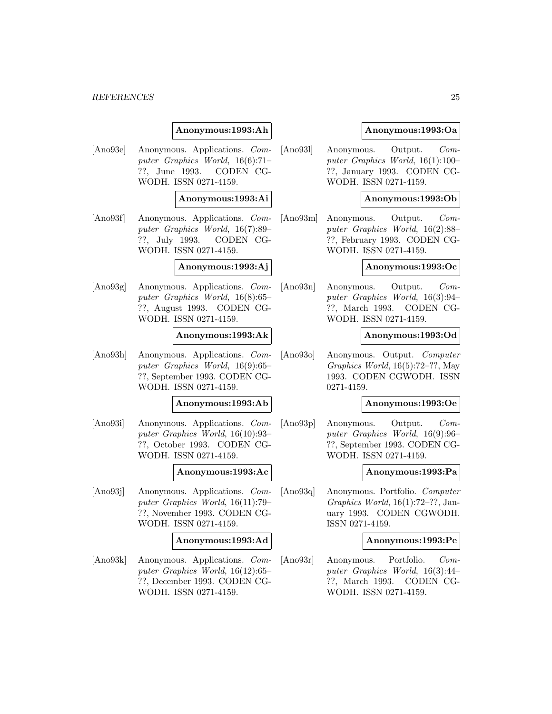#### **Anonymous:1993:Ah**

[Ano93e] Anonymous. Applications. Computer Graphics World, 16(6):71– ??, June 1993. CODEN CG-WODH. ISSN 0271-4159.

#### **Anonymous:1993:Ai**

[Ano93f] Anonymous. Applications. Computer Graphics World, 16(7):89– ??, July 1993. CODEN CG-WODH. ISSN 0271-4159.

#### **Anonymous:1993:Aj**

[Ano93g] Anonymous. Applications. Computer Graphics World, 16(8):65– ??, August 1993. CODEN CG-WODH. ISSN 0271-4159.

#### **Anonymous:1993:Ak**

[Ano93h] Anonymous. Applications. Computer Graphics World, 16(9):65– ??, September 1993. CODEN CG-WODH. ISSN 0271-4159.

#### **Anonymous:1993:Ab**

[Ano93i] Anonymous. Applications. Computer Graphics World, 16(10):93– ??, October 1993. CODEN CG-WODH. ISSN 0271-4159.

#### **Anonymous:1993:Ac**

[Ano93j] Anonymous. Applications. Computer Graphics World, 16(11):79– ??, November 1993. CODEN CG-WODH. ISSN 0271-4159.

#### **Anonymous:1993:Ad**

[Ano93k] Anonymous. Applications. Computer Graphics World, 16(12):65– ??, December 1993. CODEN CG-WODH. ISSN 0271-4159.

#### **Anonymous:1993:Oa**

[Ano93l] Anonymous. Output. Computer Graphics World, 16(1):100– ??, January 1993. CODEN CG-WODH. ISSN 0271-4159.

#### **Anonymous:1993:Ob**

[Ano93m] Anonymous. Output. Computer Graphics World, 16(2):88– ??, February 1993. CODEN CG-WODH. ISSN 0271-4159.

#### **Anonymous:1993:Oc**

[Ano93n] Anonymous. Output. Computer Graphics World, 16(3):94– ??, March 1993. CODEN CG-WODH. ISSN 0271-4159.

#### **Anonymous:1993:Od**

[Ano93o] Anonymous. Output. Computer Graphics World, 16(5):72–??, May 1993. CODEN CGWODH. ISSN 0271-4159.

#### **Anonymous:1993:Oe**

[Ano93p] Anonymous. Output. Computer Graphics World, 16(9):96– ??, September 1993. CODEN CG-WODH. ISSN 0271-4159.

#### **Anonymous:1993:Pa**

[Ano93q] Anonymous. Portfolio. Computer Graphics World, 16(1):72–??, January 1993. CODEN CGWODH. ISSN 0271-4159.

#### **Anonymous:1993:Pe**

[Ano93r] Anonymous. Portfolio. Computer Graphics World, 16(3):44– ??, March 1993. CODEN CG-WODH. ISSN 0271-4159.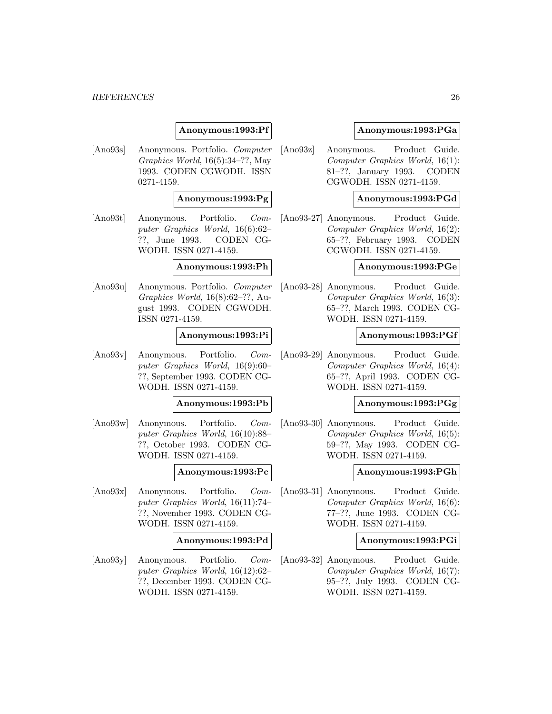## **Anonymous:1993:Pf**

[Ano93s] Anonymous. Portfolio. Computer Graphics World, 16(5):34–??, May 1993. CODEN CGWODH. ISSN 0271-4159.

#### **Anonymous:1993:Pg**

[Ano93t] Anonymous. Portfolio. Computer Graphics World, 16(6):62– ??, June 1993. CODEN CG-WODH. ISSN 0271-4159.

#### **Anonymous:1993:Ph**

[Ano93u] Anonymous. Portfolio. Computer Graphics World, 16(8):62–??, August 1993. CODEN CGWODH. ISSN 0271-4159.

#### **Anonymous:1993:Pi**

[Ano93v] Anonymous. Portfolio. Computer Graphics World, 16(9):60– ??, September 1993. CODEN CG-WODH. ISSN 0271-4159.

#### **Anonymous:1993:Pb**

[Ano93w] Anonymous. Portfolio. Computer Graphics World, 16(10):88– ??, October 1993. CODEN CG-WODH. ISSN 0271-4159.

#### **Anonymous:1993:Pc**

[Ano93x] Anonymous. Portfolio. Computer Graphics World, 16(11):74– ??, November 1993. CODEN CG-WODH. ISSN 0271-4159.

#### **Anonymous:1993:Pd**

[Ano93y] Anonymous. Portfolio. Computer Graphics World, 16(12):62– ??, December 1993. CODEN CG-WODH. ISSN 0271-4159.

#### **Anonymous:1993:PGa**

[Ano93z] Anonymous. Product Guide. Computer Graphics World, 16(1): 81–??, January 1993. CODEN CGWODH. ISSN 0271-4159.

#### **Anonymous:1993:PGd**

[Ano93-27] Anonymous. Product Guide. Computer Graphics World, 16(2): 65–??, February 1993. CODEN CGWODH. ISSN 0271-4159.

## **Anonymous:1993:PGe**

[Ano93-28] Anonymous. Product Guide. Computer Graphics World, 16(3): 65–??, March 1993. CODEN CG-WODH. ISSN 0271-4159.

#### **Anonymous:1993:PGf**

[Ano93-29] Anonymous. Product Guide. Computer Graphics World, 16(4): 65–??, April 1993. CODEN CG-WODH. ISSN 0271-4159.

## **Anonymous:1993:PGg**

[Ano93-30] Anonymous. Product Guide. Computer Graphics World, 16(5): 59–??, May 1993. CODEN CG-WODH. ISSN 0271-4159.

#### **Anonymous:1993:PGh**

[Ano93-31] Anonymous. Product Guide. Computer Graphics World, 16(6): 77–??, June 1993. CODEN CG-WODH. ISSN 0271-4159.

#### **Anonymous:1993:PGi**

[Ano93-32] Anonymous. Product Guide. Computer Graphics World, 16(7): 95–??, July 1993. CODEN CG-WODH. ISSN 0271-4159.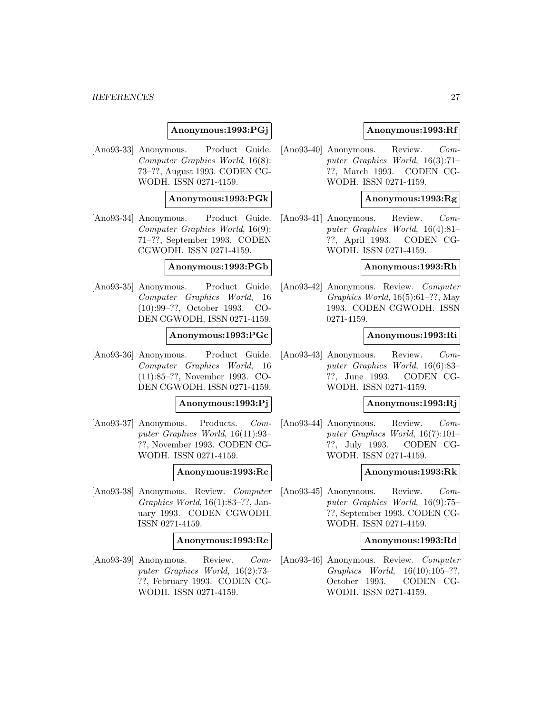## **Anonymous:1993:PGj**

[Ano93-33] Anonymous. Product Guide. Computer Graphics World, 16(8): 73–??, August 1993. CODEN CG-WODH. ISSN 0271-4159.

#### **Anonymous:1993:PGk**

[Ano93-34] Anonymous. Product Guide. Computer Graphics World, 16(9): 71–??, September 1993. CODEN CGWODH. ISSN 0271-4159.

#### **Anonymous:1993:PGb**

[Ano93-35] Anonymous. Product Guide. Computer Graphics World, 16 (10):99–??, October 1993. CO-DEN CGWODH. ISSN 0271-4159.

#### **Anonymous:1993:PGc**

[Ano93-36] Anonymous. Product Guide. Computer Graphics World, 16 (11):85–??, November 1993. CO-DEN CGWODH. ISSN 0271-4159.

#### **Anonymous:1993:Pj**

[Ano93-37] Anonymous. Products. Computer Graphics World, 16(11):93– ??, November 1993. CODEN CG-WODH. ISSN 0271-4159.

#### **Anonymous:1993:Rc**

[Ano93-38] Anonymous. Review. Computer Graphics World, 16(1):83–??, January 1993. CODEN CGWODH. ISSN 0271-4159.

#### **Anonymous:1993:Re**

[Ano93-39] Anonymous. Review. Computer Graphics World, 16(2):73– ??, February 1993. CODEN CG-WODH. ISSN 0271-4159.

#### **Anonymous:1993:Rf**

[Ano93-40] Anonymous. Review. Computer Graphics World, 16(3):71– ??, March 1993. CODEN CG-WODH. ISSN 0271-4159.

#### **Anonymous:1993:Rg**

[Ano93-41] Anonymous. Review. Computer Graphics World, 16(4):81– ??, April 1993. CODEN CG-WODH. ISSN 0271-4159.

#### **Anonymous:1993:Rh**

[Ano93-42] Anonymous. Review. Computer Graphics World, 16(5):61–??, May 1993. CODEN CGWODH. ISSN 0271-4159.

#### **Anonymous:1993:Ri**

[Ano93-43] Anonymous. Review. Computer Graphics World, 16(6):83– ??, June 1993. CODEN CG-WODH. ISSN 0271-4159.

#### **Anonymous:1993:Rj**

[Ano93-44] Anonymous. Review. Computer Graphics World, 16(7):101– ??, July 1993. CODEN CG-WODH. ISSN 0271-4159.

#### **Anonymous:1993:Rk**

[Ano93-45] Anonymous. Review. Computer Graphics World, 16(9):75– ??, September 1993. CODEN CG-WODH. ISSN 0271-4159.

#### **Anonymous:1993:Rd**

[Ano93-46] Anonymous. Review. Computer Graphics World, 16(10):105–??, October 1993. CODEN CG-WODH. ISSN 0271-4159.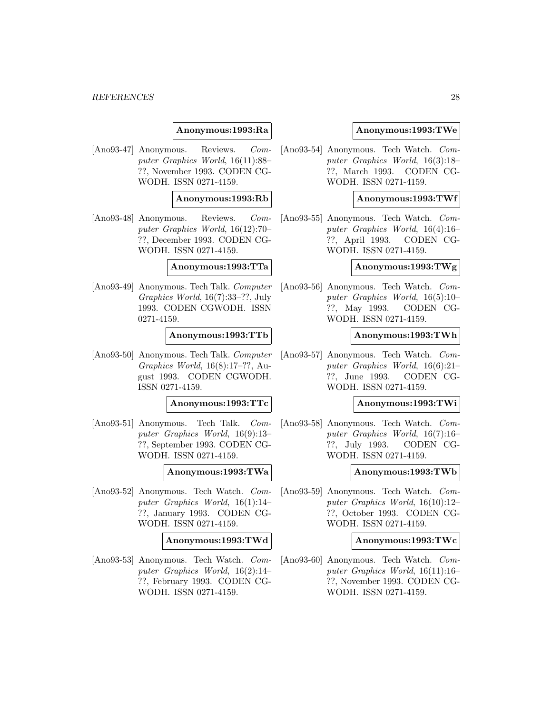#### **Anonymous:1993:Ra**

[Ano93-47] Anonymous. Reviews. Computer Graphics World, 16(11):88– ??, November 1993. CODEN CG-WODH. ISSN 0271-4159.

#### **Anonymous:1993:Rb**

[Ano93-48] Anonymous. Reviews. Computer Graphics World, 16(12):70– ??, December 1993. CODEN CG-WODH. ISSN 0271-4159.

## **Anonymous:1993:TTa**

[Ano93-49] Anonymous. Tech Talk. Computer Graphics World, 16(7):33–??, July 1993. CODEN CGWODH. ISSN 0271-4159.

#### **Anonymous:1993:TTb**

[Ano93-50] Anonymous. Tech Talk. Computer Graphics World, 16(8):17–??, August 1993. CODEN CGWODH. ISSN 0271-4159.

#### **Anonymous:1993:TTc**

[Ano93-51] Anonymous. Tech Talk. Computer Graphics World, 16(9):13– ??, September 1993. CODEN CG-WODH. ISSN 0271-4159.

#### **Anonymous:1993:TWa**

[Ano93-52] Anonymous. Tech Watch. Computer Graphics World, 16(1):14– ??, January 1993. CODEN CG-WODH. ISSN 0271-4159.

#### **Anonymous:1993:TWd**

[Ano93-53] Anonymous. Tech Watch. Computer Graphics World, 16(2):14– ??, February 1993. CODEN CG-WODH. ISSN 0271-4159.

#### **Anonymous:1993:TWe**

[Ano93-54] Anonymous. Tech Watch. Computer Graphics World, 16(3):18– ??, March 1993. CODEN CG-WODH. ISSN 0271-4159.

#### **Anonymous:1993:TWf**

[Ano93-55] Anonymous. Tech Watch. Computer Graphics World, 16(4):16– ??, April 1993. CODEN CG-WODH. ISSN 0271-4159.

## **Anonymous:1993:TWg**

[Ano93-56] Anonymous. Tech Watch. Computer Graphics World, 16(5):10– ??, May 1993. CODEN CG-WODH. ISSN 0271-4159.

#### **Anonymous:1993:TWh**

[Ano93-57] Anonymous. Tech Watch. Computer Graphics World, 16(6):21– ??, June 1993. CODEN CG-WODH. ISSN 0271-4159.

#### **Anonymous:1993:TWi**

[Ano93-58] Anonymous. Tech Watch. Computer Graphics World, 16(7):16– ??, July 1993. CODEN CG-WODH. ISSN 0271-4159.

#### **Anonymous:1993:TWb**

[Ano93-59] Anonymous. Tech Watch. Computer Graphics World, 16(10):12– ??, October 1993. CODEN CG-WODH. ISSN 0271-4159.

#### **Anonymous:1993:TWc**

[Ano93-60] Anonymous. Tech Watch. Computer Graphics World, 16(11):16– ??, November 1993. CODEN CG-WODH. ISSN 0271-4159.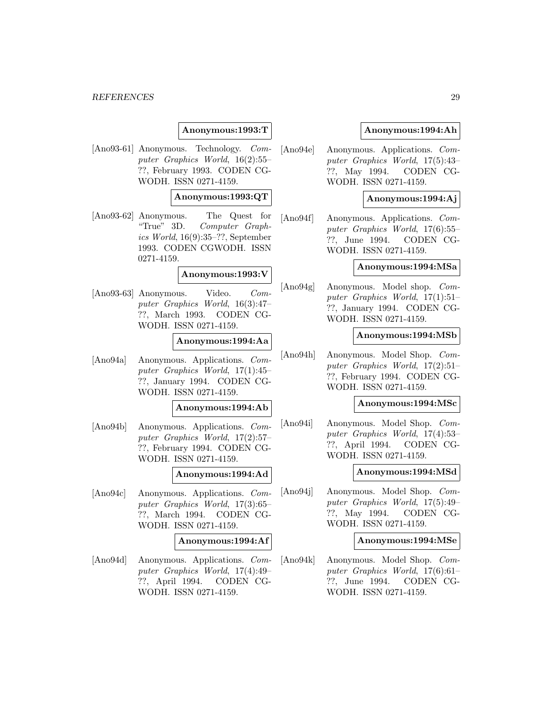## **Anonymous:1993:T**

[Ano93-61] Anonymous. Technology. Computer Graphics World, 16(2):55– ??, February 1993. CODEN CG-WODH. ISSN 0271-4159.

## **Anonymous:1993:QT**

[Ano93-62] Anonymous. The Quest for "True" 3D. Computer Graphics World, 16(9):35–??, September 1993. CODEN CGWODH. ISSN 0271-4159.

## **Anonymous:1993:V**

[Ano93-63] Anonymous. Video. Computer Graphics World, 16(3):47– ??, March 1993. CODEN CG-WODH. ISSN 0271-4159.

#### **Anonymous:1994:Aa**

[Ano94a] Anonymous. Applications. Computer Graphics World, 17(1):45– ??, January 1994. CODEN CG-WODH. ISSN 0271-4159.

#### **Anonymous:1994:Ab**

[Ano94b] Anonymous. Applications. Computer Graphics World, 17(2):57– ??, February 1994. CODEN CG-WODH. ISSN 0271-4159.

#### **Anonymous:1994:Ad**

[Ano94c] Anonymous. Applications. Computer Graphics World, 17(3):65– ??, March 1994. CODEN CG-WODH. ISSN 0271-4159.

#### **Anonymous:1994:Af**

[Ano94d] Anonymous. Applications. Computer Graphics World, 17(4):49– ??, April 1994. CODEN CG-WODH. ISSN 0271-4159.

## **Anonymous:1994:Ah**

[Ano94e] Anonymous. Applications. Computer Graphics World, 17(5):43– ??, May 1994. CODEN CG-WODH. ISSN 0271-4159.

#### **Anonymous:1994:Aj**

[Ano94f] Anonymous. Applications. Computer Graphics World, 17(6):55– ??, June 1994. CODEN CG-WODH. ISSN 0271-4159.

## **Anonymous:1994:MSa**

[Ano94g] Anonymous. Model shop. Computer Graphics World, 17(1):51– ??, January 1994. CODEN CG-WODH. ISSN 0271-4159.

#### **Anonymous:1994:MSb**

[Ano94h] Anonymous. Model Shop. Computer Graphics World, 17(2):51– ??, February 1994. CODEN CG-WODH. ISSN 0271-4159.

## **Anonymous:1994:MSc**

[Ano94i] Anonymous. Model Shop. Computer Graphics World, 17(4):53– ??, April 1994. CODEN CG-WODH. ISSN 0271-4159.

## **Anonymous:1994:MSd**

[Ano94j] Anonymous. Model Shop. Computer Graphics World, 17(5):49– ??, May 1994. CODEN CG-WODH. ISSN 0271-4159.

#### **Anonymous:1994:MSe**

[Ano94k] Anonymous. Model Shop. Computer Graphics World, 17(6):61– ??, June 1994. CODEN CG-WODH. ISSN 0271-4159.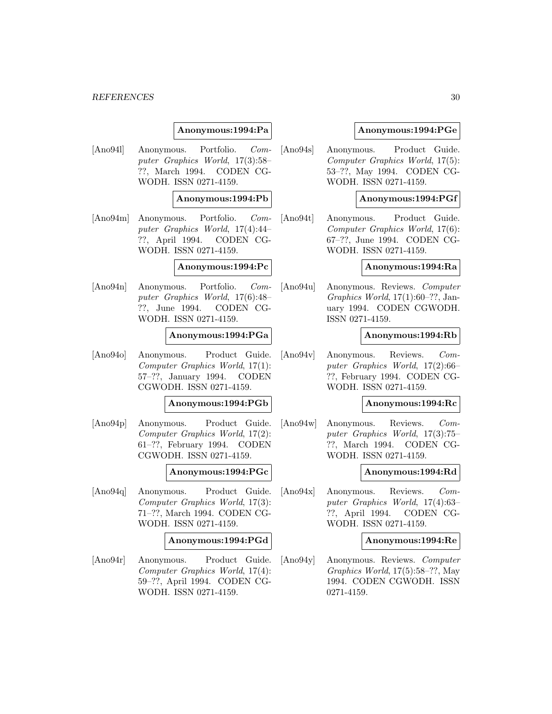#### **Anonymous:1994:Pa**

[Ano94l] Anonymous. Portfolio. Computer Graphics World, 17(3):58– ??, March 1994. CODEN CG-WODH. ISSN 0271-4159.

#### **Anonymous:1994:Pb**

[Ano94m] Anonymous. Portfolio. Computer Graphics World, 17(4):44– ??, April 1994. CODEN CG-WODH. ISSN 0271-4159.

#### **Anonymous:1994:Pc**

[Ano94n] Anonymous. Portfolio. Computer Graphics World, 17(6):48– ??, June 1994. CODEN CG-WODH. ISSN 0271-4159.

#### **Anonymous:1994:PGa**

[Ano94o] Anonymous. Product Guide. Computer Graphics World, 17(1): 57–??, January 1994. CODEN CGWODH. ISSN 0271-4159.

## **Anonymous:1994:PGb**

[Ano94p] Anonymous. Product Guide. Computer Graphics World, 17(2): 61–??, February 1994. CODEN CGWODH. ISSN 0271-4159.

#### **Anonymous:1994:PGc**

[Ano94q] Anonymous. Product Guide. Computer Graphics World, 17(3): 71–??, March 1994. CODEN CG-WODH. ISSN 0271-4159.

#### **Anonymous:1994:PGd**

[Ano94r] Anonymous. Product Guide. Computer Graphics World, 17(4): 59–??, April 1994. CODEN CG-WODH. ISSN 0271-4159.

#### **Anonymous:1994:PGe**

[Ano94s] Anonymous. Product Guide. Computer Graphics World, 17(5): 53–??, May 1994. CODEN CG-WODH. ISSN 0271-4159.

#### **Anonymous:1994:PGf**

[Ano94t] Anonymous. Product Guide. Computer Graphics World, 17(6): 67–??, June 1994. CODEN CG-WODH. ISSN 0271-4159.

#### **Anonymous:1994:Ra**

[Ano94u] Anonymous. Reviews. Computer Graphics World, 17(1):60–??, January 1994. CODEN CGWODH. ISSN 0271-4159.

#### **Anonymous:1994:Rb**

[Ano94v] Anonymous. Reviews. Computer Graphics World, 17(2):66– ??, February 1994. CODEN CG-WODH. ISSN 0271-4159.

#### **Anonymous:1994:Rc**

[Ano94w] Anonymous. Reviews. Computer Graphics World, 17(3):75– ??, March 1994. CODEN CG-WODH. ISSN 0271-4159.

#### **Anonymous:1994:Rd**

[Ano94x] Anonymous. Reviews. Computer Graphics World, 17(4):63– ??, April 1994. CODEN CG-WODH. ISSN 0271-4159.

#### **Anonymous:1994:Re**

[Ano94y] Anonymous. Reviews. Computer Graphics World, 17(5):58–??, May 1994. CODEN CGWODH. ISSN 0271-4159.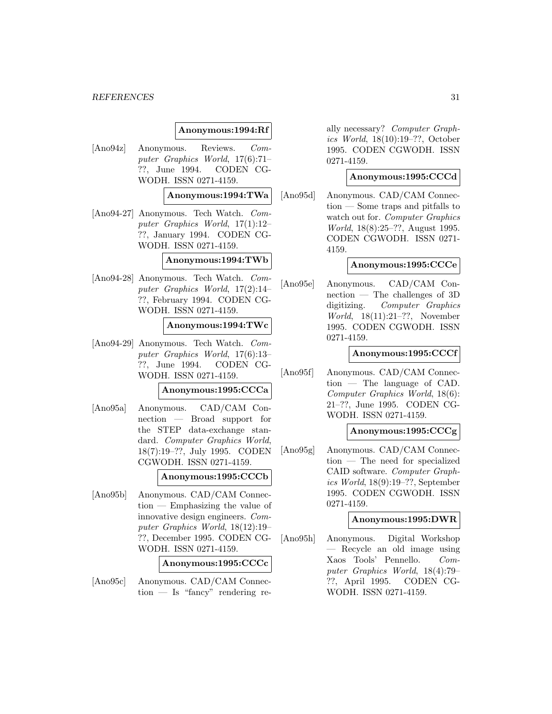#### **Anonymous:1994:Rf**

[Ano94z] Anonymous. Reviews. Computer Graphics World, 17(6):71– ??, June 1994. CODEN CG-WODH. ISSN 0271-4159.

#### **Anonymous:1994:TWa**

[Ano94-27] Anonymous. Tech Watch. Computer Graphics World, 17(1):12– ??, January 1994. CODEN CG-WODH. ISSN 0271-4159.

#### **Anonymous:1994:TWb**

[Ano94-28] Anonymous. Tech Watch. Computer Graphics World, 17(2):14– ??, February 1994. CODEN CG-WODH. ISSN 0271-4159.

#### **Anonymous:1994:TWc**

[Ano94-29] Anonymous. Tech Watch. Computer Graphics World, 17(6):13– ??, June 1994. CODEN CG-WODH. ISSN 0271-4159.

#### **Anonymous:1995:CCCa**

[Ano95a] Anonymous. CAD/CAM Connection — Broad support for the STEP data-exchange standard. Computer Graphics World, 18(7):19–??, July 1995. CODEN CGWODH. ISSN 0271-4159.

#### **Anonymous:1995:CCCb**

[Ano95b] Anonymous. CAD/CAM Connection — Emphasizing the value of innovative design engineers. Computer Graphics World, 18(12):19– ??, December 1995. CODEN CG-WODH. ISSN 0271-4159.

#### **Anonymous:1995:CCCc**

[Ano95c] Anonymous. CAD/CAM Connection — Is "fancy" rendering re-

ally necessary? Computer Graphics World, 18(10):19–??, October 1995. CODEN CGWODH. ISSN 0271-4159.

## **Anonymous:1995:CCCd**

[Ano95d] Anonymous. CAD/CAM Connection — Some traps and pitfalls to watch out for. Computer Graphics World, 18(8):25–??, August 1995. CODEN CGWODH. ISSN 0271- 4159.

## **Anonymous:1995:CCCe**

[Ano95e] Anonymous. CAD/CAM Connection — The challenges of 3D digitizing. Computer Graphics World, 18(11):21–??, November 1995. CODEN CGWODH. ISSN 0271-4159.

## **Anonymous:1995:CCCf**

[Ano95f] Anonymous. CAD/CAM Connection — The language of CAD. Computer Graphics World, 18(6): 21–??, June 1995. CODEN CG-WODH. ISSN 0271-4159.

## **Anonymous:1995:CCCg**

[Ano95g] Anonymous. CAD/CAM Connection — The need for specialized CAID software. Computer Graphics World, 18(9):19–??, September 1995. CODEN CGWODH. ISSN 0271-4159.

#### **Anonymous:1995:DWR**

[Ano95h] Anonymous. Digital Workshop — Recycle an old image using Xaos Tools' Pennello. Computer Graphics World, 18(4):79– ??, April 1995. CODEN CG-WODH. ISSN 0271-4159.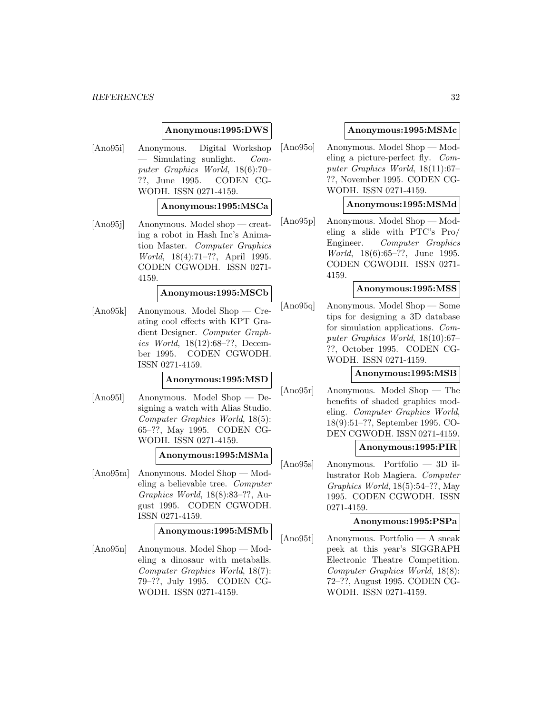#### **Anonymous:1995:DWS**

[Ano95i] Anonymous. Digital Workshop  $-$  Simulating sunlight. Computer Graphics World, 18(6):70– ??, June 1995. CODEN CG-WODH. ISSN 0271-4159.

#### **Anonymous:1995:MSCa**

[Ano95j] Anonymous. Model shop — creating a robot in Hash Inc's Animation Master. Computer Graphics World, 18(4):71–??, April 1995. CODEN CGWODH. ISSN 0271- 4159.

#### **Anonymous:1995:MSCb**

[Ano95k] Anonymous. Model Shop — Creating cool effects with KPT Gradient Designer. Computer Graphics World, 18(12):68–??, December 1995. CODEN CGWODH. ISSN 0271-4159.

#### **Anonymous:1995:MSD**

[Ano95l] Anonymous. Model Shop — Designing a watch with Alias Studio. Computer Graphics World, 18(5): 65–??, May 1995. CODEN CG-WODH. ISSN 0271-4159.

## **Anonymous:1995:MSMa**

[Ano95m] Anonymous. Model Shop — Modeling a believable tree. Computer Graphics World, 18(8):83–??, August 1995. CODEN CGWODH. ISSN 0271-4159.

## **Anonymous:1995:MSMb**

[Ano95n] Anonymous. Model Shop — Modeling a dinosaur with metaballs. Computer Graphics World, 18(7): 79–??, July 1995. CODEN CG-WODH. ISSN 0271-4159.

#### **Anonymous:1995:MSMc**

[Ano95o] Anonymous. Model Shop — Modeling a picture-perfect fly. Computer Graphics World, 18(11):67– ??, November 1995. CODEN CG-WODH. ISSN 0271-4159.

#### **Anonymous:1995:MSMd**

[Ano95p] Anonymous. Model Shop — Modeling a slide with PTC's Pro/ Engineer. Computer Graphics World, 18(6):65–??, June 1995. CODEN CGWODH. ISSN 0271- 4159.

#### **Anonymous:1995:MSS**

[Ano95q] Anonymous. Model Shop — Some tips for designing a 3D database for simulation applications. Computer Graphics World, 18(10):67– ??, October 1995. CODEN CG-WODH. ISSN 0271-4159.

#### **Anonymous:1995:MSB**

[Ano95r] Anonymous. Model Shop — The benefits of shaded graphics modeling. Computer Graphics World, 18(9):51–??, September 1995. CO-DEN CGWODH. ISSN 0271-4159.

#### **Anonymous:1995:PIR**

[Ano95s] Anonymous. Portfolio — 3D illustrator Rob Magiera. Computer Graphics World, 18(5):54–??, May 1995. CODEN CGWODH. ISSN 0271-4159.

## **Anonymous:1995:PSPa**

[Ano95t] Anonymous. Portfolio — A sneak peek at this year's SIGGRAPH Electronic Theatre Competition. Computer Graphics World, 18(8): 72–??, August 1995. CODEN CG-WODH. ISSN 0271-4159.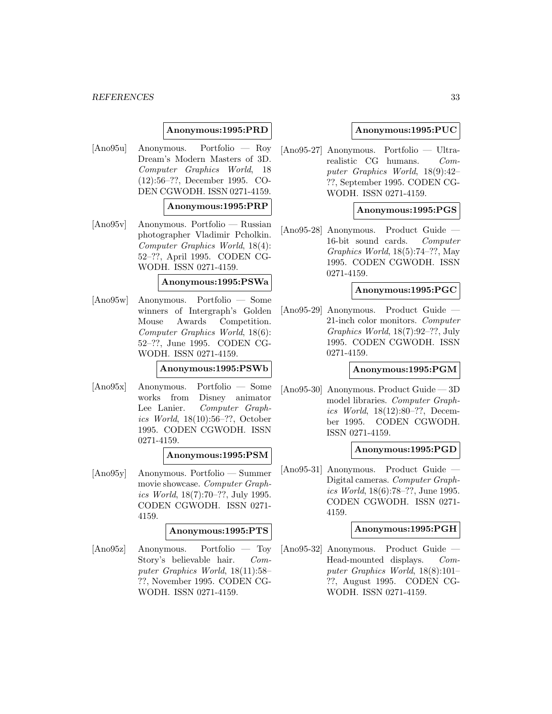## **Anonymous:1995:PRD**

[Ano95u] Anonymous. Portfolio — Roy Dream's Modern Masters of 3D. Computer Graphics World, 18 (12):56–??, December 1995. CO-DEN CGWODH. ISSN 0271-4159.

#### **Anonymous:1995:PRP**

[Ano95v] Anonymous. Portfolio — Russian photographer Vladimir Pcholkin. Computer Graphics World, 18(4): 52–??, April 1995. CODEN CG-WODH. ISSN 0271-4159.

## **Anonymous:1995:PSWa**

[Ano95w] Anonymous. Portfolio — Some winners of Intergraph's Golden Mouse Awards Competition. Computer Graphics World, 18(6): 52–??, June 1995. CODEN CG-WODH. ISSN 0271-4159.

#### **Anonymous:1995:PSWb**

[Ano95x] Anonymous. Portfolio — Some works from Disney animator Lee Lanier. Computer Graphics World, 18(10):56–??, October 1995. CODEN CGWODH. ISSN 0271-4159.

#### **Anonymous:1995:PSM**

[Ano95y] Anonymous. Portfolio — Summer movie showcase. Computer Graphics World, 18(7):70–??, July 1995. CODEN CGWODH. ISSN 0271- 4159.

## **Anonymous:1995:PTS**

[Ano95z] Anonymous. Portfolio — Toy Story's believable hair. Computer Graphics World, 18(11):58– ??, November 1995. CODEN CG-WODH. ISSN 0271-4159.

#### **Anonymous:1995:PUC**

[Ano95-27] Anonymous. Portfolio — Ultrarealistic CG humans. Computer Graphics World, 18(9):42– ??, September 1995. CODEN CG-WODH. ISSN 0271-4159.

## **Anonymous:1995:PGS**

[Ano95-28] Anonymous. Product Guide — 16-bit sound cards. Computer Graphics World, 18(5):74–??, May 1995. CODEN CGWODH. ISSN 0271-4159.

#### **Anonymous:1995:PGC**

[Ano95-29] Anonymous. Product Guide — 21-inch color monitors. Computer Graphics World, 18(7):92–??, July 1995. CODEN CGWODH. ISSN 0271-4159.

#### **Anonymous:1995:PGM**

[Ano95-30] Anonymous. Product Guide — 3D model libraries. Computer Graphics World, 18(12):80–??, December 1995. CODEN CGWODH. ISSN 0271-4159.

## **Anonymous:1995:PGD**

[Ano95-31] Anonymous. Product Guide — Digital cameras. Computer Graphics World, 18(6):78–??, June 1995. CODEN CGWODH. ISSN 0271- 4159.

#### **Anonymous:1995:PGH**

[Ano95-32] Anonymous. Product Guide — Head-mounted displays. Computer Graphics World, 18(8):101– ??, August 1995. CODEN CG-WODH. ISSN 0271-4159.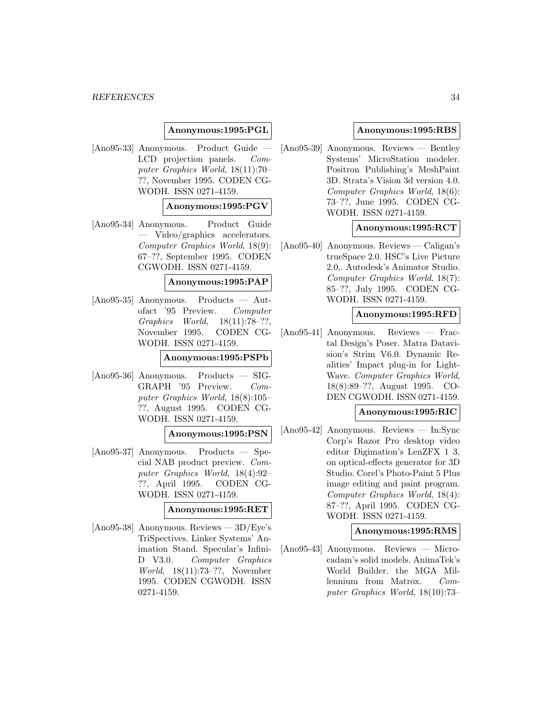## **Anonymous:1995:PGL**

[Ano95-33] Anonymous. Product Guide — LCD projection panels. Computer Graphics World, 18(11):70– ??, November 1995. CODEN CG-WODH. ISSN 0271-4159.

#### **Anonymous:1995:PGV**

[Ano95-34] Anonymous. Product Guide — Video/graphics accelerators. Computer Graphics World, 18(9): 67–??, September 1995. CODEN CGWODH. ISSN 0271-4159.

#### **Anonymous:1995:PAP**

[Ano95-35] Anonymous. Products — Autofact '95 Preview. Computer Graphics World, 18(11):78–??, November 1995. CODEN CG-WODH. ISSN 0271-4159.

#### **Anonymous:1995:PSPb**

[Ano95-36] Anonymous. Products — SIG-GRAPH '95 Preview. Computer Graphics World, 18(8):105– ??, August 1995. CODEN CG-WODH. ISSN 0271-4159.

## **Anonymous:1995:PSN**

[Ano95-37] Anonymous. Products — Special NAB product preview. Computer Graphics World, 18(4):92– ??, April 1995. CODEN CG-WODH. ISSN 0271-4159.

#### **Anonymous:1995:RET**

[Ano95-38] Anonymous. Reviews — 3D/Eye's TriSpectives. Linker Systems' Animation Stand. Specular's Infini-D V3.0. Computer Graphics World, 18(11):73–??, November 1995. CODEN CGWODH. ISSN 0271-4159.

#### **Anonymous:1995:RBS**

[Ano95-39] Anonymous. Reviews — Bentley Systems' MicroStation modeler. Positron Publishing's MeshPaint 3D. Strata's Vision 3d version 4.0. Computer Graphics World, 18(6): 73–??, June 1995. CODEN CG-WODH. ISSN 0271-4159.

#### **Anonymous:1995:RCT**

[Ano95-40] Anonymous. Reviews — Caligan's trueSpace 2.0. HSC's Live Picture 2.0,. Autodesk's Animator Studio. Computer Graphics World, 18(7): 85–??, July 1995. CODEN CG-WODH. ISSN 0271-4159.

#### **Anonymous:1995:RFD**

[Ano95-41] Anonymous. Reviews — Fractal Design's Poser. Matra Datavision's Strim V6.0. Dynamic Realities' Impact plug-in for Light-Wave. Computer Graphics World, 18(8):89–??, August 1995. CO-DEN CGWODH. ISSN 0271-4159.

#### **Anonymous:1995:RIC**

[Ano95-42] Anonymous. Reviews — In:Sync Corp's Razor Pro desktop video editor Digimation's LenZFX 1 3, on optical-effects generator for 3D Studio. Corel's Photo-Paint 5 Plus image editing and paint program. Computer Graphics World, 18(4): 87–??, April 1995. CODEN CG-WODH. ISSN 0271-4159.

#### **Anonymous:1995:RMS**

[Ano95-43] Anonymous. Reviews — Microcadam's solid models. AnimaTek's World Builder. the MGA Millennium from Matrox. Computer Graphics World, 18(10):73–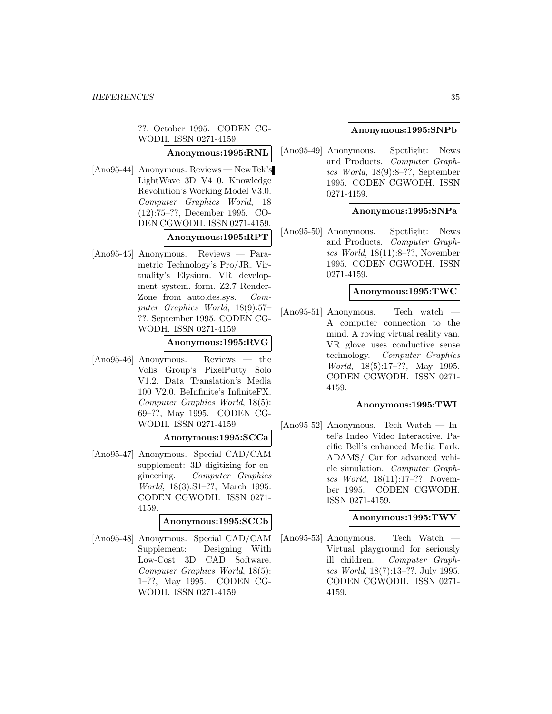??, October 1995. CODEN CG-WODH. ISSN 0271-4159.

**Anonymous:1995:RNL**

[Ano95-44] Anonymous. Reviews — NewTek's LightWave 3D V4 0. Knowledge Revolution's Working Model V3.0. Computer Graphics World, 18 (12):75–??, December 1995. CO-DEN CGWODH. ISSN 0271-4159. **Anonymous:1995:RPT**

[Ano95-45] Anonymous. Reviews — Parametric Technology's Pro/JR. Virtuality's Elysium. VR development system. form. Z2.7 Render-Zone from auto.des.sys. Computer Graphics World, 18(9):57– ??, September 1995. CODEN CG-WODH. ISSN 0271-4159.

#### **Anonymous:1995:RVG**

[Ano95-46] Anonymous. Reviews — the Volis Group's PixelPutty Solo V1.2. Data Translation's Media 100 V2.0. BeInfinite's InfiniteFX. Computer Graphics World, 18(5): 69–??, May 1995. CODEN CG-WODH. ISSN 0271-4159.

#### **Anonymous:1995:SCCa**

[Ano95-47] Anonymous. Special CAD/CAM supplement: 3D digitizing for engineering. Computer Graphics World, 18(3):S1–??, March 1995. CODEN CGWODH. ISSN 0271- 4159.

## **Anonymous:1995:SCCb**

[Ano95-48] Anonymous. Special CAD/CAM Supplement: Designing With Low-Cost 3D CAD Software. Computer Graphics World, 18(5): 1–??, May 1995. CODEN CG-WODH. ISSN 0271-4159.

#### **Anonymous:1995:SNPb**

[Ano95-49] Anonymous. Spotlight: News and Products. Computer Graphics World, 18(9):8–??, September 1995. CODEN CGWODH. ISSN 0271-4159.

#### **Anonymous:1995:SNPa**

[Ano95-50] Anonymous. Spotlight: News and Products. Computer Graphics World, 18(11):8–??, November 1995. CODEN CGWODH. ISSN 0271-4159.

#### **Anonymous:1995:TWC**

[Ano95-51] Anonymous. — Tech watch A computer connection to the mind. A roving virtual reality van. VR glove uses conductive sense technology. Computer Graphics World, 18(5):17–??, May 1995. CODEN CGWODH. ISSN 0271- 4159.

## **Anonymous:1995:TWI**

[Ano95-52] Anonymous. Tech Watch — Intel's Indeo Video Interactive. Pacific Bell's enhanced Media Park. ADAMS/ Car for advanced vehicle simulation. Computer Graphics World, 18(11):17–??, November 1995. CODEN CGWODH. ISSN 0271-4159.

#### **Anonymous:1995:TWV**

[Ano95-53] Anonymous. — Tech Watch Virtual playground for seriously ill children. Computer Graphics World, 18(7):13–??, July 1995. CODEN CGWODH. ISSN 0271- 4159.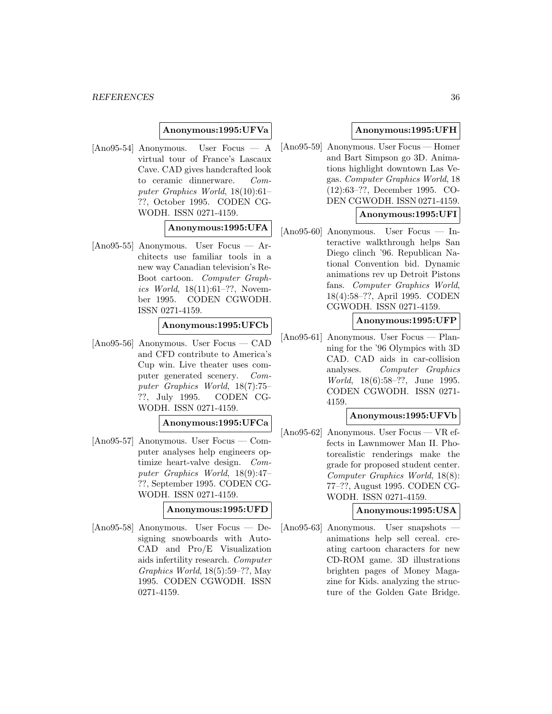#### **Anonymous:1995:UFVa**

[Ano95-54] Anonymous. User Focus — A virtual tour of France's Lascaux Cave. CAD gives handcrafted look to ceramic dinnerware. Computer Graphics World, 18(10):61– ??, October 1995. CODEN CG-WODH. ISSN 0271-4159.

## **Anonymous:1995:UFA**

[Ano95-55] Anonymous. User Focus — Architects use familiar tools in a new way Canadian television's Re-Boot cartoon. Computer Graphics World, 18(11):61–??, November 1995. CODEN CGWODH. ISSN 0271-4159.

**Anonymous:1995:UFCb**

[Ano95-56] Anonymous. User Focus — CAD and CFD contribute to America's Cup win. Live theater uses computer generated scenery. Computer Graphics World, 18(7):75– ??, July 1995. CODEN CG-WODH. ISSN 0271-4159.

#### **Anonymous:1995:UFCa**

[Ano95-57] Anonymous. User Focus — Computer analyses help engineers optimize heart-valve design. Computer Graphics World, 18(9):47– ??, September 1995. CODEN CG-WODH. ISSN 0271-4159.

#### **Anonymous:1995:UFD**

[Ano95-58] Anonymous. User Focus — Designing snowboards with Auto-CAD and Pro/E Visualization aids infertility research. Computer Graphics World, 18(5):59–??, May 1995. CODEN CGWODH. ISSN 0271-4159.

## **Anonymous:1995:UFH**

[Ano95-59] Anonymous. User Focus — Homer and Bart Simpson go 3D. Animations highlight downtown Las Vegas. Computer Graphics World, 18 (12):63–??, December 1995. CO-DEN CGWODH. ISSN 0271-4159.

## **Anonymous:1995:UFI**

[Ano95-60] Anonymous. User Focus — Interactive walkthrough helps San Diego clinch '96. Republican National Convention bid. Dynamic animations rev up Detroit Pistons fans. Computer Graphics World, 18(4):58–??, April 1995. CODEN CGWODH. ISSN 0271-4159.

#### **Anonymous:1995:UFP**

[Ano95-61] Anonymous. User Focus — Planning for the '96 Olympics with 3D CAD. CAD aids in car-collision analyses. Computer Graphics World, 18(6):58–??, June 1995. CODEN CGWODH. ISSN 0271- 4159.

#### **Anonymous:1995:UFVb**

[Ano95-62] Anonymous. User Focus — VR effects in Lawnmower Man II. Photorealistic renderings make the grade for proposed student center. Computer Graphics World, 18(8): 77–??, August 1995. CODEN CG-WODH. ISSN 0271-4159.

#### **Anonymous:1995:USA**

[Ano95-63] Anonymous. User snapshots animations help sell cereal. creating cartoon characters for new CD-ROM game. 3D illustrations brighten pages of Money Magazine for Kids. analyzing the structure of the Golden Gate Bridge.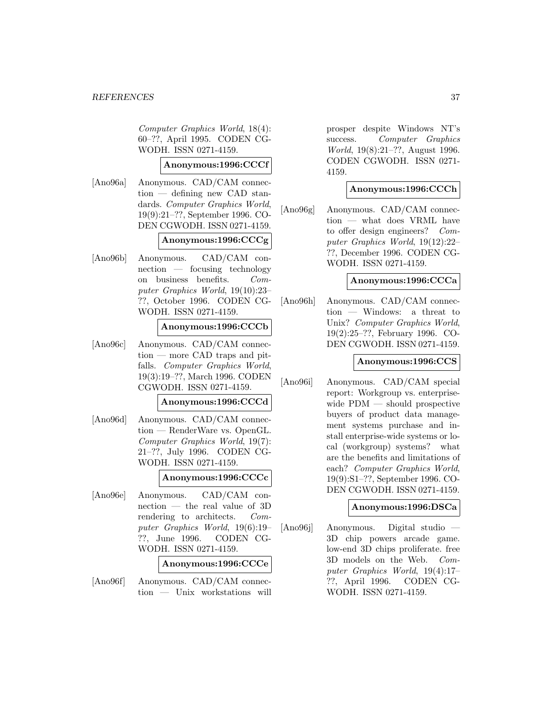Computer Graphics World, 18(4): 60–??, April 1995. CODEN CG-WODH. ISSN 0271-4159.

# **Anonymous:1996:CCCf**

[Ano96a] Anonymous. CAD/CAM connection — defining new CAD standards. Computer Graphics World, 19(9):21–??, September 1996. CO-DEN CGWODH. ISSN 0271-4159.

# **Anonymous:1996:CCCg**

[Ano96b] Anonymous. CAD/CAM connection — focusing technology on business benefits. Computer Graphics World, 19(10):23– ??, October 1996. CODEN CG-WODH. ISSN 0271-4159.

# **Anonymous:1996:CCCb**

[Ano96c] Anonymous. CAD/CAM connection — more CAD traps and pitfalls. Computer Graphics World, 19(3):19–??, March 1996. CODEN CGWODH. ISSN 0271-4159.

# **Anonymous:1996:CCCd**

[Ano96d] Anonymous. CAD/CAM connection — RenderWare vs. OpenGL. Computer Graphics World, 19(7): 21–??, July 1996. CODEN CG-WODH. ISSN 0271-4159.

# **Anonymous:1996:CCCc**

[Ano96e] Anonymous. CAD/CAM connection — the real value of 3D rendering to architects. Computer Graphics World, 19(6):19– ??, June 1996. CODEN CG-WODH. ISSN 0271-4159.

#### **Anonymous:1996:CCCe**

[Ano96f] Anonymous. CAD/CAM connection — Unix workstations will prosper despite Windows NT's success. Computer Graphics World, 19(8):21–??, August 1996. CODEN CGWODH. ISSN 0271- 4159.

# **Anonymous:1996:CCCh**

[Ano96g] Anonymous. CAD/CAM connection — what does VRML have to offer design engineers? Computer Graphics World, 19(12):22– ??, December 1996. CODEN CG-WODH. ISSN 0271-4159.

# **Anonymous:1996:CCCa**

[Ano96h] Anonymous. CAD/CAM connection — Windows: a threat to Unix? Computer Graphics World, 19(2):25–??, February 1996. CO-DEN CGWODH. ISSN 0271-4159.

# **Anonymous:1996:CCS**

[Ano96i] Anonymous. CAD/CAM special report: Workgroup vs. enterprisewide PDM — should prospective buyers of product data management systems purchase and install enterprise-wide systems or local (workgroup) systems? what are the benefits and limitations of each? Computer Graphics World, 19(9):S1–??, September 1996. CO-DEN CGWODH. ISSN 0271-4159.

# **Anonymous:1996:DSCa**

[Ano96j] Anonymous. Digital studio — 3D chip powers arcade game. low-end 3D chips proliferate. free 3D models on the Web. Computer Graphics World, 19(4):17– ??, April 1996. CODEN CG-WODH. ISSN 0271-4159.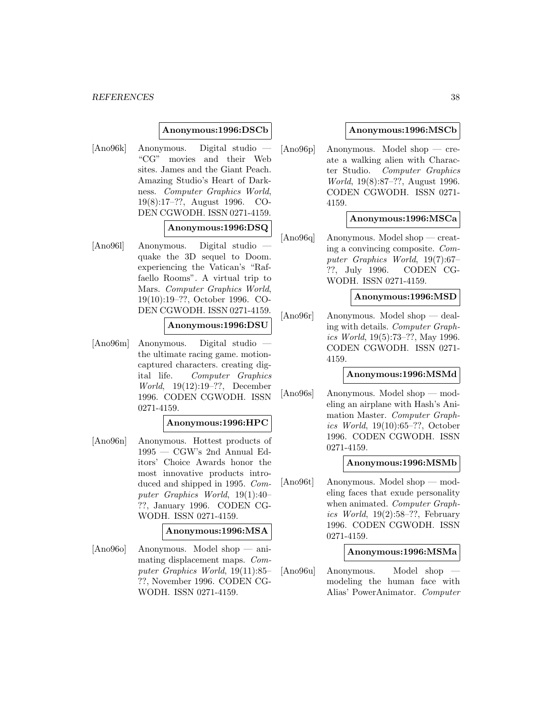#### *REFERENCES* 38

### **Anonymous:1996:DSCb**

[Ano96k] Anonymous. Digital studio — "CG" movies and their Web sites. James and the Giant Peach. Amazing Studio's Heart of Darkness. Computer Graphics World, 19(8):17–??, August 1996. CO-DEN CGWODH. ISSN 0271-4159.

#### **Anonymous:1996:DSQ**

[Ano961] Anonymous. Digital studio quake the 3D sequel to Doom. experiencing the Vatican's "Raffaello Rooms". A virtual trip to Mars. Computer Graphics World, 19(10):19–??, October 1996. CO-DEN CGWODH. ISSN 0271-4159.

# **Anonymous:1996:DSU**

[Ano96m] Anonymous. Digital studio the ultimate racing game. motioncaptured characters. creating digital life. Computer Graphics World, 19(12):19–??, December 1996. CODEN CGWODH. ISSN 0271-4159.

#### **Anonymous:1996:HPC**

[Ano96n] Anonymous. Hottest products of 1995 — CGW's 2nd Annual Editors' Choice Awards honor the most innovative products introduced and shipped in 1995. Computer Graphics World, 19(1):40– ??, January 1996. CODEN CG-WODH. ISSN 0271-4159.

### **Anonymous:1996:MSA**

[Ano96o] Anonymous. Model shop — animating displacement maps. Computer Graphics World, 19(11):85– ??, November 1996. CODEN CG-WODH. ISSN 0271-4159.

### **Anonymous:1996:MSCb**

[Ano96p] Anonymous. Model shop — create a walking alien with Character Studio. Computer Graphics World, 19(8):87–??, August 1996. CODEN CGWODH. ISSN 0271- 4159.

### **Anonymous:1996:MSCa**

[Ano96q] Anonymous. Model shop — creating a convincing composite. Computer Graphics World, 19(7):67– ??, July 1996. CODEN CG-WODH. ISSN 0271-4159.

### **Anonymous:1996:MSD**

[Ano96r] Anonymous. Model shop — dealing with details. Computer Graphics World, 19(5):73–??, May 1996. CODEN CGWODH. ISSN 0271- 4159.

#### **Anonymous:1996:MSMd**

[Ano96s] Anonymous. Model shop — modeling an airplane with Hash's Animation Master. Computer Graphics World, 19(10):65–??, October 1996. CODEN CGWODH. ISSN 0271-4159.

#### **Anonymous:1996:MSMb**

[Ano96t] Anonymous. Model shop — modeling faces that exude personality when animated. Computer Graphics World, 19(2):58–??, February 1996. CODEN CGWODH. ISSN 0271-4159.

### **Anonymous:1996:MSMa**

[Ano96u] Anonymous. Model shop modeling the human face with Alias' PowerAnimator. Computer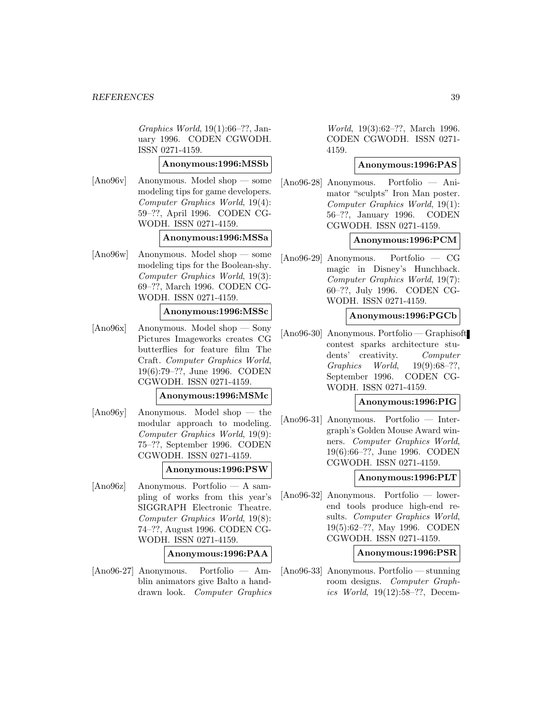Graphics World, 19(1):66–??, January 1996. CODEN CGWODH. ISSN 0271-4159.

**Anonymous:1996:MSSb**

[Ano96v] Anonymous. Model shop — some modeling tips for game developers. Computer Graphics World, 19(4): 59–??, April 1996. CODEN CG-WODH. ISSN 0271-4159.

#### **Anonymous:1996:MSSa**

[Ano96w] Anonymous. Model shop — some modeling tips for the Boolean-shy. Computer Graphics World, 19(3): 69–??, March 1996. CODEN CG-WODH. ISSN 0271-4159.

# **Anonymous:1996:MSSc**

[Ano96x] Anonymous. Model shop — Sony Pictures Imageworks creates CG butterflies for feature film The Craft. Computer Graphics World, 19(6):79–??, June 1996. CODEN CGWODH. ISSN 0271-4159.

#### **Anonymous:1996:MSMc**

[Ano96y] Anonymous. Model shop — the modular approach to modeling. Computer Graphics World, 19(9): 75–??, September 1996. CODEN CGWODH. ISSN 0271-4159.

#### **Anonymous:1996:PSW**

[Ano96z] Anonymous. Portfolio — A sampling of works from this year's SIGGRAPH Electronic Theatre. Computer Graphics World, 19(8): 74–??, August 1996. CODEN CG-WODH. ISSN 0271-4159.

#### **Anonymous:1996:PAA**

[Ano96-27] Anonymous. Portfolio — Amblin animators give Balto a handdrawn look. Computer Graphics

World, 19(3):62–??, March 1996. CODEN CGWODH. ISSN 0271- 4159.

# **Anonymous:1996:PAS**

[Ano96-28] Anonymous. Portfolio — Animator "sculpts" Iron Man poster. Computer Graphics World, 19(1): 56–??, January 1996. CODEN CGWODH. ISSN 0271-4159.

# **Anonymous:1996:PCM**

[Ano96-29] Anonymous. Portfolio — CG magic in Disney's Hunchback. Computer Graphics World, 19(7): 60–??, July 1996. CODEN CG-WODH. ISSN 0271-4159.

# **Anonymous:1996:PGCb**

[Ano96-30] Anonymous. Portfolio — Graphisoft contest sparks architecture students' creativity. Computer Graphics World, 19(9):68–??, September 1996. CODEN CG-WODH. ISSN 0271-4159.

# **Anonymous:1996:PIG**

[Ano96-31] Anonymous. Portfolio — Intergraph's Golden Mouse Award winners. Computer Graphics World, 19(6):66–??, June 1996. CODEN CGWODH. ISSN 0271-4159.

### **Anonymous:1996:PLT**

[Ano96-32] Anonymous. Portfolio — lowerend tools produce high-end results. Computer Graphics World, 19(5):62–??, May 1996. CODEN CGWODH. ISSN 0271-4159.

#### **Anonymous:1996:PSR**

[Ano96-33] Anonymous. Portfolio — stunning room designs. Computer Graphics World, 19(12):58–??, Decem-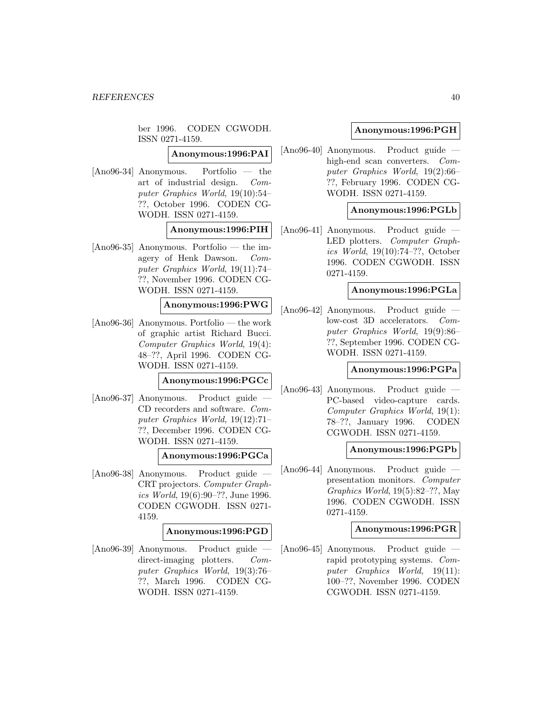ber 1996. CODEN CGWODH. ISSN 0271-4159.

# **Anonymous:1996:PAI**

[Ano96-34] Anonymous. Portfolio — the art of industrial design. Computer Graphics World, 19(10):54– ??, October 1996. CODEN CG-WODH. ISSN 0271-4159.

# **Anonymous:1996:PIH**

[Ano96-35] Anonymous. Portfolio — the imagery of Henk Dawson. Computer Graphics World, 19(11):74– ??, November 1996. CODEN CG-WODH. ISSN 0271-4159.

# **Anonymous:1996:PWG**

[Ano96-36] Anonymous. Portfolio — the work of graphic artist Richard Bucci. Computer Graphics World, 19(4): 48–??, April 1996. CODEN CG-WODH. ISSN 0271-4159.

# **Anonymous:1996:PGCc**

[Ano96-37] Anonymous. Product guide — CD recorders and software. Computer Graphics World, 19(12):71– ??, December 1996. CODEN CG-WODH. ISSN 0271-4159.

## **Anonymous:1996:PGCa**

[Ano96-38] Anonymous. Product guide — CRT projectors. Computer Graphics World, 19(6):90–??, June 1996. CODEN CGWODH. ISSN 0271- 4159.

# **Anonymous:1996:PGD**

[Ano96-39] Anonymous. Product guide direct-imaging plotters. Computer Graphics World, 19(3):76– ??, March 1996. CODEN CG-WODH. ISSN 0271-4159.

# **Anonymous:1996:PGH**

[Ano96-40] Anonymous. Product guide high-end scan converters. Computer Graphics World, 19(2):66– ??, February 1996. CODEN CG-WODH. ISSN 0271-4159.

# **Anonymous:1996:PGLb**

[Ano96-41] Anonymous. Product guide — LED plotters. Computer Graphics World, 19(10):74–??, October 1996. CODEN CGWODH. ISSN 0271-4159.

### **Anonymous:1996:PGLa**

[Ano96-42] Anonymous. Product guide low-cost 3D accelerators. Computer Graphics World, 19(9):86– ??, September 1996. CODEN CG-WODH. ISSN 0271-4159.

#### **Anonymous:1996:PGPa**

[Ano96-43] Anonymous. Product guide — PC-based video-capture cards. Computer Graphics World, 19(1): 78–??, January 1996. CODEN CGWODH. ISSN 0271-4159.

# **Anonymous:1996:PGPb**

[Ano96-44] Anonymous. Product guide presentation monitors. Computer Graphics World, 19(5):82–??, May 1996. CODEN CGWODH. ISSN 0271-4159.

#### **Anonymous:1996:PGR**

[Ano96-45] Anonymous. Product guide rapid prototyping systems. Computer Graphics World, 19(11): 100–??, November 1996. CODEN CGWODH. ISSN 0271-4159.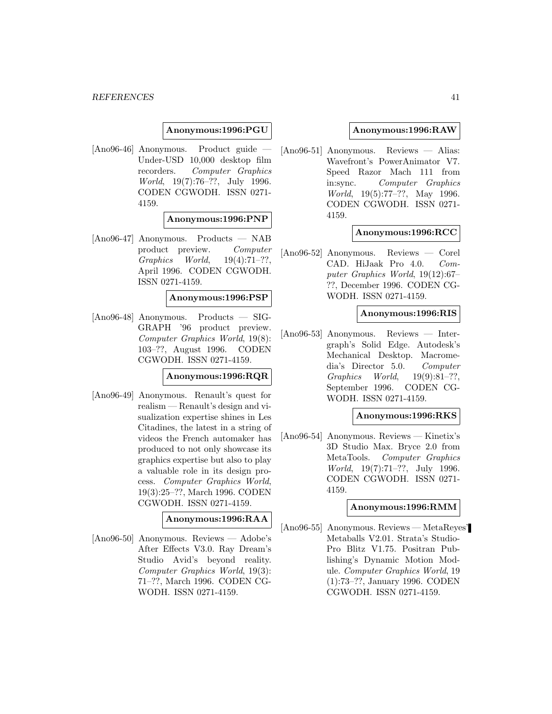**Anonymous:1996:PGU**

[Ano96-46] Anonymous. Product guide — Under-USD 10,000 desktop film recorders. Computer Graphics World, 19(7):76–??, July 1996. CODEN CGWODH. ISSN 0271- 4159.

# **Anonymous:1996:PNP**

[Ano96-47] Anonymous. Products — NAB product preview. Computer Graphics World, 19(4):71–??, April 1996. CODEN CGWODH. ISSN 0271-4159.

**Anonymous:1996:PSP**

[Ano96-48] Anonymous. Products — SIG-GRAPH '96 product preview. Computer Graphics World, 19(8): 103–??, August 1996. CODEN CGWODH. ISSN 0271-4159.

# **Anonymous:1996:RQR**

[Ano96-49] Anonymous. Renault's quest for realism — Renault's design and visualization expertise shines in Les Citadines, the latest in a string of videos the French automaker has produced to not only showcase its graphics expertise but also to play a valuable role in its design process. Computer Graphics World, 19(3):25–??, March 1996. CODEN CGWODH. ISSN 0271-4159.

# **Anonymous:1996:RAA**

[Ano96-50] Anonymous. Reviews — Adobe's After Effects V3.0. Ray Dream's Studio Avid's beyond reality. Computer Graphics World, 19(3): 71–??, March 1996. CODEN CG-WODH. ISSN 0271-4159.

### **Anonymous:1996:RAW**

[Ano96-51] Anonymous. Reviews — Alias: Wavefront's PowerAnimator V7. Speed Razor Mach 111 from in:sync. Computer Graphics World, 19(5):77–??, May 1996. CODEN CGWODH. ISSN 0271- 4159.

### **Anonymous:1996:RCC**

[Ano96-52] Anonymous. Reviews — Corel CAD. HiJaak Pro 4.0. Computer Graphics World, 19(12):67– ??, December 1996. CODEN CG-WODH. ISSN 0271-4159.

### **Anonymous:1996:RIS**

[Ano96-53] Anonymous. Reviews — Intergraph's Solid Edge. Autodesk's Mechanical Desktop. Macromedia's Director 5.0. Computer Graphics World, 19(9):81–??, September 1996. CODEN CG-WODH. ISSN 0271-4159.

## **Anonymous:1996:RKS**

[Ano96-54] Anonymous. Reviews — Kinetix's 3D Studio Max. Bryce 2.0 from MetaTools. Computer Graphics World, 19(7):71–??, July 1996. CODEN CGWODH. ISSN 0271- 4159.

# **Anonymous:1996:RMM**

[Ano96-55] Anonymous. Reviews — MetaReyes' Metaballs V2.01. Strata's Studio-Pro Blitz V1.75. Positran Publishing's Dynamic Motion Module. Computer Graphics World, 19 (1):73–??, January 1996. CODEN CGWODH. ISSN 0271-4159.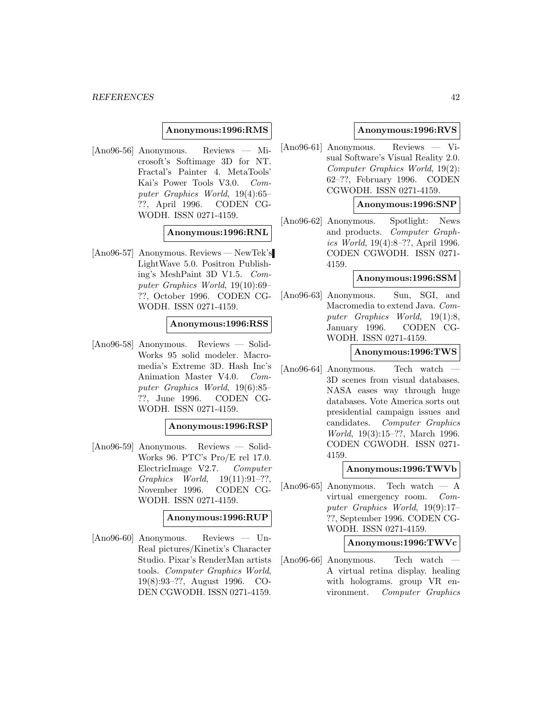### **Anonymous:1996:RMS**

[Ano96-56] Anonymous. Reviews — Microsoft's Softimage 3D for NT. Fractal's Painter 4. MetaTools' Kai's Power Tools V3.0. Computer Graphics World, 19(4):65– ??, April 1996. CODEN CG-WODH. ISSN 0271-4159.

# **Anonymous:1996:RNL**

[Ano96-57] Anonymous. Reviews — NewTek's LightWave 5.0. Positron Publishing's MeshPaint 3D V1.5. Computer Graphics World, 19(10):69– ??, October 1996. CODEN CG-WODH. ISSN 0271-4159.

# **Anonymous:1996:RSS**

[Ano96-58] Anonymous. Reviews — Solid-Works 95 solid modeler. Macromedia's Extreme 3D. Hash Inc's Animation Master V4.0. Computer Graphics World, 19(6):85– ??, June 1996. CODEN CG-WODH. ISSN 0271-4159.

#### **Anonymous:1996:RSP**

[Ano96-59] Anonymous. Reviews — Solid-Works 96. PTC's Pro/E rel 17.0. ElectricImage V2.7. Computer Graphics World, 19(11):91–??, November 1996. CODEN CG-WODH. ISSN 0271-4159.

### **Anonymous:1996:RUP**

[Ano96-60] Anonymous. Reviews — Un-Real pictures/Kinetix's Character Studio. Pixar's RenderMan artists tools. Computer Graphics World, 19(8):93–??, August 1996. CO-DEN CGWODH. ISSN 0271-4159.

### **Anonymous:1996:RVS**

[Ano96-61] Anonymous. Reviews — Visual Software's Visual Reality 2.0. Computer Graphics World, 19(2): 62–??, February 1996. CODEN CGWODH. ISSN 0271-4159.

### **Anonymous:1996:SNP**

[Ano96-62] Anonymous. Spotlight: News and products. Computer Graphics World, 19(4):8–??, April 1996. CODEN CGWODH. ISSN 0271- 4159.

### **Anonymous:1996:SSM**

[Ano96-63] Anonymous. Sun, SGI, and Macromedia to extend Java. Computer Graphics World, 19(1):8, January 1996. CODEN CG-WODH. ISSN 0271-4159.

### **Anonymous:1996:TWS**

[Ano96-64] Anonymous. — Tech watch 3D scenes from visual databases. NASA eases way through huge databases. Vote America sorts out presidential campaign issues and candidates. Computer Graphics World, 19(3):15–??, March 1996. CODEN CGWODH. ISSN 0271- 4159.

#### **Anonymous:1996:TWVb**

[Ano96-65] Anonymous. Tech watch — A virtual emergency room. Computer Graphics World, 19(9):17– ??, September 1996. CODEN CG-WODH. ISSN 0271-4159.

#### **Anonymous:1996:TWVc**

[Ano96-66] Anonymous. — Tech watch A virtual retina display. healing with holograms. group VR environment. Computer Graphics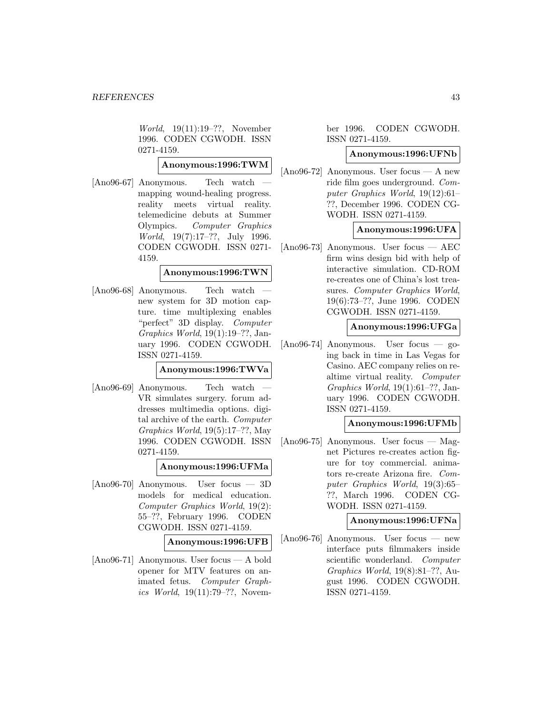World, 19(11):19–??, November 1996. CODEN CGWODH. ISSN 0271-4159.

**Anonymous:1996:TWM**

[Ano96-67] Anonymous. — Tech watch mapping wound-healing progress. reality meets virtual reality. telemedicine debuts at Summer Olympics. Computer Graphics World, 19(7):17–??, July 1996. CODEN CGWODH. ISSN 0271- 4159.

### **Anonymous:1996:TWN**

[Ano96-68] Anonymous. — Tech watch new system for 3D motion capture. time multiplexing enables "perfect" 3D display. Computer Graphics World, 19(1):19–??, January 1996. CODEN CGWODH. ISSN 0271-4159.

**Anonymous:1996:TWVa**

[Ano96-69] Anonymous. — Tech watch VR simulates surgery. forum addresses multimedia options. digital archive of the earth. Computer Graphics World, 19(5):17–??, May 1996. CODEN CGWODH. ISSN 0271-4159.

**Anonymous:1996:UFMa**

[Ano96-70] Anonymous. User focus — 3D models for medical education. Computer Graphics World, 19(2): 55–??, February 1996. CODEN CGWODH. ISSN 0271-4159.

**Anonymous:1996:UFB**

[Ano96-71] Anonymous. User focus — A bold opener for MTV features on animated fetus. Computer Graphics World, 19(11):79–??, Novem-

# ber 1996. CODEN CGWODH. ISSN 0271-4159.

### **Anonymous:1996:UFNb**

 $[Ano96-72]$  Anonymous. User focus — A new ride film goes underground. Computer Graphics World, 19(12):61– ??, December 1996. CODEN CG-WODH. ISSN 0271-4159.

# **Anonymous:1996:UFA**

[Ano96-73] Anonymous. User focus — AEC firm wins design bid with help of interactive simulation. CD-ROM re-creates one of China's lost treasures. Computer Graphics World, 19(6):73–??, June 1996. CODEN CGWODH. ISSN 0271-4159.

# **Anonymous:1996:UFGa**

[Ano96-74] Anonymous. User focus — going back in time in Las Vegas for Casino. AEC company relies on realtime virtual reality. Computer Graphics World, 19(1):61–??, January 1996. CODEN CGWODH. ISSN 0271-4159.

# **Anonymous:1996:UFMb**

[Ano96-75] Anonymous. User focus — Magnet Pictures re-creates action figure for toy commercial. animators re-create Arizona fire. Computer Graphics World, 19(3):65– ??, March 1996. CODEN CG-WODH. ISSN 0271-4159.

# **Anonymous:1996:UFNa**

[Ano96-76] Anonymous. User focus — new interface puts filmmakers inside scientific wonderland. Computer Graphics World, 19(8):81–??, August 1996. CODEN CGWODH. ISSN 0271-4159.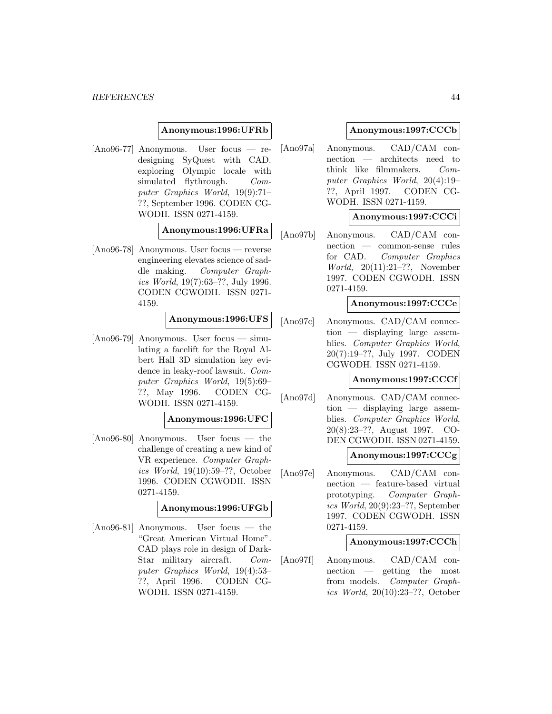### **Anonymous:1996:UFRb**

[Ano96-77] Anonymous. User focus — redesigning SyQuest with CAD. exploring Olympic locale with simulated flythrough. Computer Graphics World, 19(9):71– ??, September 1996. CODEN CG-WODH. ISSN 0271-4159.

### **Anonymous:1996:UFRa**

[Ano96-78] Anonymous. User focus — reverse engineering elevates science of saddle making. Computer Graphics World, 19(7):63–??, July 1996. CODEN CGWODH. ISSN 0271- 4159.

### **Anonymous:1996:UFS**

 $[Ano96-79]$  Anonymous. User focus — simulating a facelift for the Royal Albert Hall 3D simulation key evidence in leaky-roof lawsuit. Computer Graphics World, 19(5):69– ??, May 1996. CODEN CG-WODH. ISSN 0271-4159.

# **Anonymous:1996:UFC**

[Ano96-80] Anonymous. User focus — the challenge of creating a new kind of VR experience. Computer Graphics World, 19(10):59–??, October 1996. CODEN CGWODH. ISSN 0271-4159.

#### **Anonymous:1996:UFGb**

[Ano96-81] Anonymous. User focus — the "Great American Virtual Home". CAD plays role in design of Dark-Star military aircraft. Computer Graphics World, 19(4):53– ??, April 1996. CODEN CG-WODH. ISSN 0271-4159.

### **Anonymous:1997:CCCb**

[Ano97a] Anonymous. CAD/CAM connection — architects need to think like filmmakers. Computer Graphics World, 20(4):19– ??, April 1997. CODEN CG-WODH. ISSN 0271-4159.

### **Anonymous:1997:CCCi**

[Ano97b] Anonymous. CAD/CAM connection — common-sense rules for CAD. Computer Graphics World, 20(11):21–??, November 1997. CODEN CGWODH. ISSN 0271-4159.

### **Anonymous:1997:CCCe**

[Ano97c] Anonymous. CAD/CAM connection — displaying large assemblies. Computer Graphics World, 20(7):19–??, July 1997. CODEN CGWODH. ISSN 0271-4159.

#### **Anonymous:1997:CCCf**

[Ano97d] Anonymous. CAD/CAM connection — displaying large assemblies. Computer Graphics World, 20(8):23–??, August 1997. CO-DEN CGWODH. ISSN 0271-4159.

#### **Anonymous:1997:CCCg**

[Ano97e] Anonymous. CAD/CAM connection — feature-based virtual prototyping. Computer Graphics World, 20(9):23–??, September 1997. CODEN CGWODH. ISSN 0271-4159.

#### **Anonymous:1997:CCCh**

[Ano97f] Anonymous. CAD/CAM connection — getting the most from models. Computer Graphics World, 20(10):23–??, October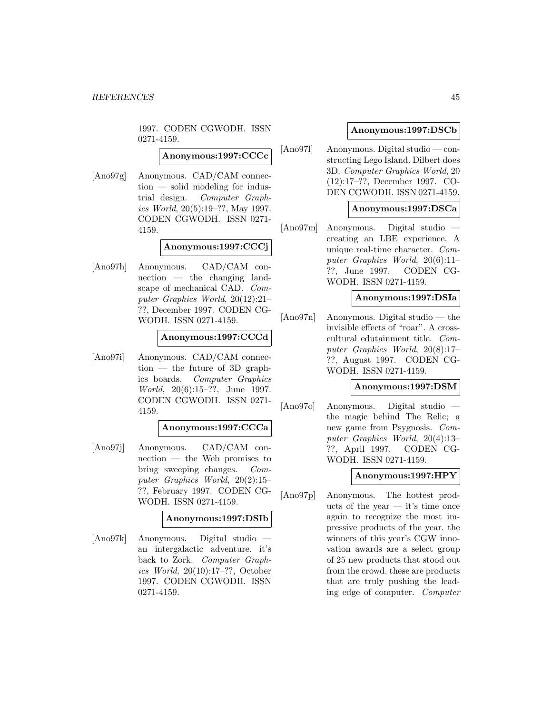1997. CODEN CGWODH. ISSN 0271-4159.

**Anonymous:1997:CCCc**

[Ano97g] Anonymous. CAD/CAM connection — solid modeling for industrial design. Computer Graphics World, 20(5):19–??, May 1997. CODEN CGWODH. ISSN 0271- 4159.

# **Anonymous:1997:CCCj**

[Ano97h] Anonymous. CAD/CAM connection — the changing landscape of mechanical CAD. Computer Graphics World, 20(12):21– ??, December 1997. CODEN CG-WODH. ISSN 0271-4159.

# **Anonymous:1997:CCCd**

[Ano97i] Anonymous. CAD/CAM connec- $\text{tion}$  — the future of 3D graphics boards. Computer Graphics World, 20(6):15–??, June 1997. CODEN CGWODH. ISSN 0271- 4159.

# **Anonymous:1997:CCCa**

[Ano97j] Anonymous. CAD/CAM connection — the Web promises to bring sweeping changes. Computer Graphics World, 20(2):15– ??, February 1997. CODEN CG-WODH. ISSN 0271-4159.

# **Anonymous:1997:DSIb**

[Ano97k] Anonymous. Digital studio an intergalactic adventure. it's back to Zork. Computer Graphics World, 20(10):17–??, October 1997. CODEN CGWODH. ISSN 0271-4159.

# **Anonymous:1997:DSCb**

[Ano97l] Anonymous. Digital studio — constructing Lego Island. Dilbert does 3D. Computer Graphics World, 20 (12):17–??, December 1997. CO-DEN CGWODH. ISSN 0271-4159.

# **Anonymous:1997:DSCa**

[Ano97m] Anonymous. Digital studio creating an LBE experience. A unique real-time character. Computer Graphics World, 20(6):11– ??, June 1997. CODEN CG-WODH. ISSN 0271-4159.

# **Anonymous:1997:DSIa**

[Ano97n] Anonymous. Digital studio — the invisible effects of "roar". A crosscultural edutainment title. Computer Graphics World, 20(8):17– ??, August 1997. CODEN CG-WODH. ISSN 0271-4159.

### **Anonymous:1997:DSM**

[Ano97o] Anonymous. Digital studio the magic behind The Relic; a new game from Psygnosis. Computer Graphics World, 20(4):13– ??, April 1997. CODEN CG-WODH. ISSN 0271-4159.

# **Anonymous:1997:HPY**

[Ano97p] Anonymous. The hottest products of the year  $-$  it's time once again to recognize the most impressive products of the year. the winners of this year's CGW innovation awards are a select group of 25 new products that stood out from the crowd. these are products that are truly pushing the leading edge of computer. Computer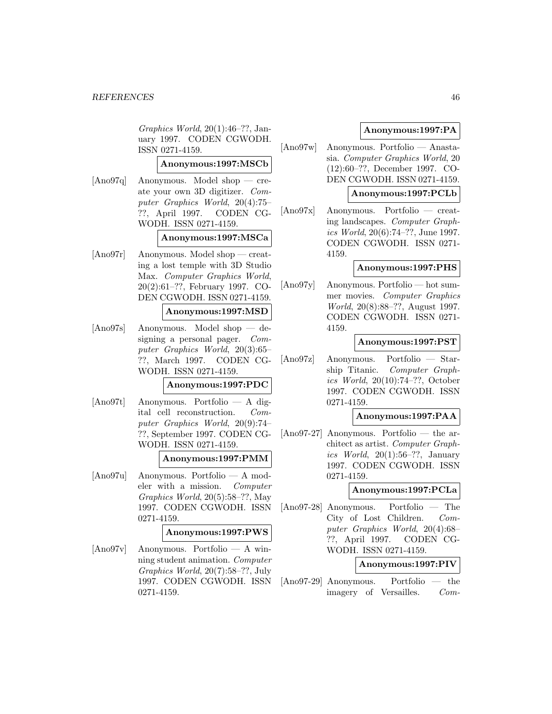Graphics World, 20(1):46–??, January 1997. CODEN CGWODH. ISSN 0271-4159.

# **Anonymous:1997:MSCb**

[Ano97q] Anonymous. Model shop — create your own 3D digitizer. Computer Graphics World, 20(4):75– ??, April 1997. CODEN CG-WODH. ISSN 0271-4159.

### **Anonymous:1997:MSCa**

[Ano97r] Anonymous. Model shop — creating a lost temple with 3D Studio Max. Computer Graphics World, 20(2):61–??, February 1997. CO-DEN CGWODH. ISSN 0271-4159.

### **Anonymous:1997:MSD**

[Ano97s] Anonymous. Model shop — designing a personal pager. Computer Graphics World, 20(3):65– ??, March 1997. CODEN CG-WODH. ISSN 0271-4159.

### **Anonymous:1997:PDC**

[Ano97t] Anonymous. Portfolio — A digital cell reconstruction. Computer Graphics World, 20(9):74– ??, September 1997. CODEN CG-WODH. ISSN 0271-4159.

#### **Anonymous:1997:PMM**

[Ano97u] Anonymous. Portfolio — A modeler with a mission. Computer Graphics World, 20(5):58–??, May 1997. CODEN CGWODH. ISSN 0271-4159.

#### **Anonymous:1997:PWS**

[Ano97v] Anonymous. Portfolio — A winning student animation. Computer Graphics World, 20(7):58–??, July 1997. CODEN CGWODH. ISSN 0271-4159.

# **Anonymous:1997:PA**

[Ano97w] Anonymous. Portfolio — Anastasia. Computer Graphics World, 20 (12):60–??, December 1997. CO-DEN CGWODH. ISSN 0271-4159.

# **Anonymous:1997:PCLb**

[Ano97x] Anonymous. Portfolio — creating landscapes. Computer Graphics World, 20(6):74–??, June 1997. CODEN CGWODH. ISSN 0271- 4159.

# **Anonymous:1997:PHS**

[Ano97y] Anonymous. Portfolio — hot summer movies. Computer Graphics World, 20(8):88–??, August 1997. CODEN CGWODH. ISSN 0271- 4159.

### **Anonymous:1997:PST**

[Ano97z] Anonymous. Portfolio — Starship Titanic. Computer Graphics World, 20(10):74–??, October 1997. CODEN CGWODH. ISSN 0271-4159.

# **Anonymous:1997:PAA**

[Ano97-27] Anonymous. Portfolio — the architect as artist. Computer Graphics World,  $20(1):56-??$ , January 1997. CODEN CGWODH. ISSN 0271-4159.

### **Anonymous:1997:PCLa**

[Ano97-28] Anonymous. Portfolio — The City of Lost Children. Computer Graphics World, 20(4):68– ??, April 1997. CODEN CG-WODH. ISSN 0271-4159.

### **Anonymous:1997:PIV**

[Ano97-29] Anonymous. Portfolio — the imagery of Versailles. Com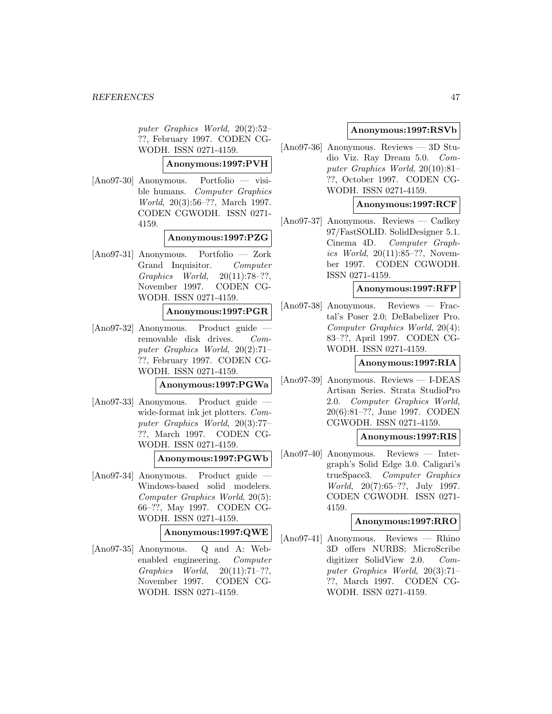puter Graphics World, 20(2):52– ??, February 1997. CODEN CG-WODH. ISSN 0271-4159.

**Anonymous:1997:PVH**

[Ano97-30] Anonymous. Portfolio — visible humans. Computer Graphics World, 20(3):56–??, March 1997. CODEN CGWODH. ISSN 0271- 4159.

### **Anonymous:1997:PZG**

[Ano97-31] Anonymous. Portfolio — Zork Grand Inquisitor. Computer Graphics World, 20(11):78–??, November 1997. CODEN CG-WODH. ISSN 0271-4159.

### **Anonymous:1997:PGR**

[Ano97-32] Anonymous. Product guide removable disk drives. Computer Graphics World, 20(2):71– ??, February 1997. CODEN CG-WODH. ISSN 0271-4159.

#### **Anonymous:1997:PGWa**

[Ano97-33] Anonymous. Product guide wide-format ink jet plotters. Computer Graphics World, 20(3):77– ??, March 1997. CODEN CG-WODH. ISSN 0271-4159.

### **Anonymous:1997:PGWb**

[Ano97-34] Anonymous. Product guide — Windows-based solid modelers. Computer Graphics World, 20(5): 66–??, May 1997. CODEN CG-WODH. ISSN 0271-4159.

#### **Anonymous:1997:QWE**

[Ano97-35] Anonymous. Q and A: Webenabled engineering. Computer Graphics World, 20(11):71–??, November 1997. CODEN CG-WODH. ISSN 0271-4159.

#### **Anonymous:1997:RSVb**

[Ano97-36] Anonymous. Reviews — 3D Studio Viz. Ray Dream 5.0. Computer Graphics World, 20(10):81– ??, October 1997. CODEN CG-WODH. ISSN 0271-4159.

### **Anonymous:1997:RCF**

[Ano97-37] Anonymous. Reviews — Cadkey 97/FastSOLID. SolidDesigner 5.1. Cinema 4D. Computer Graphics World, 20(11):85–??, November 1997. CODEN CGWODH. ISSN 0271-4159.

#### **Anonymous:1997:RFP**

[Ano97-38] Anonymous. Reviews — Fractal's Poser 2.0; DeBabelizer Pro. Computer Graphics World, 20(4): 83–??, April 1997. CODEN CG-WODH. ISSN 0271-4159.

### **Anonymous:1997:RIA**

[Ano97-39] Anonymous. Reviews — I-DEAS Artisan Series. Strata StudioPro 2.0. Computer Graphics World, 20(6):81–??, June 1997. CODEN CGWODH. ISSN 0271-4159.

#### **Anonymous:1997:RIS**

[Ano97-40] Anonymous. Reviews — Intergraph's Solid Edge 3.0. Caligari's trueSpace3. Computer Graphics World, 20(7):65–??, July 1997. CODEN CGWODH. ISSN 0271- 4159.

# **Anonymous:1997:RRO**

[Ano97-41] Anonymous. Reviews — Rhino 3D offers NURBS; MicroScribe digitizer SolidView 2.0. Computer Graphics World, 20(3):71– ??, March 1997. CODEN CG-WODH. ISSN 0271-4159.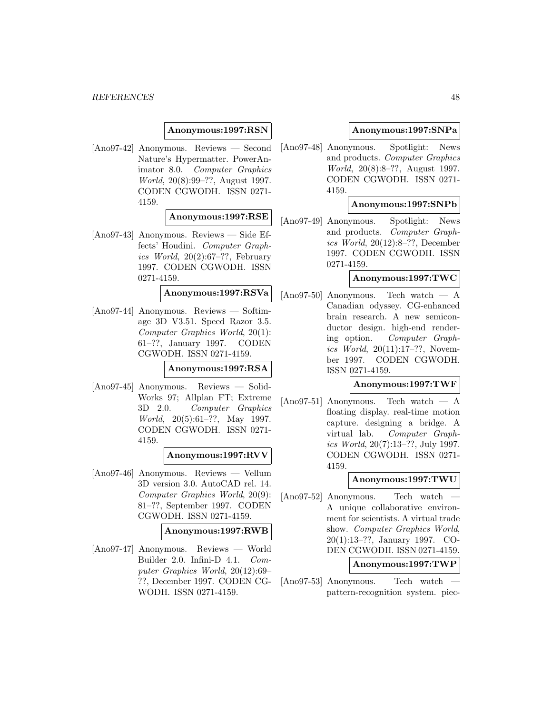### **Anonymous:1997:RSN**

[Ano97-42] Anonymous. Reviews — Second Nature's Hypermatter. PowerAnimator 8.0. Computer Graphics World, 20(8):99–??, August 1997. CODEN CGWODH. ISSN 0271- 4159.

# **Anonymous:1997:RSE**

[Ano97-43] Anonymous. Reviews — Side Effects' Houdini. Computer Graphics World,  $20(2):67-??$ , February 1997. CODEN CGWODH. ISSN 0271-4159.

# **Anonymous:1997:RSVa**

[Ano97-44] Anonymous. Reviews — Softimage 3D V3.51. Speed Razor 3.5. Computer Graphics World, 20(1): 61–??, January 1997. CODEN CGWODH. ISSN 0271-4159.

#### **Anonymous:1997:RSA**

[Ano97-45] Anonymous. Reviews — Solid-Works 97; Allplan FT; Extreme 3D 2.0. Computer Graphics World, 20(5):61–??, May 1997. CODEN CGWODH. ISSN 0271- 4159.

### **Anonymous:1997:RVV**

[Ano97-46] Anonymous. Reviews — Vellum 3D version 3.0. AutoCAD rel. 14. Computer Graphics World, 20(9): 81–??, September 1997. CODEN CGWODH. ISSN 0271-4159.

#### **Anonymous:1997:RWB**

[Ano97-47] Anonymous. Reviews — World Builder 2.0. Infini-D 4.1. Computer Graphics World, 20(12):69– ??, December 1997. CODEN CG-WODH. ISSN 0271-4159.

### **Anonymous:1997:SNPa**

[Ano97-48] Anonymous. Spotlight: News and products. Computer Graphics World, 20(8):8–??, August 1997. CODEN CGWODH. ISSN 0271- 4159.

### **Anonymous:1997:SNPb**

[Ano97-49] Anonymous. Spotlight: News and products. Computer Graphics World, 20(12):8–??, December 1997. CODEN CGWODH. ISSN 0271-4159.

# **Anonymous:1997:TWC**

[Ano97-50] Anonymous. Tech watch — A Canadian odyssey. CG-enhanced brain research. A new semiconductor design. high-end rendering option. Computer Graphics World, 20(11):17–??, November 1997. CODEN CGWODH. ISSN 0271-4159.

#### **Anonymous:1997:TWF**

 $[Ano97-51]$  Anonymous. Tech watch — A floating display. real-time motion capture. designing a bridge. A virtual lab. Computer Graphics World, 20(7):13–??, July 1997. CODEN CGWODH. ISSN 0271- 4159.

#### **Anonymous:1997:TWU**

 $[Ano97-52]$  Anonymous. Tech watch A unique collaborative environment for scientists. A virtual trade show. Computer Graphics World, 20(1):13–??, January 1997. CO-DEN CGWODH. ISSN 0271-4159.

### **Anonymous:1997:TWP**

[Ano97-53] Anonymous. — Tech watch pattern-recognition system. piec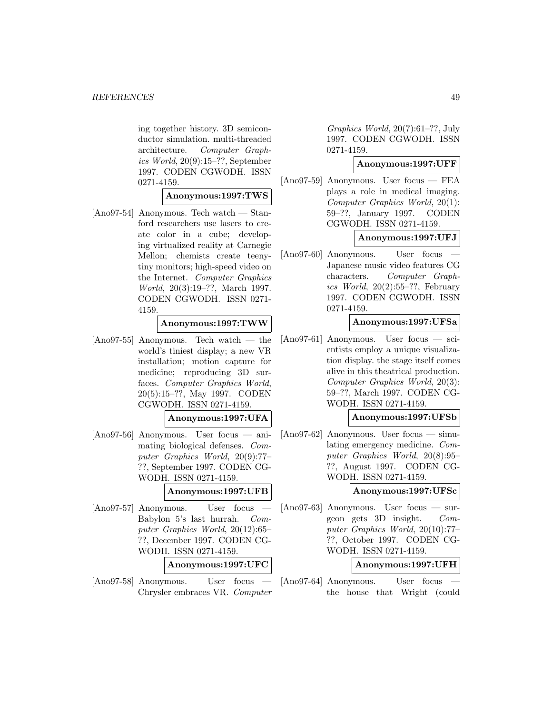ing together history. 3D semiconductor simulation. multi-threaded architecture. Computer Graphics World, 20(9):15–??, September 1997. CODEN CGWODH. ISSN 0271-4159.

#### **Anonymous:1997:TWS**

[Ano97-54] Anonymous. Tech watch — Stanford researchers use lasers to create color in a cube; developing virtualized reality at Carnegie Mellon; chemists create teenytiny monitors; high-speed video on the Internet. Computer Graphics World, 20(3):19–??, March 1997. CODEN CGWODH. ISSN 0271- 4159.

### **Anonymous:1997:TWW**

[Ano97-55] Anonymous. Tech watch — the world's tiniest display; a new VR installation; motion capture for medicine; reproducing 3D surfaces. Computer Graphics World, 20(5):15–??, May 1997. CODEN CGWODH. ISSN 0271-4159.

#### **Anonymous:1997:UFA**

[Ano97-56] Anonymous. User focus — animating biological defenses. Computer Graphics World, 20(9):77– ??, September 1997. CODEN CG-WODH. ISSN 0271-4159.

# **Anonymous:1997:UFB**

 $[Ano97-57]$  Anonymous. User focus Babylon 5's last hurrah. Computer Graphics World, 20(12):65– ??, December 1997. CODEN CG-WODH. ISSN 0271-4159.

# **Anonymous:1997:UFC**

 $[Ano97-58]$  Anonymous. User focus Chrysler embraces VR. Computer

Graphics World, 20(7):61–??, July 1997. CODEN CGWODH. ISSN 0271-4159.

# **Anonymous:1997:UFF**

[Ano97-59] Anonymous. User focus — FEA plays a role in medical imaging. Computer Graphics World, 20(1): 59–??, January 1997. CODEN CGWODH. ISSN 0271-4159.

# **Anonymous:1997:UFJ**

 $[Ano97-60]$  Anonymous. User focus Japanese music video features CG characters. Computer Graphics World, 20(2):55–??, February 1997. CODEN CGWODH. ISSN 0271-4159.

#### **Anonymous:1997:UFSa**

[Ano97-61] Anonymous. User focus — scientists employ a unique visualization display. the stage itself comes alive in this theatrical production. Computer Graphics World, 20(3): 59–??, March 1997. CODEN CG-WODH. ISSN 0271-4159.

# **Anonymous:1997:UFSb**

[Ano97-62] Anonymous. User focus — simulating emergency medicine. Computer Graphics World, 20(8):95– ??, August 1997. CODEN CG-WODH. ISSN 0271-4159.

#### **Anonymous:1997:UFSc**

[Ano97-63] Anonymous. User focus — surgeon gets 3D insight. Computer Graphics World, 20(10):77– ??, October 1997. CODEN CG-WODH. ISSN 0271-4159.

#### **Anonymous:1997:UFH**

 $[Ano97-64]$  Anonymous. User focus the house that Wright (could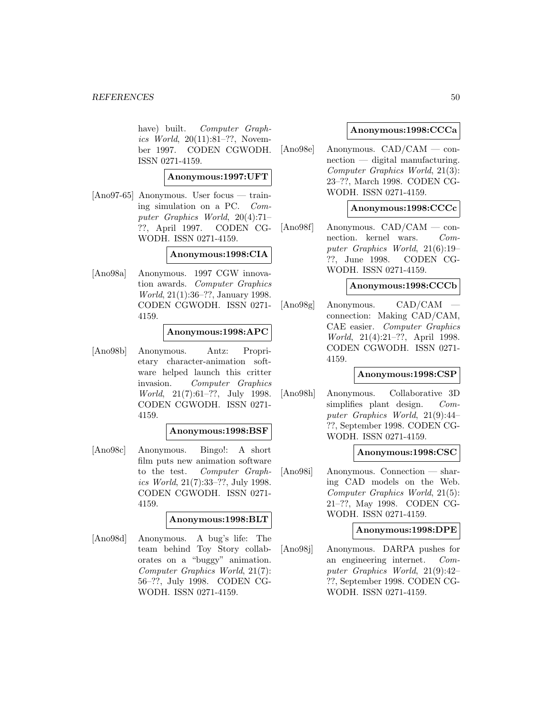have) built. Computer Graphics World, 20(11):81–??, November 1997. CODEN CGWODH. ISSN 0271-4159.

**Anonymous:1997:UFT**

[Ano97-65] Anonymous. User focus — training simulation on a PC. Computer Graphics World, 20(4):71– ??, April 1997. CODEN CG-WODH. ISSN 0271-4159.

### **Anonymous:1998:CIA**

[Ano98a] Anonymous. 1997 CGW innovation awards. Computer Graphics World, 21(1):36–??, January 1998. CODEN CGWODH. ISSN 0271- 4159.

### **Anonymous:1998:APC**

[Ano98b] Anonymous. Antz: Proprietary character-animation software helped launch this critter invasion. Computer Graphics World, 21(7):61–??, July 1998. CODEN CGWODH. ISSN 0271- 4159.

### **Anonymous:1998:BSF**

[Ano98c] Anonymous. Bingo!: A short film puts new animation software to the test. Computer Graphics World, 21(7):33–??, July 1998. CODEN CGWODH. ISSN 0271- 4159.

# **Anonymous:1998:BLT**

[Ano98d] Anonymous. A bug's life: The team behind Toy Story collaborates on a "buggy" animation. Computer Graphics World, 21(7): 56–??, July 1998. CODEN CG-WODH. ISSN 0271-4159.

### **Anonymous:1998:CCCa**

[Ano98e] Anonymous. CAD/CAM — connection — digital manufacturing. Computer Graphics World, 21(3): 23–??, March 1998. CODEN CG-WODH. ISSN 0271-4159.

# **Anonymous:1998:CCCc**

[Ano98f] Anonymous. CAD/CAM — connection. kernel wars. Computer Graphics World, 21(6):19– ??, June 1998. CODEN CG-WODH. ISSN 0271-4159.

### **Anonymous:1998:CCCb**

 $[Ano98g]$  Anonymous.  $CAD/CAM$ connection: Making CAD/CAM, CAE easier. Computer Graphics World, 21(4):21–??, April 1998. CODEN CGWODH. ISSN 0271- 4159.

### **Anonymous:1998:CSP**

[Ano98h] Anonymous. Collaborative 3D simplifies plant design. Computer Graphics World, 21(9):44– ??, September 1998. CODEN CG-WODH. ISSN 0271-4159.

#### **Anonymous:1998:CSC**

[Ano98i] Anonymous. Connection — sharing CAD models on the Web. Computer Graphics World, 21(5): 21–??, May 1998. CODEN CG-WODH. ISSN 0271-4159.

### **Anonymous:1998:DPE**

[Ano98j] Anonymous. DARPA pushes for an engineering internet. Computer Graphics World, 21(9):42– ??, September 1998. CODEN CG-WODH. ISSN 0271-4159.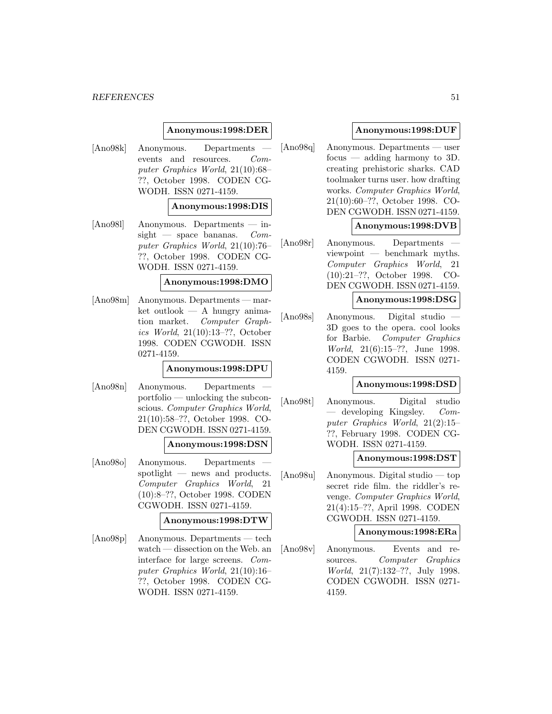#### **REFERENCES** 51

# **Anonymous:1998:DER**

[Ano98k] Anonymous. Departments events and resources. Computer Graphics World, 21(10):68– ??, October 1998. CODEN CG-WODH. ISSN 0271-4159.

### **Anonymous:1998:DIS**

[Ano98l] Anonymous. Departments — insight — space bananas.  $Com$ puter Graphics World, 21(10):76– ??, October 1998. CODEN CG-WODH. ISSN 0271-4159.

### **Anonymous:1998:DMO**

[Ano98m] Anonymous. Departments — mar $ket outlook - A hungry anima$ tion market. Computer Graphics World, 21(10):13–??, October 1998. CODEN CGWODH. ISSN 0271-4159.

#### **Anonymous:1998:DPU**

[Ano98n] Anonymous. Departments portfolio — unlocking the subconscious. Computer Graphics World, 21(10):58–??, October 1998. CO-DEN CGWODH. ISSN 0271-4159.

#### **Anonymous:1998:DSN**

[Ano98o] Anonymous. Departments spotlight — news and products. Computer Graphics World, 21 (10):8–??, October 1998. CODEN CGWODH. ISSN 0271-4159.

#### **Anonymous:1998:DTW**

[Ano98p] Anonymous. Departments — tech watch — dissection on the Web. an interface for large screens. Computer Graphics World, 21(10):16– ??, October 1998. CODEN CG-WODH. ISSN 0271-4159.

# **Anonymous:1998:DUF**

[Ano98q] Anonymous. Departments — user focus — adding harmony to 3D. creating prehistoric sharks. CAD toolmaker turns user. how drafting works. Computer Graphics World, 21(10):60–??, October 1998. CO-DEN CGWODH. ISSN 0271-4159.

### **Anonymous:1998:DVB**

[Ano98r] Anonymous. Departments viewpoint — benchmark myths. Computer Graphics World, 21 (10):21–??, October 1998. CO-DEN CGWODH. ISSN 0271-4159.

#### **Anonymous:1998:DSG**

[Ano98s] Anonymous. Digital studio — 3D goes to the opera. cool looks for Barbie. Computer Graphics World, 21(6):15–??, June 1998. CODEN CGWODH. ISSN 0271- 4159.

### **Anonymous:1998:DSD**

[Ano98t] Anonymous. Digital studio — developing Kingsley. Computer Graphics World, 21(2):15– ??, February 1998. CODEN CG-WODH. ISSN 0271-4159.

#### **Anonymous:1998:DST**

[Ano98u] Anonymous. Digital studio — top secret ride film. the riddler's revenge. Computer Graphics World, 21(4):15–??, April 1998. CODEN CGWODH. ISSN 0271-4159.

#### **Anonymous:1998:ERa**

[Ano98v] Anonymous. Events and resources. Computer Graphics World, 21(7):132–??, July 1998. CODEN CGWODH. ISSN 0271- 4159.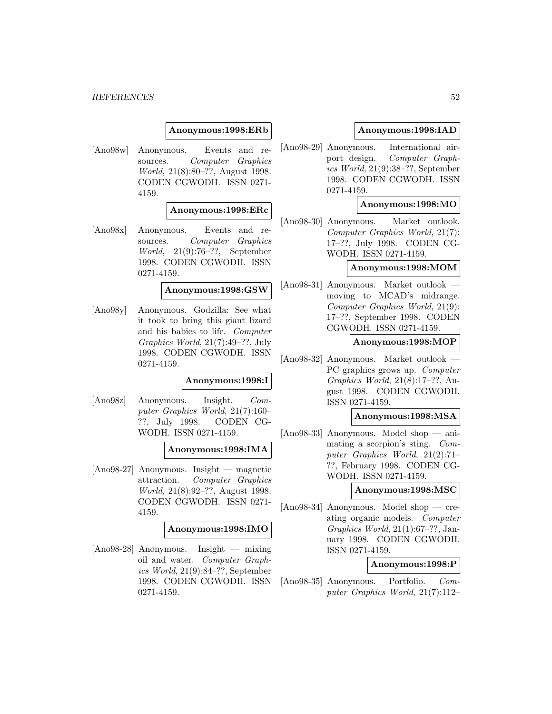#### **REFERENCES** 52

#### **Anonymous:1998:ERb**

[Ano98w] Anonymous. Events and resources. Computer Graphics World, 21(8):80–??, August 1998. CODEN CGWODH. ISSN 0271- 4159.

### **Anonymous:1998:ERc**

[Ano98x] Anonymous. Events and resources. Computer Graphics World, 21(9):76–??, September 1998. CODEN CGWODH. ISSN 0271-4159.

#### **Anonymous:1998:GSW**

[Ano98y] Anonymous. Godzilla: See what it took to bring this giant lizard and his babies to life. Computer Graphics World, 21(7):49–??, July 1998. CODEN CGWODH. ISSN 0271-4159.

#### **Anonymous:1998:I**

[Ano98z] Anonymous. Insight. Computer Graphics World, 21(7):160– ??, July 1998. CODEN CG-WODH. ISSN 0271-4159.

#### **Anonymous:1998:IMA**

[Ano98-27] Anonymous. Insight — magnetic attraction. Computer Graphics World, 21(8):92–??, August 1998. CODEN CGWODH. ISSN 0271- 4159.

#### **Anonymous:1998:IMO**

[Ano98-28] Anonymous. Insight — mixing oil and water. Computer Graphics World, 21(9):84–??, September 1998. CODEN CGWODH. ISSN 0271-4159.

### **Anonymous:1998:IAD**

[Ano98-29] Anonymous. International airport design. Computer Graphics World, 21(9):38–??, September 1998. CODEN CGWODH. ISSN 0271-4159.

#### **Anonymous:1998:MO**

[Ano98-30] Anonymous. Market outlook. Computer Graphics World, 21(7): 17–??, July 1998. CODEN CG-WODH. ISSN 0271-4159.

### **Anonymous:1998:MOM**

[Ano98-31] Anonymous. Market outlook moving to MCAD's midrange. Computer Graphics World, 21(9): 17–??, September 1998. CODEN CGWODH. ISSN 0271-4159.

#### **Anonymous:1998:MOP**

[Ano98-32] Anonymous. Market outlook — PC graphics grows up. Computer Graphics World, 21(8):17–??, August 1998. CODEN CGWODH. ISSN 0271-4159.

# **Anonymous:1998:MSA**

[Ano98-33] Anonymous. Model shop — animating a scorpion's sting. Computer Graphics World, 21(2):71– ??, February 1998. CODEN CG-WODH. ISSN 0271-4159.

#### **Anonymous:1998:MSC**

[Ano98-34] Anonymous. Model shop — creating organic models. Computer Graphics World, 21(1):67–??, January 1998. CODEN CGWODH. ISSN 0271-4159.

#### **Anonymous:1998:P**

[Ano98-35] Anonymous. Portfolio. Computer Graphics World, 21(7):112–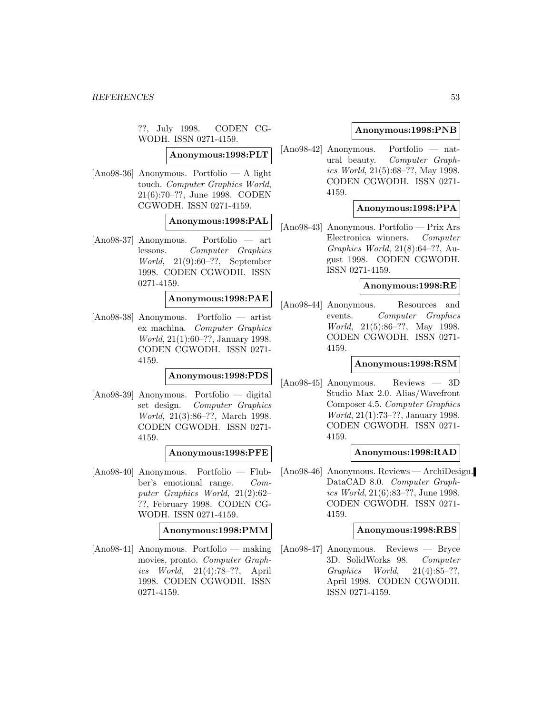??, July 1998. CODEN CG-WODH. ISSN 0271-4159.

**Anonymous:1998:PLT**

[Ano98-36] Anonymous. Portfolio — A light touch. Computer Graphics World, 21(6):70–??, June 1998. CODEN CGWODH. ISSN 0271-4159.

# **Anonymous:1998:PAL**

[Ano98-37] Anonymous. Portfolio — art lessons. Computer Graphics World, 21(9):60–??, September 1998. CODEN CGWODH. ISSN 0271-4159.

### **Anonymous:1998:PAE**

[Ano98-38] Anonymous. Portfolio — artist ex machina. Computer Graphics World, 21(1):60–??, January 1998. CODEN CGWODH. ISSN 0271- 4159.

# **Anonymous:1998:PDS**

[Ano98-39] Anonymous. Portfolio — digital set design. Computer Graphics World, 21(3):86–??, March 1998. CODEN CGWODH. ISSN 0271- 4159.

# **Anonymous:1998:PFE**

[Ano98-40] Anonymous. Portfolio — Flubber's emotional range. Computer Graphics World, 21(2):62– ??, February 1998. CODEN CG-WODH. ISSN 0271-4159.

# **Anonymous:1998:PMM**

[Ano98-41] Anonymous. Portfolio — making movies, pronto. Computer Graphics World, 21(4):78–??, April 1998. CODEN CGWODH. ISSN 0271-4159.

# **Anonymous:1998:PNB**

[Ano98-42] Anonymous. Portfolio — natural beauty. Computer Graphics World, 21(5):68–??, May 1998. CODEN CGWODH. ISSN 0271- 4159.

# **Anonymous:1998:PPA**

[Ano98-43] Anonymous. Portfolio — Prix Ars Electronica winners. Computer Graphics World, 21(8):64–??, August 1998. CODEN CGWODH. ISSN 0271-4159.

### **Anonymous:1998:RE**

[Ano98-44] Anonymous. Resources and events. Computer Graphics World, 21(5):86–??, May 1998. CODEN CGWODH. ISSN 0271- 4159.

#### **Anonymous:1998:RSM**

[Ano98-45] Anonymous. Reviews — 3D Studio Max 2.0. Alias/Wavefront Composer 4.5. Computer Graphics World, 21(1):73–??, January 1998. CODEN CGWODH. ISSN 0271- 4159.

# **Anonymous:1998:RAD**

[Ano98-46] Anonymous. Reviews — ArchiDesign. DataCAD 8.0. Computer Graphics World, 21(6):83–??, June 1998. CODEN CGWODH. ISSN 0271- 4159.

#### **Anonymous:1998:RBS**

[Ano98-47] Anonymous. Reviews — Bryce 3D. SolidWorks 98. Computer Graphics World, 21(4):85–??, April 1998. CODEN CGWODH. ISSN 0271-4159.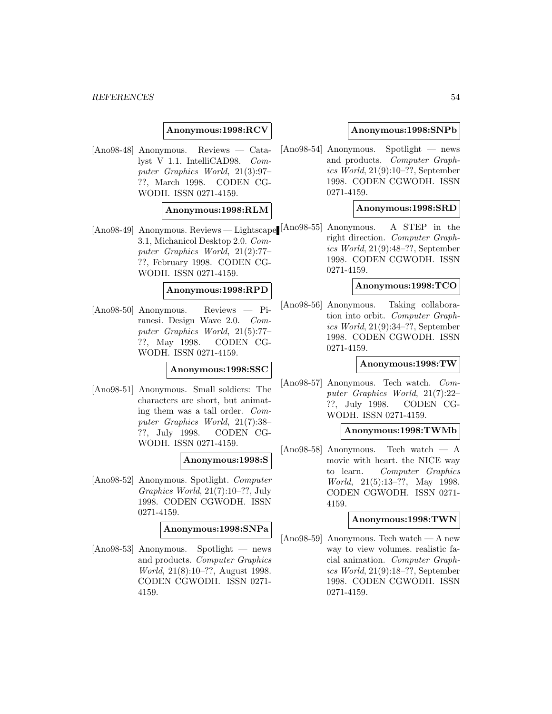### **Anonymous:1998:RCV**

[Ano98-48] Anonymous. Reviews — Catalyst V 1.1. IntelliCAD98. Computer Graphics World, 21(3):97– ??, March 1998. CODEN CG-WODH. ISSN 0271-4159.

### **Anonymous:1998:RLM**

[Ano98-49] Anonymous. Reviews — Lightscape [Ano98-55] Anonymous. A STEP in the 3.1, Michanicol Desktop 2.0. Computer Graphics World, 21(2):77– ??, February 1998. CODEN CG-WODH. ISSN 0271-4159.

#### **Anonymous:1998:RPD**

[Ano98-50] Anonymous. Reviews — Piranesi. Design Wave 2.0. Computer Graphics World, 21(5):77– ??, May 1998. CODEN CG-WODH. ISSN 0271-4159.

#### **Anonymous:1998:SSC**

[Ano98-51] Anonymous. Small soldiers: The characters are short, but animating them was a tall order. Computer Graphics World, 21(7):38– ??, July 1998. CODEN CG-WODH. ISSN 0271-4159.

# **Anonymous:1998:S**

[Ano98-52] Anonymous. Spotlight. Computer Graphics World, 21(7):10–??, July 1998. CODEN CGWODH. ISSN 0271-4159.

#### **Anonymous:1998:SNPa**

[Ano98-53] Anonymous. Spotlight — news and products. Computer Graphics World, 21(8):10–??, August 1998. CODEN CGWODH. ISSN 0271- 4159.

### **Anonymous:1998:SNPb**

[Ano98-54] Anonymous. Spotlight — news and products. Computer Graphics World, 21(9):10–??, September 1998. CODEN CGWODH. ISSN 0271-4159.

## **Anonymous:1998:SRD**

right direction. Computer Graphics World, 21(9):48–??, September 1998. CODEN CGWODH. ISSN 0271-4159.

### **Anonymous:1998:TCO**

[Ano98-56] Anonymous. Taking collaboration into orbit. Computer Graphics World, 21(9):34–??, September 1998. CODEN CGWODH. ISSN 0271-4159.

#### **Anonymous:1998:TW**

[Ano98-57] Anonymous. Tech watch. Computer Graphics World, 21(7):22– ??, July 1998. CODEN CG-WODH. ISSN 0271-4159.

# **Anonymous:1998:TWMb**

 $[Ano98-58]$  Anonymous. Tech watch — A movie with heart. the NICE way to learn. Computer Graphics World, 21(5):13–??, May 1998. CODEN CGWODH. ISSN 0271- 4159.

### **Anonymous:1998:TWN**

 $[Ano98-59]$  Anonymous. Tech watch — A new way to view volumes. realistic facial animation. Computer Graphics World, 21(9):18–??, September 1998. CODEN CGWODH. ISSN 0271-4159.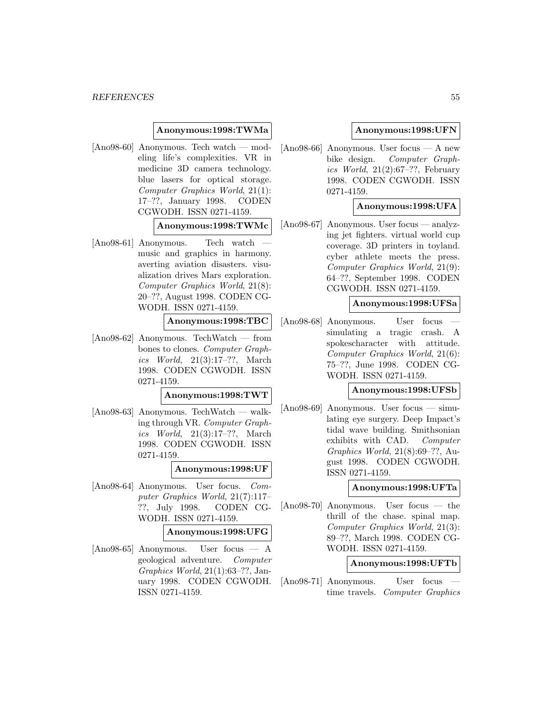### **Anonymous:1998:TWMa**

[Ano98-60] Anonymous. Tech watch — modeling life's complexities. VR in medicine 3D camera technology. blue lasers for optical storage. Computer Graphics World, 21(1): 17–??, January 1998. CODEN CGWODH. ISSN 0271-4159.

### **Anonymous:1998:TWMc**

[Ano98-61] Anonymous. — Tech watch music and graphics in harmony. averting aviation disasters. visualization drives Mars exploration. Computer Graphics World, 21(8): 20–??, August 1998. CODEN CG-WODH. ISSN 0271-4159.

# **Anonymous:1998:TBC**

[Ano98-62] Anonymous. TechWatch — from bones to clones. Computer Graphics World, 21(3):17–??, March 1998. CODEN CGWODH. ISSN 0271-4159.

#### **Anonymous:1998:TWT**

[Ano98-63] Anonymous. TechWatch — walking through VR. Computer Graphics World, 21(3):17–??, March 1998. CODEN CGWODH. ISSN 0271-4159.

# **Anonymous:1998:UF**

[Ano98-64] Anonymous. User focus. Computer Graphics World, 21(7):117– ??, July 1998. CODEN CG-WODH. ISSN 0271-4159.

### **Anonymous:1998:UFG**

[Ano98-65] Anonymous. User focus — A geological adventure. Computer Graphics World, 21(1):63–??, January 1998. CODEN CGWODH. ISSN 0271-4159.

### **Anonymous:1998:UFN**

[Ano98-66] Anonymous. User focus — A new bike design. Computer Graphics World,  $21(2):67-??$ , February 1998. CODEN CGWODH. ISSN 0271-4159.

### **Anonymous:1998:UFA**

[Ano98-67] Anonymous. User focus — analyzing jet fighters. virtual world cup coverage. 3D printers in toyland. cyber athlete meets the press. Computer Graphics World, 21(9): 64–??, September 1998. CODEN CGWODH. ISSN 0271-4159.

#### **Anonymous:1998:UFSa**

[Ano98-68] Anonymous. User focus simulating a tragic crash. A spokescharacter with attitude. Computer Graphics World, 21(6): 75–??, June 1998. CODEN CG-WODH. ISSN 0271-4159.

#### **Anonymous:1998:UFSb**

[Ano98-69] Anonymous. User focus — simulating eye surgery. Deep Impact's tidal wave building. Smithsonian exhibits with CAD. Computer Graphics World, 21(8):69–??, August 1998. CODEN CGWODH. ISSN 0271-4159.

#### **Anonymous:1998:UFTa**

[Ano98-70] Anonymous. User focus — the thrill of the chase. spinal map. Computer Graphics World, 21(3): 89–??, March 1998. CODEN CG-WODH. ISSN 0271-4159.

### **Anonymous:1998:UFTb**

[Ano98-71] Anonymous. User focus time travels. Computer Graphics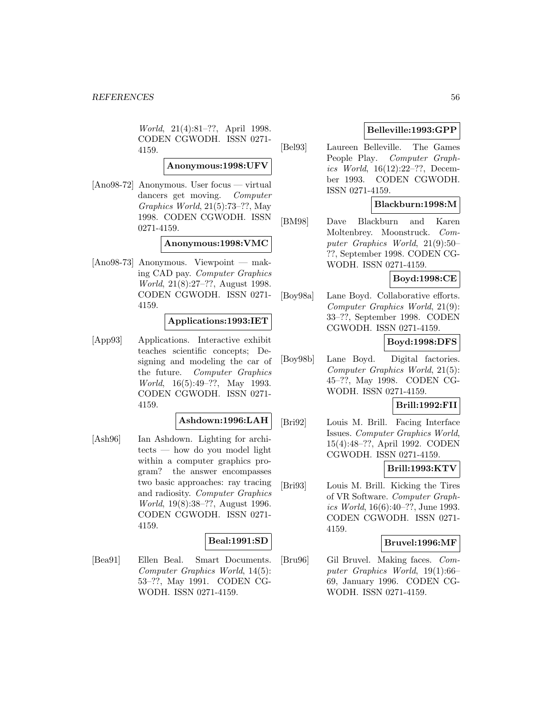World, 21(4):81–??, April 1998. CODEN CGWODH. ISSN 0271- 4159.

### **Anonymous:1998:UFV**

[Ano98-72] Anonymous. User focus — virtual dancers get moving. Computer Graphics World, 21(5):73–??, May 1998. CODEN CGWODH. ISSN 0271-4159.

### **Anonymous:1998:VMC**

[Ano98-73] Anonymous. Viewpoint — making CAD pay. Computer Graphics World, 21(8):27–??, August 1998. CODEN CGWODH. ISSN 0271- 4159.

### **Applications:1993:IET**

[App93] Applications. Interactive exhibit teaches scientific concepts; Designing and modeling the car of the future. Computer Graphics World, 16(5):49–??, May 1993. CODEN CGWODH. ISSN 0271- 4159.

# **Ashdown:1996:LAH**

[Ash96] Ian Ashdown. Lighting for architects — how do you model light within a computer graphics program? the answer encompasses two basic approaches: ray tracing and radiosity. Computer Graphics World, 19(8):38–??, August 1996. CODEN CGWODH. ISSN 0271- 4159.

#### **Beal:1991:SD**

[Bea91] Ellen Beal. Smart Documents. Computer Graphics World, 14(5): 53–??, May 1991. CODEN CG-WODH. ISSN 0271-4159.

# **Belleville:1993:GPP**

[Bel93] Laureen Belleville. The Games People Play. Computer Graphics World, 16(12):22–??, December 1993. CODEN CGWODH. ISSN 0271-4159.

# **Blackburn:1998:M**

[BM98] Dave Blackburn and Karen Moltenbrey. Moonstruck. Computer Graphics World, 21(9):50– ??, September 1998. CODEN CG-WODH. ISSN 0271-4159.

### **Boyd:1998:CE**

[Boy98a] Lane Boyd. Collaborative efforts. Computer Graphics World, 21(9): 33–??, September 1998. CODEN CGWODH. ISSN 0271-4159.

# **Boyd:1998:DFS**

[Boy98b] Lane Boyd. Digital factories. Computer Graphics World, 21(5): 45–??, May 1998. CODEN CG-WODH. ISSN 0271-4159.

### **Brill:1992:FII**

[Bri92] Louis M. Brill. Facing Interface Issues. Computer Graphics World, 15(4):48–??, April 1992. CODEN CGWODH. ISSN 0271-4159.

#### **Brill:1993:KTV**

[Bri93] Louis M. Brill. Kicking the Tires of VR Software. Computer Graphics World, 16(6):40–??, June 1993. CODEN CGWODH. ISSN 0271- 4159.

### **Bruvel:1996:MF**

[Bru96] Gil Bruvel. Making faces. Computer Graphics World, 19(1):66– 69, January 1996. CODEN CG-WODH. ISSN 0271-4159.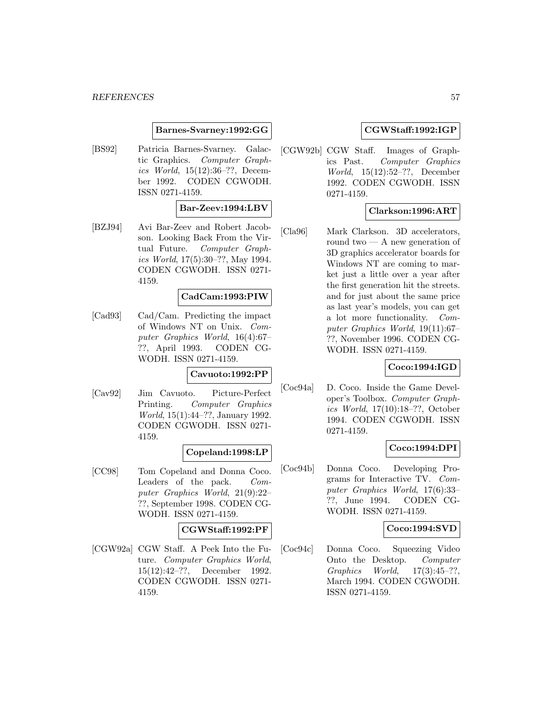### **Barnes-Svarney:1992:GG**

[BS92] Patricia Barnes-Svarney. Galactic Graphics. Computer Graphics World, 15(12):36–??, December 1992. CODEN CGWODH. ISSN 0271-4159.

# **Bar-Zeev:1994:LBV**

[BZJ94] Avi Bar-Zeev and Robert Jacobson. Looking Back From the Virtual Future. Computer Graphics World, 17(5):30–??, May 1994. CODEN CGWODH. ISSN 0271- 4159.

### **CadCam:1993:PIW**

[Cad93] Cad/Cam. Predicting the impact of Windows NT on Unix. Computer Graphics World, 16(4):67– ??, April 1993. CODEN CG-WODH. ISSN 0271-4159.

# **Cavuoto:1992:PP**

[Cav92] Jim Cavuoto. Picture-Perfect Printing. Computer Graphics World, 15(1):44–??, January 1992. CODEN CGWODH. ISSN 0271- 4159.

#### **Copeland:1998:LP**

[CC98] Tom Copeland and Donna Coco. Leaders of the pack. Computer Graphics World, 21(9):22– ??, September 1998. CODEN CG-WODH. ISSN 0271-4159.

# **CGWStaff:1992:PF**

[CGW92a] CGW Staff. A Peek Into the Future. Computer Graphics World, 15(12):42–??, December 1992. CODEN CGWODH. ISSN 0271- 4159.

### **CGWStaff:1992:IGP**

[CGW92b] CGW Staff. Images of Graphics Past. Computer Graphics World, 15(12):52–??, December 1992. CODEN CGWODH. ISSN 0271-4159.

# **Clarkson:1996:ART**

[Cla96] Mark Clarkson. 3D accelerators, round two — A new generation of 3D graphics accelerator boards for Windows NT are coming to market just a little over a year after the first generation hit the streets. and for just about the same price as last year's models, you can get a lot more functionality. Computer Graphics World, 19(11):67– ??, November 1996. CODEN CG-WODH. ISSN 0271-4159.

# **Coco:1994:IGD**

[Coc94a] D. Coco. Inside the Game Developer's Toolbox. Computer Graphics World, 17(10):18–??, October 1994. CODEN CGWODH. ISSN 0271-4159.

# **Coco:1994:DPI**

[Coc94b] Donna Coco. Developing Programs for Interactive TV. Computer Graphics World, 17(6):33– ??, June 1994. CODEN CG-WODH. ISSN 0271-4159.

### **Coco:1994:SVD**

[Coc94c] Donna Coco. Squeezing Video Onto the Desktop. Computer Graphics World, 17(3):45–??, March 1994. CODEN CGWODH. ISSN 0271-4159.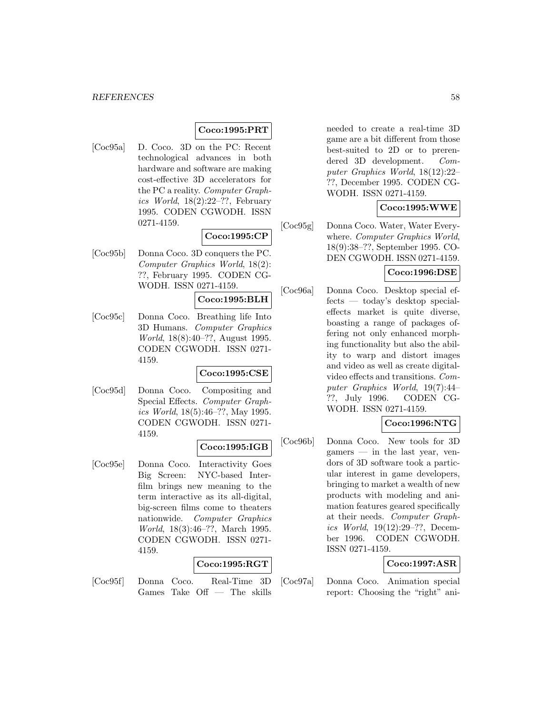# **Coco:1995:PRT**

[Coc95a] D. Coco. 3D on the PC: Recent technological advances in both hardware and software are making cost-effective 3D accelerators for the PC a reality. Computer Graphics World,  $18(2):22-??$ , February 1995. CODEN CGWODH. ISSN 0271-4159.

# **Coco:1995:CP**

[Coc95b] Donna Coco. 3D conquers the PC. Computer Graphics World, 18(2): ??, February 1995. CODEN CG-WODH. ISSN 0271-4159.

#### **Coco:1995:BLH**

[Coc95c] Donna Coco. Breathing life Into 3D Humans. Computer Graphics World, 18(8):40–??, August 1995. CODEN CGWODH. ISSN 0271- 4159.

### **Coco:1995:CSE**

[Coc95d] Donna Coco. Compositing and Special Effects. Computer Graphics World, 18(5):46–??, May 1995. CODEN CGWODH. ISSN 0271- 4159.

#### **Coco:1995:IGB**

[Coc95e] Donna Coco. Interactivity Goes Big Screen: NYC-based Interfilm brings new meaning to the term interactive as its all-digital, big-screen films come to theaters nationwide. Computer Graphics World, 18(3):46–??, March 1995. CODEN CGWODH. ISSN 0271- 4159.

# **Coco:1995:RGT**

[Coc95f] Donna Coco. Real-Time 3D Games Take Off — The skills needed to create a real-time 3D game are a bit different from those best-suited to 2D or to prerendered 3D development. Computer Graphics World, 18(12):22– ??, December 1995. CODEN CG-WODH. ISSN 0271-4159.

# **Coco:1995:WWE**

[Coc95g] Donna Coco. Water, Water Everywhere. Computer Graphics World, 18(9):38–??, September 1995. CO-DEN CGWODH. ISSN 0271-4159.

# **Coco:1996:DSE**

[Coc96a] Donna Coco. Desktop special effects — today's desktop specialeffects market is quite diverse, boasting a range of packages offering not only enhanced morphing functionality but also the ability to warp and distort images and video as well as create digitalvideo effects and transitions. Computer Graphics World, 19(7):44– ??, July 1996. CODEN CG-WODH. ISSN 0271-4159.

# **Coco:1996:NTG**

[Coc96b] Donna Coco. New tools for 3D gamers — in the last year, vendors of 3D software took a particular interest in game developers, bringing to market a wealth of new products with modeling and animation features geared specifically at their needs. Computer Graphics World, 19(12):29–??, December 1996. CODEN CGWODH. ISSN 0271-4159.

# **Coco:1997:ASR**

[Coc97a] Donna Coco. Animation special report: Choosing the "right" ani-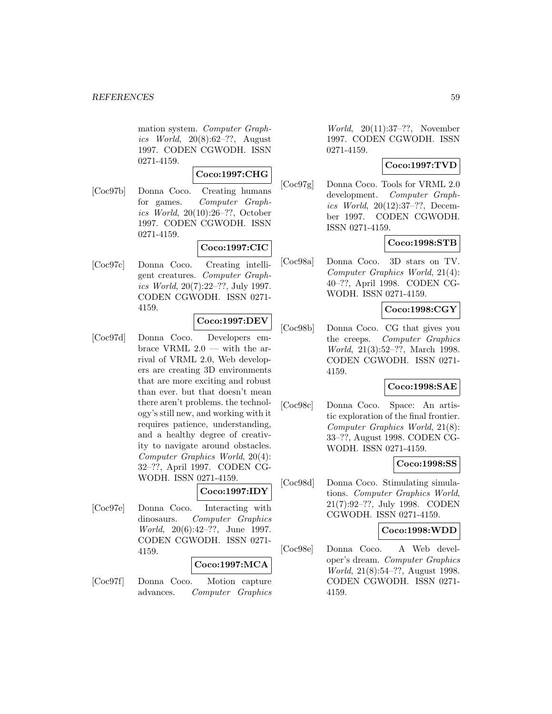mation system. Computer Graphics World, 20(8):62–??, August 1997. CODEN CGWODH. ISSN 0271-4159.

# **Coco:1997:CHG**

[Coc97b] Donna Coco. Creating humans for games. Computer Graphics World, 20(10):26–??, October 1997. CODEN CGWODH. ISSN 0271-4159.

# **Coco:1997:CIC**

[Coc97c] Donna Coco. Creating intelligent creatures. Computer Graphics World, 20(7):22–??, July 1997. CODEN CGWODH. ISSN 0271- 4159.

# **Coco:1997:DEV**

[Coc97d] Donna Coco. Developers embrace VRML  $2.0$  — with the arrival of VRML 2.0, Web developers are creating 3D environments that are more exciting and robust than ever. but that doesn't mean there aren't problems. the technology's still new, and working with it requires patience, understanding, and a healthy degree of creativity to navigate around obstacles. Computer Graphics World, 20(4): 32–??, April 1997. CODEN CG-WODH. ISSN 0271-4159.

# **Coco:1997:IDY**

[Coc97e] Donna Coco. Interacting with dinosaurs. Computer Graphics World, 20(6):42–??, June 1997. CODEN CGWODH. ISSN 0271- 4159.

### **Coco:1997:MCA**

[Coc97f] Donna Coco. Motion capture advances. Computer Graphics

World, 20(11):37–??, November 1997. CODEN CGWODH. ISSN 0271-4159.

# **Coco:1997:TVD**

[Coc97g] Donna Coco. Tools for VRML 2.0 development. Computer Graphics World, 20(12):37–??, December 1997. CODEN CGWODH. ISSN 0271-4159.

# **Coco:1998:STB**

[Coc98a] Donna Coco. 3D stars on TV. Computer Graphics World, 21(4): 40–??, April 1998. CODEN CG-WODH. ISSN 0271-4159.

# **Coco:1998:CGY**

[Coc98b] Donna Coco. CG that gives you the creeps. Computer Graphics World, 21(3):52–??, March 1998. CODEN CGWODH. ISSN 0271- 4159.

# **Coco:1998:SAE**

[Coc98c] Donna Coco. Space: An artistic exploration of the final frontier. Computer Graphics World, 21(8): 33–??, August 1998. CODEN CG-WODH. ISSN 0271-4159.

### **Coco:1998:SS**

[Coc98d] Donna Coco. Stimulating simulations. Computer Graphics World, 21(7):92–??, July 1998. CODEN CGWODH. ISSN 0271-4159.

#### **Coco:1998:WDD**

[Coc98e] Donna Coco. A Web developer's dream. Computer Graphics World, 21(8):54–??, August 1998. CODEN CGWODH. ISSN 0271- 4159.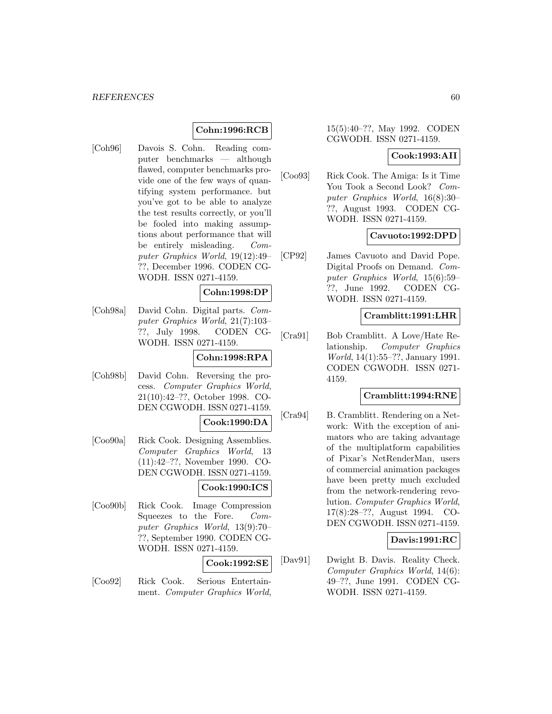# **Cohn:1996:RCB**

[Coh96] Davois S. Cohn. Reading computer benchmarks — although flawed, computer benchmarks provide one of the few ways of quantifying system performance. but you've got to be able to analyze the test results correctly, or you'll be fooled into making assumptions about performance that will be entirely misleading. Computer Graphics World, 19(12):49– ??, December 1996. CODEN CG-WODH. ISSN 0271-4159.

# **Cohn:1998:DP**

[Coh98a] David Cohn. Digital parts. Computer Graphics World, 21(7):103– ??, July 1998. CODEN CG-WODH. ISSN 0271-4159.

# **Cohn:1998:RPA**

[Coh98b] David Cohn. Reversing the process. Computer Graphics World, 21(10):42–??, October 1998. CO-DEN CGWODH. ISSN 0271-4159.

#### **Cook:1990:DA**

[Coo90a] Rick Cook. Designing Assemblies. Computer Graphics World, 13 (11):42–??, November 1990. CO-DEN CGWODH. ISSN 0271-4159.

# **Cook:1990:ICS**

[Coo90b] Rick Cook. Image Compression Squeezes to the Fore. Computer Graphics World, 13(9):70– ??, September 1990. CODEN CG-WODH. ISSN 0271-4159.

# **Cook:1992:SE**

[Coo92] Rick Cook. Serious Entertainment. Computer Graphics World,

# 15(5):40–??, May 1992. CODEN CGWODH. ISSN 0271-4159.

### **Cook:1993:AII**

[Coo93] Rick Cook. The Amiga: Is it Time You Took a Second Look? Computer Graphics World, 16(8):30– ??, August 1993. CODEN CG-WODH. ISSN 0271-4159.

### **Cavuoto:1992:DPD**

[CP92] James Cavuoto and David Pope. Digital Proofs on Demand. Computer Graphics World, 15(6):59– ??, June 1992. CODEN CG-WODH. ISSN 0271-4159.

#### **Cramblitt:1991:LHR**

[Cra91] Bob Cramblitt. A Love/Hate Relationship. Computer Graphics World, 14(1):55–??, January 1991. CODEN CGWODH. ISSN 0271- 4159.

# **Cramblitt:1994:RNE**

[Cra94] B. Cramblitt. Rendering on a Network: With the exception of animators who are taking advantage of the multiplatform capabilities of Pixar's NetRenderMan, users of commercial animation packages have been pretty much excluded from the network-rendering revolution. Computer Graphics World, 17(8):28–??, August 1994. CO-DEN CGWODH. ISSN 0271-4159.

# **Davis:1991:RC**

[Dav91] Dwight B. Davis. Reality Check. Computer Graphics World, 14(6): 49–??, June 1991. CODEN CG-WODH. ISSN 0271-4159.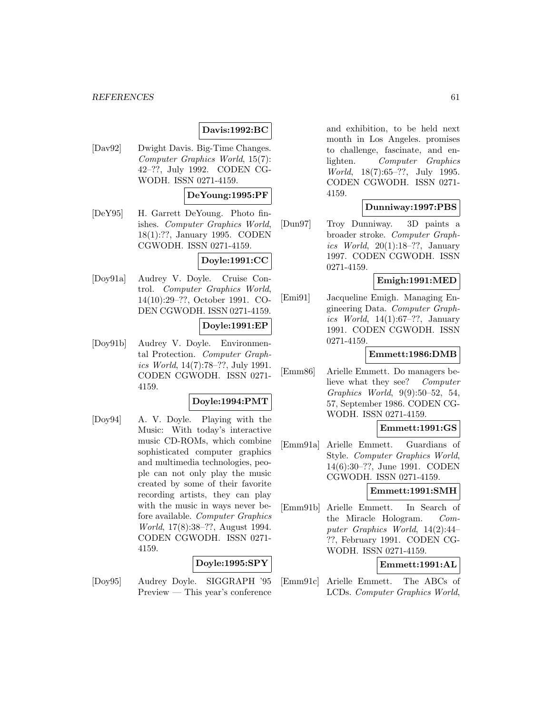# **Davis:1992:BC**

[Dav92] Dwight Davis. Big-Time Changes. Computer Graphics World, 15(7): 42–??, July 1992. CODEN CG-WODH. ISSN 0271-4159.

# **DeYoung:1995:PF**

[DeY95] H. Garrett DeYoung. Photo finishes. Computer Graphics World, 18(1):??, January 1995. CODEN CGWODH. ISSN 0271-4159.

# **Doyle:1991:CC**

[Doy91a] Audrey V. Doyle. Cruise Control. Computer Graphics World, 14(10):29–??, October 1991. CO-DEN CGWODH. ISSN 0271-4159.

#### **Doyle:1991:EP**

[Doy91b] Audrey V. Doyle. Environmental Protection. Computer Graphics World, 14(7):78–??, July 1991. CODEN CGWODH. ISSN 0271- 4159.

#### **Doyle:1994:PMT**

[Doy94] A. V. Doyle. Playing with the Music: With today's interactive music CD-ROMs, which combine sophisticated computer graphics and multimedia technologies, people can not only play the music created by some of their favorite recording artists, they can play with the music in ways never before available. Computer Graphics World, 17(8):38–??, August 1994. CODEN CGWODH. ISSN 0271- 4159.

#### **Doyle:1995:SPY**

[Doy95] Audrey Doyle. SIGGRAPH '95 Preview — This year's conference

and exhibition, to be held next month in Los Angeles. promises to challenge, fascinate, and enlighten. Computer Graphics World, 18(7):65–??, July 1995. CODEN CGWODH. ISSN 0271- 4159.

# **Dunniway:1997:PBS**

[Dun97] Troy Dunniway. 3D paints a broader stroke. Computer Graphics World,  $20(1):18-??$ , January 1997. CODEN CGWODH. ISSN 0271-4159.

# **Emigh:1991:MED**

[Emi91] Jacqueline Emigh. Managing Engineering Data. Computer Graphics World,  $14(1):67-??$ , January 1991. CODEN CGWODH. ISSN 0271-4159.

#### **Emmett:1986:DMB**

[Emm86] Arielle Emmett. Do managers believe what they see? Computer Graphics World, 9(9):50–52, 54, 57, September 1986. CODEN CG-WODH. ISSN 0271-4159.

#### **Emmett:1991:GS**

[Emm91a] Arielle Emmett. Guardians of Style. Computer Graphics World, 14(6):30–??, June 1991. CODEN CGWODH. ISSN 0271-4159.

### **Emmett:1991:SMH**

[Emm91b] Arielle Emmett. In Search of the Miracle Hologram. Computer Graphics World, 14(2):44– ??, February 1991. CODEN CG-WODH. ISSN 0271-4159.

### **Emmett:1991:AL**

[Emm91c] Arielle Emmett. The ABCs of LCDs. Computer Graphics World,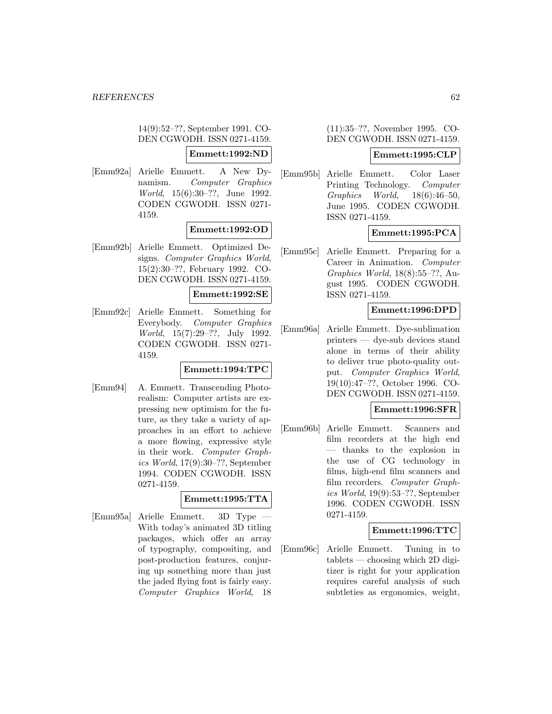14(9):52–??, September 1991. CO-DEN CGWODH. ISSN 0271-4159.

#### **Emmett:1992:ND**

[Emm92a] Arielle Emmett. A New Dynamism. Computer Graphics World, 15(6):30–??, June 1992. CODEN CGWODH. ISSN 0271- 4159.

# **Emmett:1992:OD**

[Emm92b] Arielle Emmett. Optimized Designs. Computer Graphics World, 15(2):30–??, February 1992. CO-DEN CGWODH. ISSN 0271-4159.

#### **Emmett:1992:SE**

[Emm92c] Arielle Emmett. Something for Everybody. Computer Graphics World, 15(7):29–??, July 1992. CODEN CGWODH. ISSN 0271- 4159.

# **Emmett:1994:TPC**

[Emm94] A. Emmett. Transcending Photorealism: Computer artists are expressing new optimism for the future, as they take a variety of approaches in an effort to achieve a more flowing, expressive style in their work. Computer Graphics World, 17(9):30–??, September 1994. CODEN CGWODH. ISSN 0271-4159.

# **Emmett:1995:TTA**

[Emm95a] Arielle Emmett. 3D Type — With today's animated 3D titling packages, which offer an array of typography, compositing, and post-production features, conjuring up something more than just the jaded flying font is fairly easy. Computer Graphics World, 18

(11):35–??, November 1995. CO-DEN CGWODH. ISSN 0271-4159.

#### **Emmett:1995:CLP**

[Emm95b] Arielle Emmett. Color Laser Printing Technology. Computer Graphics World, 18(6):46–50, June 1995. CODEN CGWODH. ISSN 0271-4159.

# **Emmett:1995:PCA**

[Emm95c] Arielle Emmett. Preparing for a Career in Animation. Computer Graphics World, 18(8):55–??, August 1995. CODEN CGWODH. ISSN 0271-4159.

# **Emmett:1996:DPD**

[Emm96a] Arielle Emmett. Dye-sublimation printers — dye-sub devices stand alone in terms of their ability to deliver true photo-quality output. Computer Graphics World, 19(10):47–??, October 1996. CO-DEN CGWODH. ISSN 0271-4159.

# **Emmett:1996:SFR**

[Emm96b] Arielle Emmett. Scanners and film recorders at the high end — thanks to the explosion in the use of CG technology in films, high-end film scanners and film recorders. Computer Graphics World, 19(9):53–??, September 1996. CODEN CGWODH. ISSN 0271-4159.

# **Emmett:1996:TTC**

[Emm96c] Arielle Emmett. Tuning in to tablets — choosing which 2D digitizer is right for your application requires careful analysis of such subtleties as ergonomics, weight,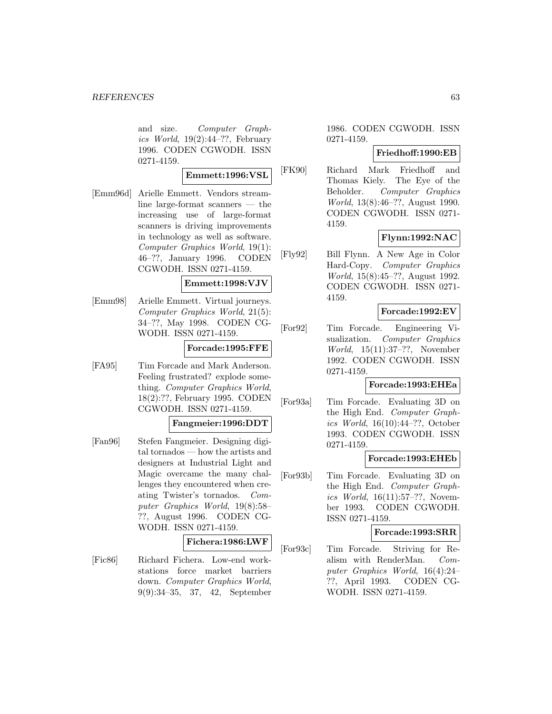and size. Computer Graphics World,  $19(2):44-??$ , February 1996. CODEN CGWODH. ISSN 0271-4159.

#### **Emmett:1996:VSL**

[Emm96d] Arielle Emmett. Vendors streamline large-format scanners — the increasing use of large-format scanners is driving improvements in technology as well as software. Computer Graphics World, 19(1): 46–??, January 1996. CODEN CGWODH. ISSN 0271-4159.

### **Emmett:1998:VJV**

[Emm98] Arielle Emmett. Virtual journeys. Computer Graphics World, 21(5): 34–??, May 1998. CODEN CG-WODH. ISSN 0271-4159.

### **Forcade:1995:FFE**

[FA95] Tim Forcade and Mark Anderson. Feeling frustrated? explode something. Computer Graphics World, 18(2):??, February 1995. CODEN CGWODH. ISSN 0271-4159.

#### **Fangmeier:1996:DDT**

[Fan96] Stefen Fangmeier. Designing digital tornados — how the artists and designers at Industrial Light and Magic overcame the many challenges they encountered when creating Twister's tornados. Computer Graphics World, 19(8):58– ??, August 1996. CODEN CG-WODH. ISSN 0271-4159.

#### **Fichera:1986:LWF**

[Fic86] Richard Fichera. Low-end workstations force market barriers down. Computer Graphics World, 9(9):34–35, 37, 42, September

1986. CODEN CGWODH. ISSN 0271-4159.

## **Friedhoff:1990:EB**

[FK90] Richard Mark Friedhoff and Thomas Kiely. The Eye of the Beholder. Computer Graphics World, 13(8):46–??, August 1990. CODEN CGWODH. ISSN 0271- 4159.

### **Flynn:1992:NAC**

[Fly92] Bill Flynn. A New Age in Color Hard-Copy. Computer Graphics World, 15(8):45–??, August 1992. CODEN CGWODH. ISSN 0271- 4159.

### **Forcade:1992:EV**

[For92] Tim Forcade. Engineering Visualization. Computer Graphics World, 15(11):37–??, November 1992. CODEN CGWODH. ISSN 0271-4159.

# **Forcade:1993:EHEa**

[For93a] Tim Forcade. Evaluating 3D on the High End. Computer Graphics World, 16(10):44–??, October 1993. CODEN CGWODH. ISSN 0271-4159.

#### **Forcade:1993:EHEb**

[For93b] Tim Forcade. Evaluating 3D on the High End. Computer Graphics World, 16(11):57–??, November 1993. CODEN CGWODH. ISSN 0271-4159.

#### **Forcade:1993:SRR**

[For93c] Tim Forcade. Striving for Realism with RenderMan. Computer Graphics World, 16(4):24– ??, April 1993. CODEN CG-WODH. ISSN 0271-4159.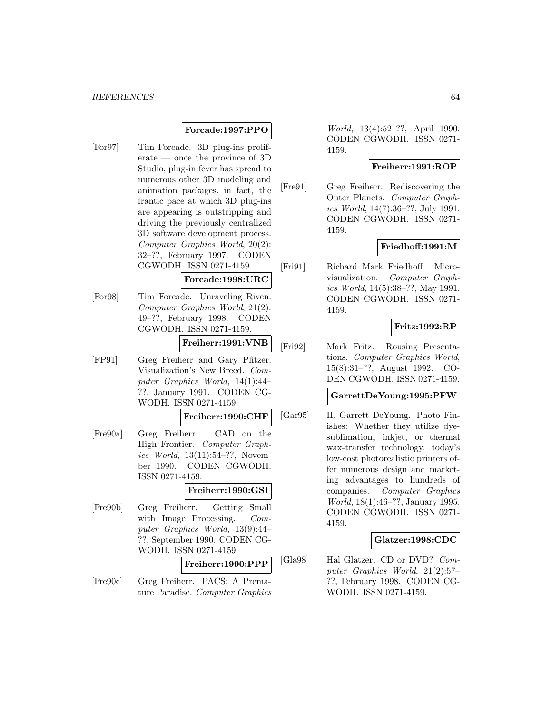#### *REFERENCES* 64

# **Forcade:1997:PPO**

[For97] Tim Forcade. 3D plug-ins proliferate — once the province of 3D Studio, plug-in fever has spread to numerous other 3D modeling and animation packages. in fact, the frantic pace at which 3D plug-ins are appearing is outstripping and driving the previously centralized 3D software development process. Computer Graphics World, 20(2): 32–??, February 1997. CODEN CGWODH. ISSN 0271-4159.

#### **Forcade:1998:URC**

[For98] Tim Forcade. Unraveling Riven. Computer Graphics World, 21(2): 49–??, February 1998. CODEN CGWODH. ISSN 0271-4159.

# **Freiherr:1991:VNB**

[FP91] Greg Freiherr and Gary Pfitzer. Visualization's New Breed. Computer Graphics World, 14(1):44– ??, January 1991. CODEN CG-WODH. ISSN 0271-4159.

#### **Freiherr:1990:CHF**

[Fre90a] Greg Freiherr. CAD on the High Frontier. Computer Graphics World, 13(11):54–??, November 1990. CODEN CGWODH. ISSN 0271-4159.

#### **Freiherr:1990:GSI**

[Fre90b] Greg Freiherr. Getting Small with Image Processing. Computer Graphics World, 13(9):44– ??, September 1990. CODEN CG-WODH. ISSN 0271-4159.

### **Freiherr:1990:PPP**

[Fre90c] Greg Freiherr. PACS: A Premature Paradise. Computer Graphics

World, 13(4):52–??, April 1990. CODEN CGWODH. ISSN 0271- 4159.

# **Freiherr:1991:ROP**

[Fre91] Greg Freiherr. Rediscovering the Outer Planets. Computer Graphics World, 14(7):36–??, July 1991. CODEN CGWODH. ISSN 0271- 4159.

### **Friedhoff:1991:M**

[Fri91] Richard Mark Friedhoff. Microvisualization. Computer Graphics World, 14(5):38–??, May 1991. CODEN CGWODH. ISSN 0271- 4159.

# **Fritz:1992:RP**

[Fri92] Mark Fritz. Rousing Presentations. Computer Graphics World, 15(8):31–??, August 1992. CO-DEN CGWODH. ISSN 0271-4159.

# **GarrettDeYoung:1995:PFW**

[Gar95] H. Garrett DeYoung. Photo Finishes: Whether they utilize dyesublimation, inkjet, or thermal wax-transfer technology, today's low-cost photorealistic printers offer numerous design and marketing advantages to hundreds of companies. Computer Graphics World, 18(1):46–??, January 1995. CODEN CGWODH. ISSN 0271- 4159.

### **Glatzer:1998:CDC**

[Gla98] Hal Glatzer. CD or DVD? Computer Graphics World, 21(2):57– ??, February 1998. CODEN CG-WODH. ISSN 0271-4159.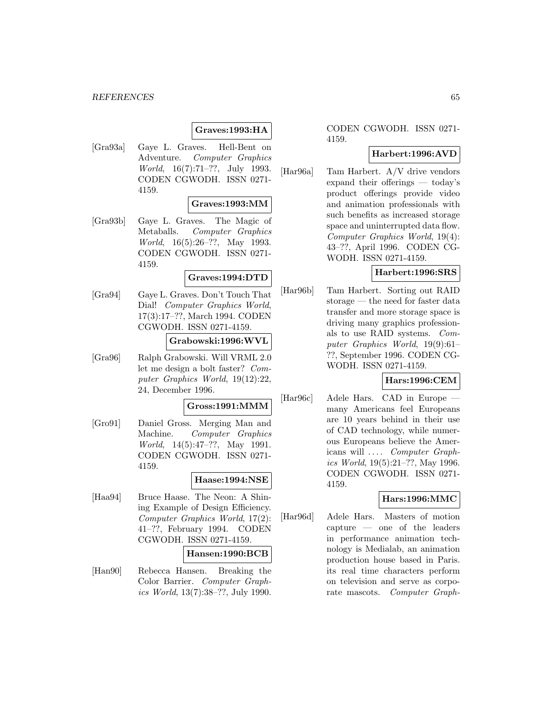# **Graves:1993:HA**

[Gra93a] Gaye L. Graves. Hell-Bent on Adventure. Computer Graphics World, 16(7):71–??, July 1993. CODEN CGWODH. ISSN 0271- 4159.

### **Graves:1993:MM**

[Gra93b] Gaye L. Graves. The Magic of Metaballs. Computer Graphics World, 16(5):26–??, May 1993. CODEN CGWODH. ISSN 0271- 4159.

# **Graves:1994:DTD**

[Gra94] Gaye L. Graves. Don't Touch That Dial! Computer Graphics World, 17(3):17–??, March 1994. CODEN CGWODH. ISSN 0271-4159.

# **Grabowski:1996:WVL**

[Gra96] Ralph Grabowski. Will VRML 2.0 let me design a bolt faster? Computer Graphics World, 19(12):22, 24, December 1996.

# **Gross:1991:MMM**

[Gro91] Daniel Gross. Merging Man and Machine. Computer Graphics World, 14(5):47–??, May 1991. CODEN CGWODH. ISSN 0271- 4159.

#### **Haase:1994:NSE**

[Haa94] Bruce Haase. The Neon: A Shining Example of Design Efficiency. Computer Graphics World, 17(2): 41–??, February 1994. CODEN CGWODH. ISSN 0271-4159.

#### **Hansen:1990:BCB**

[Han90] Rebecca Hansen. Breaking the Color Barrier. Computer Graphics World, 13(7):38–??, July 1990.

# CODEN CGWODH. ISSN 0271- 4159.

# **Harbert:1996:AVD**

[Har96a] Tam Harbert. A/V drive vendors expand their offerings — today's product offerings provide video and animation professionals with such benefits as increased storage space and uninterrupted data flow. Computer Graphics World, 19(4): 43–??, April 1996. CODEN CG-WODH. ISSN 0271-4159.

### **Harbert:1996:SRS**

[Har96b] Tam Harbert. Sorting out RAID storage — the need for faster data transfer and more storage space is driving many graphics professionals to use RAID systems. Computer Graphics World, 19(9):61– ??, September 1996. CODEN CG-WODH. ISSN 0271-4159.

# **Hars:1996:CEM**

[Har96c] Adele Hars. CAD in Europe many Americans feel Europeans are 10 years behind in their use of CAD technology, while numerous Europeans believe the Americans will .... Computer Graphics World, 19(5):21–??, May 1996. CODEN CGWODH. ISSN 0271- 4159.

# **Hars:1996:MMC**

[Har96d] Adele Hars. Masters of motion capture — one of the leaders in performance animation technology is Medialab, an animation production house based in Paris. its real time characters perform on television and serve as corporate mascots. Computer Graph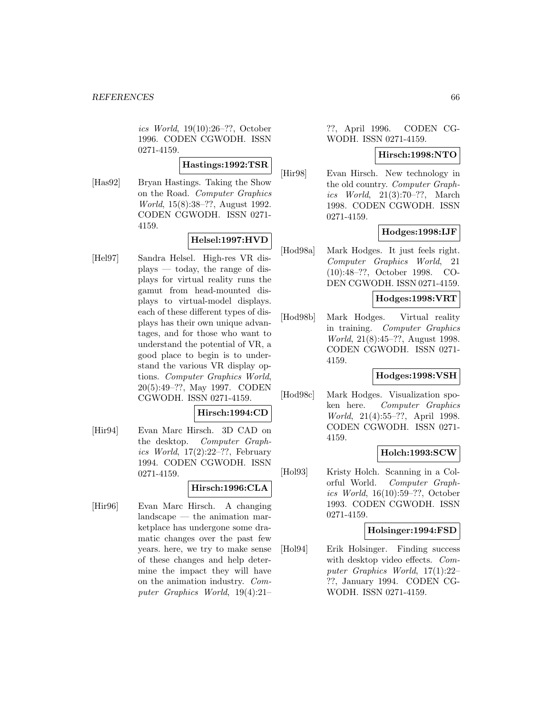ics World, 19(10):26–??, October 1996. CODEN CGWODH. ISSN 0271-4159.

# **Hastings:1992:TSR**

[Has92] Bryan Hastings. Taking the Show on the Road. Computer Graphics World, 15(8):38–??, August 1992. CODEN CGWODH. ISSN 0271- 4159.

# **Helsel:1997:HVD**

[Hel97] Sandra Helsel. High-res VR displays — today, the range of displays for virtual reality runs the gamut from head-mounted displays to virtual-model displays. each of these different types of displays has their own unique advantages, and for those who want to understand the potential of VR, a good place to begin is to understand the various VR display options. Computer Graphics World, 20(5):49–??, May 1997. CODEN CGWODH. ISSN 0271-4159.

# **Hirsch:1994:CD**

[Hir94] Evan Marc Hirsch. 3D CAD on the desktop. Computer Graphics World,  $17(2):22-??$ , February 1994. CODEN CGWODH. ISSN 0271-4159.

# **Hirsch:1996:CLA**

[Hir96] Evan Marc Hirsch. A changing landscape — the animation marketplace has undergone some dramatic changes over the past few years. here, we try to make sense of these changes and help determine the impact they will have on the animation industry. Computer Graphics World, 19(4):21–

# ??, April 1996. CODEN CG-WODH. ISSN 0271-4159.

### **Hirsch:1998:NTO**

[Hir98] Evan Hirsch. New technology in the old country. Computer Graphics World, 21(3):70–??, March 1998. CODEN CGWODH. ISSN 0271-4159.

# **Hodges:1998:IJF**

[Hod98a] Mark Hodges. It just feels right. Computer Graphics World, 21 (10):48–??, October 1998. CO-DEN CGWODH. ISSN 0271-4159.

# **Hodges:1998:VRT**

[Hod98b] Mark Hodges. Virtual reality in training. Computer Graphics World, 21(8):45–??, August 1998. CODEN CGWODH. ISSN 0271- 4159.

# **Hodges:1998:VSH**

[Hod98c] Mark Hodges. Visualization spoken here. Computer Graphics World, 21(4):55–??, April 1998. CODEN CGWODH. ISSN 0271- 4159.

# **Holch:1993:SCW**

[Hol93] Kristy Holch. Scanning in a Colorful World. Computer Graphics World, 16(10):59–??, October 1993. CODEN CGWODH. ISSN 0271-4159.

# **Holsinger:1994:FSD**

[Hol94] Erik Holsinger. Finding success with desktop video effects. Computer Graphics World, 17(1):22– ??, January 1994. CODEN CG-WODH. ISSN 0271-4159.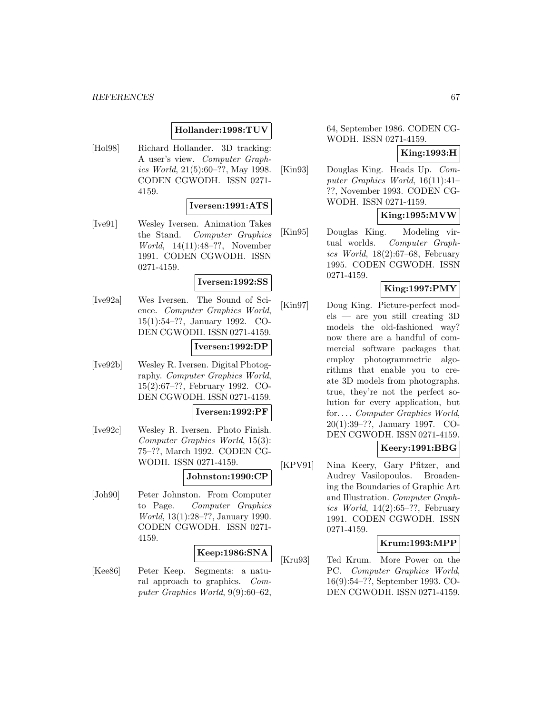#### *REFERENCES* 67

### **Hollander:1998:TUV**

[Hol98] Richard Hollander. 3D tracking: A user's view. Computer Graphics World, 21(5):60–??, May 1998. CODEN CGWODH. ISSN 0271- 4159.

# **Iversen:1991:ATS**

[Ive91] Wesley Iversen. Animation Takes the Stand. Computer Graphics World, 14(11):48–??, November 1991. CODEN CGWODH. ISSN 0271-4159.

# **Iversen:1992:SS**

[Ive92a] Wes Iversen. The Sound of Science. Computer Graphics World, 15(1):54–??, January 1992. CO-DEN CGWODH. ISSN 0271-4159.

#### **Iversen:1992:DP**

[Ive92b] Wesley R. Iversen. Digital Photography. Computer Graphics World, 15(2):67–??, February 1992. CO-DEN CGWODH. ISSN 0271-4159.

**Iversen:1992:PF**

[Ive92c] Wesley R. Iversen. Photo Finish. Computer Graphics World, 15(3): 75–??, March 1992. CODEN CG-WODH. ISSN 0271-4159.

# **Johnston:1990:CP**

[Joh90] Peter Johnston. From Computer to Page. Computer Graphics World, 13(1):28–??, January 1990. CODEN CGWODH. ISSN 0271- 4159.

### **Keep:1986:SNA**

[Kee86] Peter Keep. Segments: a natural approach to graphics. Computer Graphics World, 9(9):60–62,

64, September 1986. CODEN CG-WODH. ISSN 0271-4159.

### **King:1993:H**

[Kin93] Douglas King. Heads Up. Computer Graphics World, 16(11):41– ??, November 1993. CODEN CG-WODH. ISSN 0271-4159.

# **King:1995:MVW**

[Kin95] Douglas King. Modeling virtual worlds. Computer Graphics World,  $18(2):67-68$ , February 1995. CODEN CGWODH. ISSN 0271-4159.

### **King:1997:PMY**

[Kin97] Doug King. Picture-perfect models — are you still creating 3D models the old-fashioned way? now there are a handful of commercial software packages that employ photogrammetric algorithms that enable you to create 3D models from photographs. true, they're not the perfect solution for every application, but for... . Computer Graphics World, 20(1):39–??, January 1997. CO-DEN CGWODH. ISSN 0271-4159.

# **Keery:1991:BBG**

[KPV91] Nina Keery, Gary Pfitzer, and Audrey Vasilopoulos. Broadening the Boundaries of Graphic Art and Illustration. Computer Graphics World,  $14(2):65-??$ , February 1991. CODEN CGWODH. ISSN 0271-4159.

#### **Krum:1993:MPP**

[Kru93] Ted Krum. More Power on the PC. Computer Graphics World, 16(9):54–??, September 1993. CO-DEN CGWODH. ISSN 0271-4159.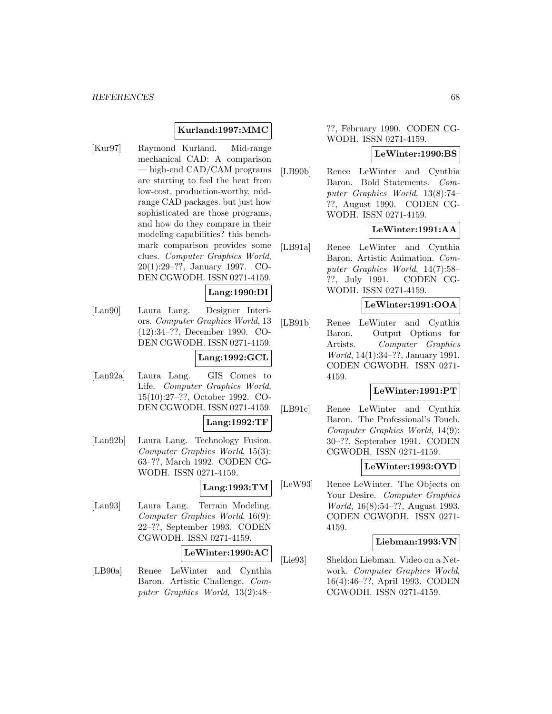### **Kurland:1997:MMC**

[Kur97] Raymond Kurland. Mid-range mechanical CAD: A comparison — high-end CAD/CAM programs are starting to feel the heat from low-cost, production-worthy, midrange CAD packages. but just how sophisticated are those programs, and how do they compare in their modeling capabilities? this benchmark comparison provides some clues. Computer Graphics World, 20(1):29–??, January 1997. CO-DEN CGWODH. ISSN 0271-4159.

### **Lang:1990:DI**

[Lan90] Laura Lang. Designer Interiors. Computer Graphics World, 13 (12):34–??, December 1990. CO-DEN CGWODH. ISSN 0271-4159.

# **Lang:1992:GCL**

[Lan92a] Laura Lang. GIS Comes to Life. Computer Graphics World, 15(10):27–??, October 1992. CO-DEN CGWODH. ISSN 0271-4159.

#### **Lang:1992:TF**

[Lan92b] Laura Lang. Technology Fusion. Computer Graphics World, 15(3): 63–??, March 1992. CODEN CG-WODH. ISSN 0271-4159.

#### **Lang:1993:TM**

[Lan93] Laura Lang. Terrain Modeling. Computer Graphics World, 16(9): 22–??, September 1993. CODEN CGWODH. ISSN 0271-4159.

#### **LeWinter:1990:AC**

[LB90a] Renee LeWinter and Cynthia Baron. Artistic Challenge. Computer Graphics World, 13(2):48–

??, February 1990. CODEN CG-WODH. ISSN 0271-4159.

### **LeWinter:1990:BS**

[LB90b] Renee LeWinter and Cynthia Baron. Bold Statements. Computer Graphics World, 13(8):74– ??, August 1990. CODEN CG-WODH. ISSN 0271-4159.

# **LeWinter:1991:AA**

[LB91a] Renee LeWinter and Cynthia Baron. Artistic Animation. Computer Graphics World, 14(7):58– ??, July 1991. CODEN CG-WODH. ISSN 0271-4159.

### **LeWinter:1991:OOA**

[LB91b] Renee LeWinter and Cynthia Baron. Output Options for Artists. Computer Graphics World, 14(1):34–??, January 1991. CODEN CGWODH. ISSN 0271- 4159.

#### **LeWinter:1991:PT**

[LB91c] Renee LeWinter and Cynthia Baron. The Professional's Touch. Computer Graphics World, 14(9): 30–??, September 1991. CODEN CGWODH. ISSN 0271-4159.

#### **LeWinter:1993:OYD**

[LeW93] Renee LeWinter. The Objects on Your Desire. Computer Graphics World, 16(8):54–??, August 1993. CODEN CGWODH. ISSN 0271- 4159.

#### **Liebman:1993:VN**

[Lie93] Sheldon Liebman. Video on a Network. Computer Graphics World, 16(4):46–??, April 1993. CODEN CGWODH. ISSN 0271-4159.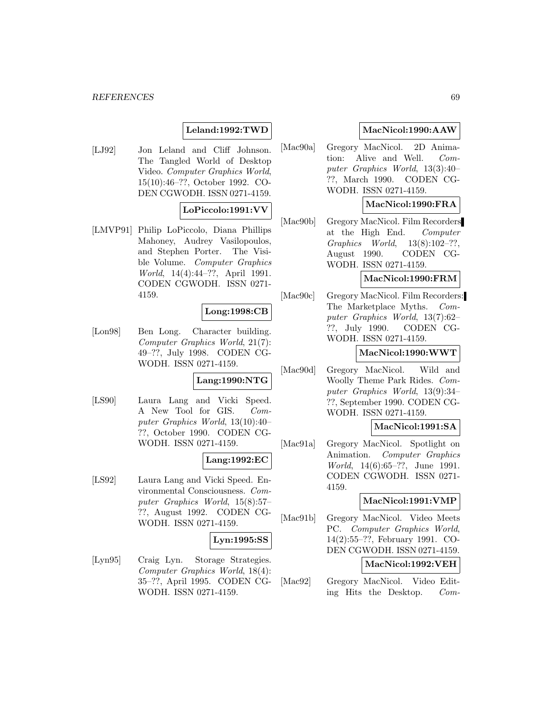#### *REFERENCES* 69

# **Leland:1992:TWD**

[LJ92] Jon Leland and Cliff Johnson. The Tangled World of Desktop Video. Computer Graphics World, 15(10):46–??, October 1992. CO-DEN CGWODH. ISSN 0271-4159.

# **LoPiccolo:1991:VV**

[LMVP91] Philip LoPiccolo, Diana Phillips Mahoney, Audrey Vasilopoulos, and Stephen Porter. The Visible Volume. Computer Graphics World, 14(4):44–??, April 1991. CODEN CGWODH. ISSN 0271- 4159.

# **Long:1998:CB**

[Lon98] Ben Long. Character building. Computer Graphics World, 21(7): 49–??, July 1998. CODEN CG-WODH. ISSN 0271-4159.

# **Lang:1990:NTG**

[LS90] Laura Lang and Vicki Speed. A New Tool for GIS. Computer Graphics World, 13(10):40– ??, October 1990. CODEN CG-WODH. ISSN 0271-4159.

# **Lang:1992:EC**

[LS92] Laura Lang and Vicki Speed. Environmental Consciousness. Computer Graphics World, 15(8):57– ??, August 1992. CODEN CG-WODH. ISSN 0271-4159.

#### **Lyn:1995:SS**

[Lyn95] Craig Lyn. Storage Strategies. Computer Graphics World, 18(4): 35–??, April 1995. CODEN CG-WODH. ISSN 0271-4159.

# **MacNicol:1990:AAW**

[Mac90a] Gregory MacNicol. 2D Animation: Alive and Well. Computer Graphics World, 13(3):40– ??, March 1990. CODEN CG-WODH. ISSN 0271-4159.

# **MacNicol:1990:FRA**

[Mac90b] Gregory MacNicol. Film Recorders at the High End. Computer Graphics World, 13(8):102–??, August 1990. CODEN CG-WODH. ISSN 0271-4159.

# **MacNicol:1990:FRM**

[Mac90c] Gregory MacNicol. Film Recorders: The Marketplace Myths. Computer Graphics World, 13(7):62– ??, July 1990. CODEN CG-WODH. ISSN 0271-4159.

#### **MacNicol:1990:WWT**

[Mac90d] Gregory MacNicol. Wild and Woolly Theme Park Rides. Computer Graphics World, 13(9):34– ??, September 1990. CODEN CG-WODH. ISSN 0271-4159.

# **MacNicol:1991:SA**

[Mac91a] Gregory MacNicol. Spotlight on Animation. Computer Graphics World, 14(6):65–??, June 1991. CODEN CGWODH. ISSN 0271- 4159.

#### **MacNicol:1991:VMP**

[Mac91b] Gregory MacNicol. Video Meets PC. Computer Graphics World, 14(2):55–??, February 1991. CO-DEN CGWODH. ISSN 0271-4159.

# **MacNicol:1992:VEH**

[Mac92] Gregory MacNicol. Video Editing Hits the Desktop. Com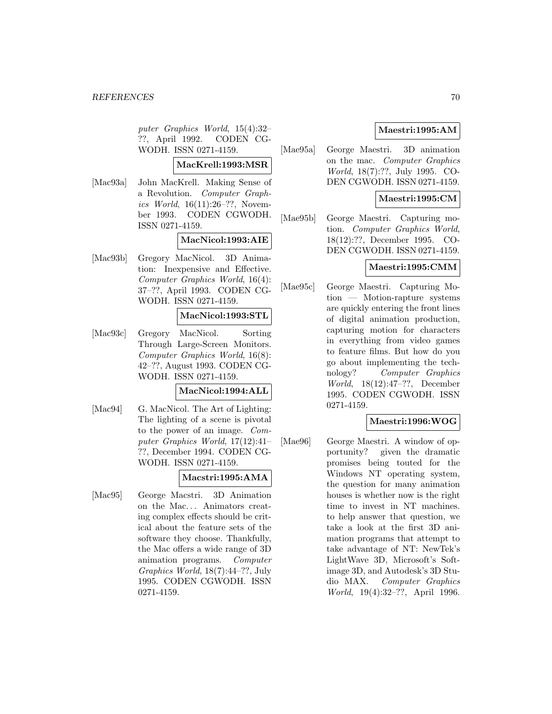puter Graphics World, 15(4):32– ??, April 1992. CODEN CG-WODH. ISSN 0271-4159.

# **MacKrell:1993:MSR**

[Mac93a] John MacKrell. Making Sense of a Revolution. Computer Graphics World, 16(11):26–??, November 1993. CODEN CGWODH. ISSN 0271-4159.

### **MacNicol:1993:AIE**

[Mac93b] Gregory MacNicol. 3D Animation: Inexpensive and Effective. Computer Graphics World, 16(4): 37–??, April 1993. CODEN CG-WODH. ISSN 0271-4159.

# **MacNicol:1993:STL**

[Mac93c] Gregory MacNicol. Sorting Through Large-Screen Monitors. Computer Graphics World, 16(8): 42–??, August 1993. CODEN CG-WODH. ISSN 0271-4159.

### **MacNicol:1994:ALL**

[Mac94] G. MacNicol. The Art of Lighting: The lighting of a scene is pivotal to the power of an image. Computer Graphics World, 17(12):41– ??, December 1994. CODEN CG-WODH. ISSN 0271-4159.

# **Macstri:1995:AMA**

[Mac95] George Macstri. 3D Animation on the Mac... Animators creating complex effects should be critical about the feature sets of the software they choose. Thankfully, the Mac offers a wide range of 3D animation programs. Computer Graphics World, 18(7):44–??, July 1995. CODEN CGWODH. ISSN 0271-4159.

# **Maestri:1995:AM**

[Mae95a] George Maestri. 3D animation on the mac. Computer Graphics World, 18(7):??, July 1995. CO-DEN CGWODH. ISSN 0271-4159.

# **Maestri:1995:CM**

[Mae95b] George Maestri. Capturing motion. Computer Graphics World, 18(12):??, December 1995. CO-DEN CGWODH. ISSN 0271-4159.

# **Maestri:1995:CMM**

[Mae95c] George Maestri. Capturing Motion — Motion-rapture systems are quickly entering the front lines of digital animation production, capturing motion for characters in everything from video games to feature films. But how do you go about implementing the technology? Computer Graphics World, 18(12):47–??, December 1995. CODEN CGWODH. ISSN 0271-4159.

# **Maestri:1996:WOG**

[Mae96] George Maestri. A window of opportunity? given the dramatic promises being touted for the Windows NT operating system, the question for many animation houses is whether now is the right time to invest in NT machines. to help answer that question, we take a look at the first 3D animation programs that attempt to take advantage of NT: NewTek's LightWave 3D, Microsoft's Softimage 3D, and Autodesk's 3D Studio MAX. Computer Graphics World, 19(4):32–??, April 1996.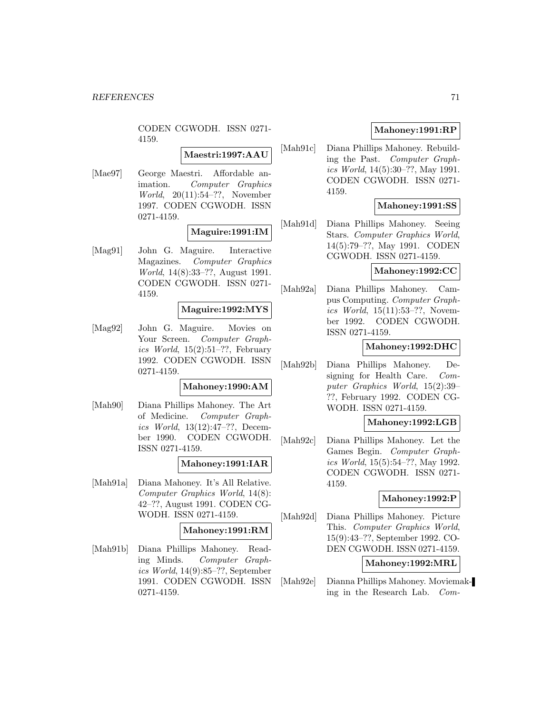CODEN CGWODH. ISSN 0271- 4159.

# **Maestri:1997:AAU**

[Mae97] George Maestri. Affordable animation. Computer Graphics World, 20(11):54–??, November 1997. CODEN CGWODH. ISSN 0271-4159.

# **Maguire:1991:IM**

[Mag91] John G. Maguire. Interactive Magazines. Computer Graphics World, 14(8):33–??, August 1991. CODEN CGWODH. ISSN 0271- 4159.

### **Maguire:1992:MYS**

[Mag92] John G. Maguire. Movies on Your Screen. *Computer Graph*ics World,  $15(2):51-??$ , February 1992. CODEN CGWODH. ISSN 0271-4159.

#### **Mahoney:1990:AM**

[Mah90] Diana Phillips Mahoney. The Art of Medicine. Computer Graphics World, 13(12):47–??, December 1990. CODEN CGWODH. ISSN 0271-4159.

#### **Mahoney:1991:IAR**

[Mah91a] Diana Mahoney. It's All Relative. Computer Graphics World, 14(8): 42–??, August 1991. CODEN CG-WODH. ISSN 0271-4159.

# **Mahoney:1991:RM**

[Mah91b] Diana Phillips Mahoney. Reading Minds. Computer Graphics World, 14(9):85–??, September 1991. CODEN CGWODH. ISSN 0271-4159.

# **Mahoney:1991:RP**

[Mah91c] Diana Phillips Mahoney. Rebuilding the Past. Computer Graphics World, 14(5):30–??, May 1991. CODEN CGWODH. ISSN 0271- 4159.

# **Mahoney:1991:SS**

[Mah91d] Diana Phillips Mahoney. Seeing Stars. Computer Graphics World, 14(5):79–??, May 1991. CODEN CGWODH. ISSN 0271-4159.

# **Mahoney:1992:CC**

[Mah92a] Diana Phillips Mahoney. Campus Computing. Computer Graphics World, 15(11):53–??, November 1992. CODEN CGWODH. ISSN 0271-4159.

### **Mahoney:1992:DHC**

[Mah92b] Diana Phillips Mahoney. Designing for Health Care. Computer Graphics World, 15(2):39– ??, February 1992. CODEN CG-WODH. ISSN 0271-4159.

### **Mahoney:1992:LGB**

[Mah92c] Diana Phillips Mahoney. Let the Games Begin. Computer Graphics World, 15(5):54–??, May 1992. CODEN CGWODH. ISSN 0271- 4159.

#### **Mahoney:1992:P**

[Mah92d] Diana Phillips Mahoney. Picture This. Computer Graphics World, 15(9):43–??, September 1992. CO-DEN CGWODH. ISSN 0271-4159.

# **Mahoney:1992:MRL**

[Mah92e] Dianna Phillips Mahoney. Moviemaking in the Research Lab. Com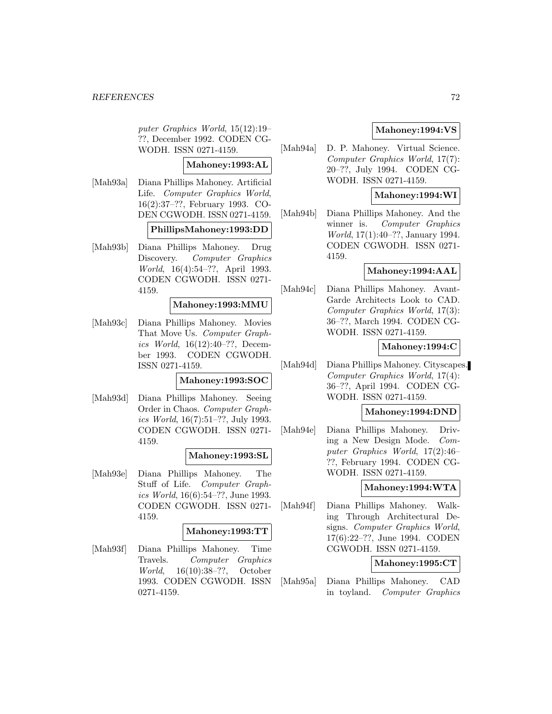puter Graphics World, 15(12):19– ??, December 1992. CODEN CG-WODH. ISSN 0271-4159.

## **Mahoney:1993:AL**

[Mah93a] Diana Phillips Mahoney. Artificial Life. Computer Graphics World, 16(2):37–??, February 1993. CO-DEN CGWODH. ISSN 0271-4159.

#### **PhillipsMahoney:1993:DD**

[Mah93b] Diana Phillips Mahoney. Drug Discovery. Computer Graphics World, 16(4):54–??, April 1993. CODEN CGWODH. ISSN 0271- 4159.

### **Mahoney:1993:MMU**

[Mah93c] Diana Phillips Mahoney. Movies That Move Us. Computer Graphics World, 16(12):40–??, December 1993. CODEN CGWODH. ISSN 0271-4159.

# **Mahoney:1993:SOC**

[Mah93d] Diana Phillips Mahoney. Seeing Order in Chaos. Computer Graphics World, 16(7):51–??, July 1993. CODEN CGWODH. ISSN 0271- 4159.

# **Mahoney:1993:SL**

[Mah93e] Diana Phillips Mahoney. The Stuff of Life. Computer Graphics World, 16(6):54–??, June 1993. CODEN CGWODH. ISSN 0271- 4159.

### **Mahoney:1993:TT**

[Mah93f] Diana Phillips Mahoney. Time Travels. Computer Graphics World, 16(10):38–??, October 1993. CODEN CGWODH. ISSN 0271-4159.

# **Mahoney:1994:VS**

[Mah94a] D. P. Mahoney. Virtual Science. Computer Graphics World, 17(7): 20–??, July 1994. CODEN CG-WODH. ISSN 0271-4159.

# **Mahoney:1994:WI**

[Mah94b] Diana Phillips Mahoney. And the winner is. Computer Graphics World, 17(1):40–??, January 1994. CODEN CGWODH. ISSN 0271- 4159.

### **Mahoney:1994:AAL**

[Mah94c] Diana Phillips Mahoney. Avant-Garde Architects Look to CAD. Computer Graphics World, 17(3): 36–??, March 1994. CODEN CG-WODH. ISSN 0271-4159.

### **Mahoney:1994:C**

[Mah94d] Diana Phillips Mahoney. Cityscapes. Computer Graphics World, 17(4): 36–??, April 1994. CODEN CG-WODH. ISSN 0271-4159.

### **Mahoney:1994:DND**

[Mah94e] Diana Phillips Mahoney. Driving a New Design Mode. Computer Graphics World, 17(2):46– ??, February 1994. CODEN CG-WODH. ISSN 0271-4159.

#### **Mahoney:1994:WTA**

[Mah94f] Diana Phillips Mahoney. Walking Through Architectural Designs. Computer Graphics World, 17(6):22–??, June 1994. CODEN CGWODH. ISSN 0271-4159.

# **Mahoney:1995:CT**

[Mah95a] Diana Phillips Mahoney. CAD in toyland. Computer Graphics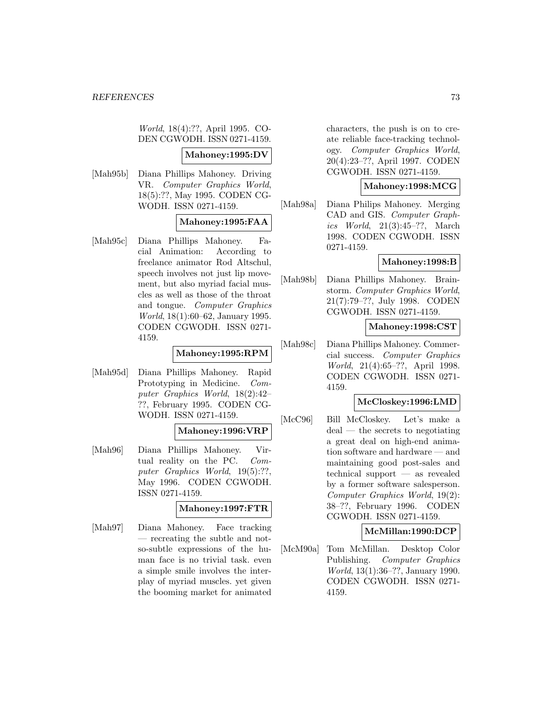World, 18(4):??, April 1995. CO-DEN CGWODH. ISSN 0271-4159.

#### **Mahoney:1995:DV**

[Mah95b] Diana Phillips Mahoney. Driving VR. Computer Graphics World, 18(5):??, May 1995. CODEN CG-WODH. ISSN 0271-4159.

## **Mahoney:1995:FAA**

[Mah95c] Diana Phillips Mahoney. Facial Animation: According to freelance animator Rod Altschul, speech involves not just lip movement, but also myriad facial muscles as well as those of the throat and tongue. Computer Graphics World, 18(1):60–62, January 1995. CODEN CGWODH. ISSN 0271- 4159.

### **Mahoney:1995:RPM**

[Mah95d] Diana Phillips Mahoney. Rapid Prototyping in Medicine. Computer Graphics World, 18(2):42– ??, February 1995. CODEN CG-WODH. ISSN 0271-4159.

### **Mahoney:1996:VRP**

[Mah96] Diana Phillips Mahoney. Virtual reality on the PC. Computer Graphics World, 19(5):??, May 1996. CODEN CGWODH. ISSN 0271-4159.

### **Mahoney:1997:FTR**

[Mah97] Diana Mahoney. Face tracking — recreating the subtle and notso-subtle expressions of the human face is no trivial task. even a simple smile involves the interplay of myriad muscles. yet given the booming market for animated

characters, the push is on to create reliable face-tracking technology. Computer Graphics World, 20(4):23–??, April 1997. CODEN CGWODH. ISSN 0271-4159.

### **Mahoney:1998:MCG**

[Mah98a] Diana Philips Mahoney. Merging CAD and GIS. Computer Graphics World, 21(3):45–??, March 1998. CODEN CGWODH. ISSN 0271-4159.

## **Mahoney:1998:B**

[Mah98b] Diana Phillips Mahoney. Brainstorm. Computer Graphics World, 21(7):79–??, July 1998. CODEN CGWODH. ISSN 0271-4159.

### **Mahoney:1998:CST**

[Mah98c] Diana Phillips Mahoney. Commercial success. Computer Graphics World, 21(4):65–??, April 1998. CODEN CGWODH. ISSN 0271- 4159.

### **McCloskey:1996:LMD**

[McC96] Bill McCloskey. Let's make a deal — the secrets to negotiating a great deal on high-end animation software and hardware — and maintaining good post-sales and technical support — as revealed by a former software salesperson. Computer Graphics World, 19(2): 38–??, February 1996. CODEN CGWODH. ISSN 0271-4159.

### **McMillan:1990:DCP**

[McM90a] Tom McMillan. Desktop Color Publishing. Computer Graphics World, 13(1):36–??, January 1990. CODEN CGWODH. ISSN 0271- 4159.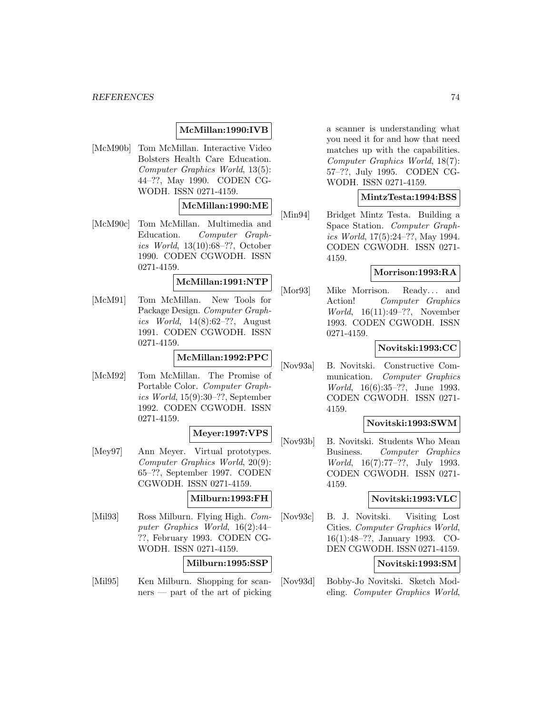## **McMillan:1990:IVB**

[McM90b] Tom McMillan. Interactive Video Bolsters Health Care Education. Computer Graphics World, 13(5): 44–??, May 1990. CODEN CG-WODH. ISSN 0271-4159.

## **McMillan:1990:ME**

[McM90c] Tom McMillan. Multimedia and Education. Computer Graphics World, 13(10):68–??, October 1990. CODEN CGWODH. ISSN 0271-4159.

# **McMillan:1991:NTP**

[McM91] Tom McMillan. New Tools for Package Design. Computer Graphics World, 14(8):62–??, August 1991. CODEN CGWODH. ISSN 0271-4159.

### **McMillan:1992:PPC**

[McM92] Tom McMillan. The Promise of Portable Color. Computer Graphics World, 15(9):30–??, September 1992. CODEN CGWODH. ISSN 0271-4159.

#### **Meyer:1997:VPS**

[Mey97] Ann Meyer. Virtual prototypes. Computer Graphics World, 20(9): 65–??, September 1997. CODEN CGWODH. ISSN 0271-4159.

### **Milburn:1993:FH**

[Mil93] Ross Milburn. Flying High. Computer Graphics World, 16(2):44– ??, February 1993. CODEN CG-WODH. ISSN 0271-4159.

#### **Milburn:1995:SSP**

[Mil95] Ken Milburn. Shopping for scanners — part of the art of picking

a scanner is understanding what you need it for and how that need matches up with the capabilities. Computer Graphics World, 18(7): 57–??, July 1995. CODEN CG-WODH. ISSN 0271-4159.

### **MintzTesta:1994:BSS**

[Min94] Bridget Mintz Testa. Building a Space Station. Computer Graphics World, 17(5):24–??, May 1994. CODEN CGWODH. ISSN 0271- 4159.

#### **Morrison:1993:RA**

[Mor93] Mike Morrison. Ready... and Action! Computer Graphics World, 16(11):49–??, November 1993. CODEN CGWODH. ISSN 0271-4159.

### **Novitski:1993:CC**

[Nov93a] B. Novitski. Constructive Communication. Computer Graphics World, 16(6):35–??, June 1993. CODEN CGWODH. ISSN 0271- 4159.

#### **Novitski:1993:SWM**

[Nov93b] B. Novitski. Students Who Mean Business. Computer Graphics World, 16(7):77–??, July 1993. CODEN CGWODH. ISSN 0271- 4159.

### **Novitski:1993:VLC**

[Nov93c] B. J. Novitski. Visiting Lost Cities. Computer Graphics World, 16(1):48–??, January 1993. CO-DEN CGWODH. ISSN 0271-4159.

### **Novitski:1993:SM**

[Nov93d] Bobby-Jo Novitski. Sketch Modeling. Computer Graphics World,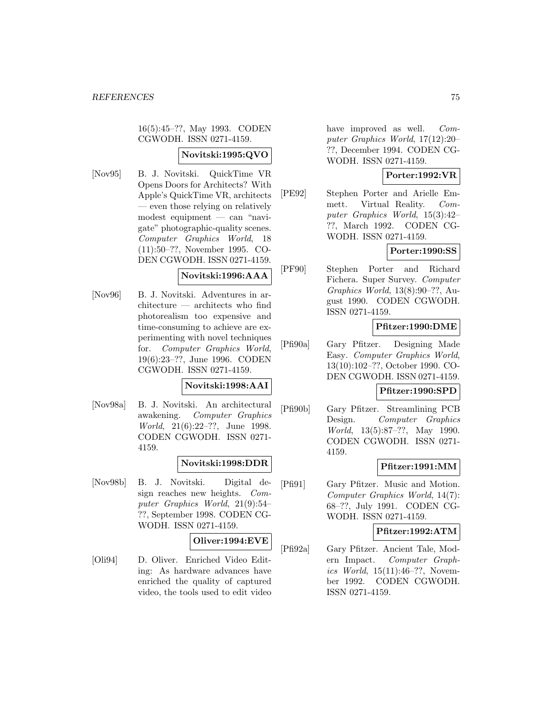16(5):45–??, May 1993. CODEN CGWODH. ISSN 0271-4159.

### **Novitski:1995:QVO**

[Nov95] B. J. Novitski. QuickTime VR Opens Doors for Architects? With Apple's QuickTime VR, architects — even those relying on relatively modest equipment — can "navigate" photographic-quality scenes. Computer Graphics World, 18 (11):50–??, November 1995. CO-DEN CGWODH. ISSN 0271-4159.

#### **Novitski:1996:AAA**

[Nov96] B. J. Novitski. Adventures in architecture — architects who find photorealism too expensive and time-consuming to achieve are experimenting with novel techniques for. Computer Graphics World, 19(6):23–??, June 1996. CODEN CGWODH. ISSN 0271-4159.

#### **Novitski:1998:AAI**

[Nov98a] B. J. Novitski. An architectural awakening. Computer Graphics World, 21(6):22–??, June 1998. CODEN CGWODH. ISSN 0271- 4159.

### **Novitski:1998:DDR**

[Nov98b] B. J. Novitski. Digital design reaches new heights. Computer Graphics World, 21(9):54– ??, September 1998. CODEN CG-WODH. ISSN 0271-4159.

#### **Oliver:1994:EVE**

[Oli94] D. Oliver. Enriched Video Editing: As hardware advances have enriched the quality of captured video, the tools used to edit video

have improved as well. Computer Graphics World, 17(12):20– ??, December 1994. CODEN CG-WODH. ISSN 0271-4159.

#### **Porter:1992:VR**

[PE92] Stephen Porter and Arielle Emmett. Virtual Reality. Computer Graphics World, 15(3):42– ??, March 1992. CODEN CG-WODH. ISSN 0271-4159.

#### **Porter:1990:SS**

[PF90] Stephen Porter and Richard Fichera. Super Survey. Computer Graphics World, 13(8):90–??, August 1990. CODEN CGWODH. ISSN 0271-4159.

## **Pfitzer:1990:DME**

[Pfi90a] Gary Pfitzer. Designing Made Easy. Computer Graphics World, 13(10):102–??, October 1990. CO-DEN CGWODH. ISSN 0271-4159.

## **Pfitzer:1990:SPD**

[Pfi90b] Gary Pfitzer. Streamlining PCB Design. Computer Graphics World, 13(5):87–??, May 1990. CODEN CGWODH. ISSN 0271- 4159.

### **Pfitzer:1991:MM**

[Pfi91] Gary Pfitzer. Music and Motion. Computer Graphics World, 14(7): 68–??, July 1991. CODEN CG-WODH. ISSN 0271-4159.

**Pfitzer:1992:ATM**

[Pfi92a] Gary Pfitzer. Ancient Tale, Modern Impact. Computer Graphics World, 15(11):46–??, November 1992. CODEN CGWODH. ISSN 0271-4159.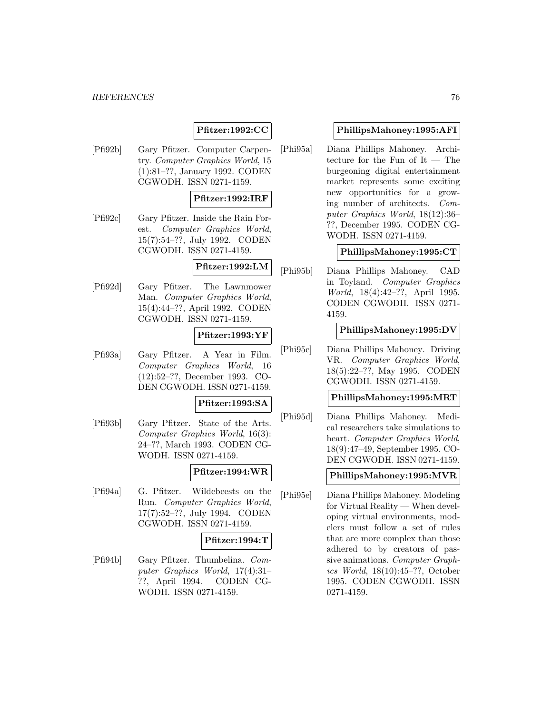## **Pfitzer:1992:CC**

[Pfi92b] Gary Pfitzer. Computer Carpentry. Computer Graphics World, 15 (1):81–??, January 1992. CODEN CGWODH. ISSN 0271-4159.

### **Pfitzer:1992:IRF**

[Pfi92c] Gary Pfitzer. Inside the Rain Forest. Computer Graphics World, 15(7):54–??, July 1992. CODEN CGWODH. ISSN 0271-4159.

# **Pfitzer:1992:LM**

[Pfi92d] Gary Pfitzer. The Lawnmower Man. Computer Graphics World, 15(4):44–??, April 1992. CODEN CGWODH. ISSN 0271-4159.

#### **Pfitzer:1993:YF**

[Pfi93a] Gary Pfitzer. A Year in Film. Computer Graphics World, 16 (12):52–??, December 1993. CO-DEN CGWODH. ISSN 0271-4159.

#### **Pfitzer:1993:SA**

[Pfi93b] Gary Pfitzer. State of the Arts. Computer Graphics World, 16(3): 24–??, March 1993. CODEN CG-WODH. ISSN 0271-4159.

## **Pfitzer:1994:WR**

[Pfi94a] G. Pfitzer. Wildebeests on the Run. Computer Graphics World, 17(7):52–??, July 1994. CODEN CGWODH. ISSN 0271-4159.

### **Pfitzer:1994:T**

[Pfi94b] Gary Pfitzer. Thumbelina. Computer Graphics World, 17(4):31– ??, April 1994. CODEN CG-WODH. ISSN 0271-4159.

### **PhillipsMahoney:1995:AFI**

[Phi95a] Diana Phillips Mahoney. Architecture for the Fun of It — The burgeoning digital entertainment market represents some exciting new opportunities for a growing number of architects. Computer Graphics World, 18(12):36– ??, December 1995. CODEN CG-WODH. ISSN 0271-4159.

### **PhillipsMahoney:1995:CT**

[Phi95b] Diana Phillips Mahoney. CAD in Toyland. Computer Graphics World, 18(4):42–??, April 1995. CODEN CGWODH. ISSN 0271- 4159.

### **PhillipsMahoney:1995:DV**

[Phi95c] Diana Phillips Mahoney. Driving VR. Computer Graphics World, 18(5):22–??, May 1995. CODEN CGWODH. ISSN 0271-4159.

### **PhillipsMahoney:1995:MRT**

[Phi95d] Diana Phillips Mahoney. Medical researchers take simulations to heart. Computer Graphics World, 18(9):47–49, September 1995. CO-DEN CGWODH. ISSN 0271-4159.

## **PhillipsMahoney:1995:MVR**

[Phi95e] Diana Phillips Mahoney. Modeling for Virtual Reality — When developing virtual environments, modelers must follow a set of rules that are more complex than those adhered to by creators of passive animations. Computer Graphics World, 18(10):45–??, October 1995. CODEN CGWODH. ISSN 0271-4159.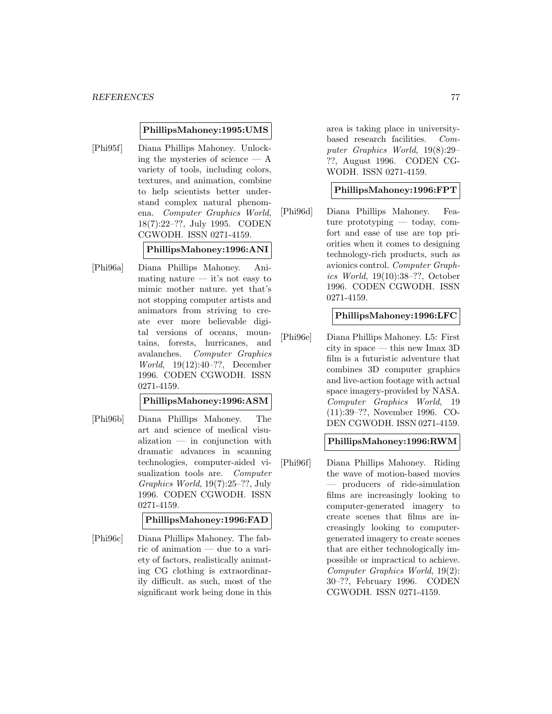#### **PhillipsMahoney:1995:UMS**

[Phi95f] Diana Phillips Mahoney. Unlocking the mysteries of science  $- A$ variety of tools, including colors, textures, and animation, combine to help scientists better understand complex natural phenomena. Computer Graphics World, 18(7):22–??, July 1995. CODEN CGWODH. ISSN 0271-4159.

#### **PhillipsMahoney:1996:ANI**

[Phi96a] Diana Phillips Mahoney. Animating nature  $-$  it's not easy to mimic mother nature. yet that's not stopping computer artists and animators from striving to create ever more believable digital versions of oceans, mountains, forests, hurricanes, and avalanches. Computer Graphics World, 19(12):40–??, December 1996. CODEN CGWODH. ISSN 0271-4159.

#### **PhillipsMahoney:1996:ASM**

[Phi96b] Diana Phillips Mahoney. The art and science of medical visualization — in conjunction with dramatic advances in scanning technologies, computer-aided visualization tools are. Computer Graphics World, 19(7):25–??, July 1996. CODEN CGWODH. ISSN 0271-4159.

### **PhillipsMahoney:1996:FAD**

[Phi96c] Diana Phillips Mahoney. The fabric of animation — due to a variety of factors, realistically animating CG clothing is extraordinarily difficult. as such, most of the significant work being done in this

area is taking place in universitybased research facilities. Computer Graphics World, 19(8):29– ??, August 1996. CODEN CG-WODH. ISSN 0271-4159.

#### **PhillipsMahoney:1996:FPT**

[Phi96d] Diana Phillips Mahoney. Feature prototyping — today, comfort and ease of use are top priorities when it comes to designing technology-rich products, such as avionics control. Computer Graphics World, 19(10):38–??, October 1996. CODEN CGWODH. ISSN 0271-4159.

## **PhillipsMahoney:1996:LFC**

[Phi96e] Diana Phillips Mahoney. L5: First city in space — this new Imax 3D film is a futuristic adventure that combines 3D computer graphics and live-action footage with actual space imagery-provided by NASA. Computer Graphics World, 19 (11):39–??, November 1996. CO-DEN CGWODH. ISSN 0271-4159.

#### **PhillipsMahoney:1996:RWM**

[Phi96f] Diana Phillips Mahoney. Riding the wave of motion-based movies — producers of ride-simulation films are increasingly looking to computer-generated imagery to create scenes that films are increasingly looking to computergenerated imagery to create scenes that are either technologically impossible or impractical to achieve. Computer Graphics World, 19(2): 30–??, February 1996. CODEN CGWODH. ISSN 0271-4159.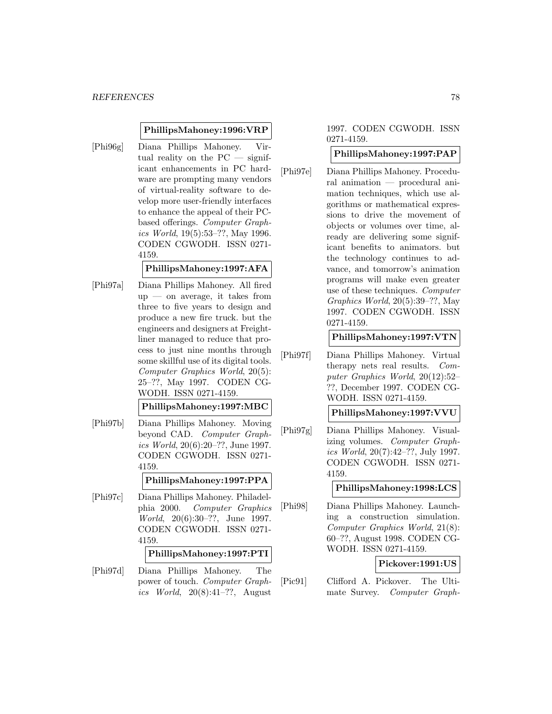#### **PhillipsMahoney:1996:VRP**

[Phi96g] Diana Phillips Mahoney. Virtual reality on the PC — significant enhancements in PC hardware are prompting many vendors of virtual-reality software to develop more user-friendly interfaces to enhance the appeal of their PCbased offerings. Computer Graphics World, 19(5):53–??, May 1996. CODEN CGWODH. ISSN 0271- 4159.

## **PhillipsMahoney:1997:AFA**

[Phi97a] Diana Phillips Mahoney. All fired  $up$  — on average, it takes from three to five years to design and produce a new fire truck. but the engineers and designers at Freightliner managed to reduce that process to just nine months through some skillful use of its digital tools. Computer Graphics World, 20(5): 25–??, May 1997. CODEN CG-WODH. ISSN 0271-4159.

#### **PhillipsMahoney:1997:MBC**

[Phi97b] Diana Phillips Mahoney. Moving beyond CAD. Computer Graphics World, 20(6):20–??, June 1997. CODEN CGWODH. ISSN 0271- 4159.

#### **PhillipsMahoney:1997:PPA**

[Phi97c] Diana Phillips Mahoney. Philadelphia 2000. Computer Graphics World, 20(6):30–??, June 1997. CODEN CGWODH. ISSN 0271- 4159.

### **PhillipsMahoney:1997:PTI**

[Phi97d] Diana Phillips Mahoney. The power of touch. Computer Graphics World,  $20(8):41-??$ , August

### 1997. CODEN CGWODH. ISSN 0271-4159.

#### **PhillipsMahoney:1997:PAP**

[Phi97e] Diana Phillips Mahoney. Procedural animation — procedural animation techniques, which use algorithms or mathematical expressions to drive the movement of objects or volumes over time, already are delivering some significant benefits to animators. but the technology continues to advance, and tomorrow's animation programs will make even greater use of these techniques. Computer Graphics World, 20(5):39–??, May 1997. CODEN CGWODH. ISSN 0271-4159.

## **PhillipsMahoney:1997:VTN**

[Phi97f] Diana Phillips Mahoney. Virtual therapy nets real results. Computer Graphics World, 20(12):52– ??, December 1997. CODEN CG-WODH. ISSN 0271-4159.

#### **PhillipsMahoney:1997:VVU**

[Phi97g] Diana Phillips Mahoney. Visualizing volumes. Computer Graphics World, 20(7):42–??, July 1997. CODEN CGWODH. ISSN 0271- 4159.

#### **PhillipsMahoney:1998:LCS**

[Phi98] Diana Phillips Mahoney. Launching a construction simulation. Computer Graphics World, 21(8): 60–??, August 1998. CODEN CG-WODH. ISSN 0271-4159.

#### **Pickover:1991:US**

[Pic91] Clifford A. Pickover. The Ultimate Survey. Computer Graph-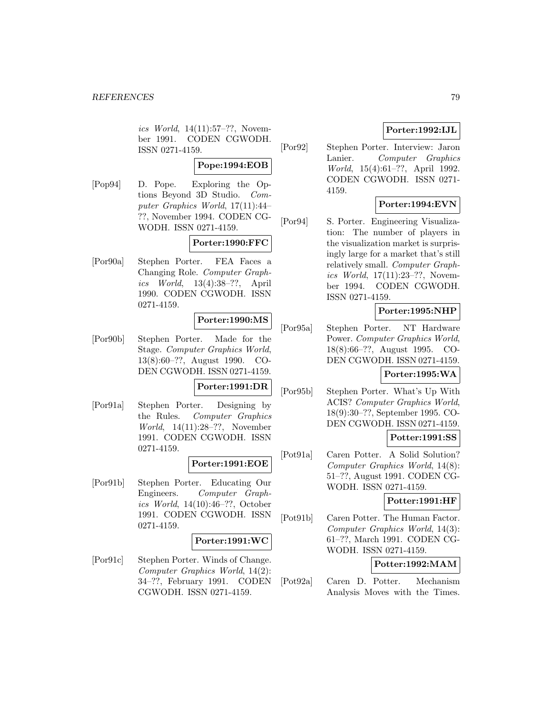ics World, 14(11):57–??, November 1991. CODEN CGWODH. ISSN 0271-4159.

## **Pope:1994:EOB**

[Pop94] D. Pope. Exploring the Options Beyond 3D Studio. Computer Graphics World, 17(11):44– ??, November 1994. CODEN CG-WODH. ISSN 0271-4159.

## **Porter:1990:FFC**

[Por90a] Stephen Porter. FEA Faces a Changing Role. Computer Graphics World, 13(4):38–??, April 1990. CODEN CGWODH. ISSN 0271-4159.

## **Porter:1990:MS**

[Por90b] Stephen Porter. Made for the Stage. Computer Graphics World, 13(8):60–??, August 1990. CO-DEN CGWODH. ISSN 0271-4159.

### **Porter:1991:DR**

[Por91a] Stephen Porter. Designing by the Rules. Computer Graphics World, 14(11):28–??, November 1991. CODEN CGWODH. ISSN 0271-4159.

### **Porter:1991:EOE**

[Por91b] Stephen Porter. Educating Our Engineers. Computer Graphics World, 14(10):46–??, October 1991. CODEN CGWODH. ISSN 0271-4159.

## **Porter:1991:WC**

[Por91c] Stephen Porter. Winds of Change. Computer Graphics World, 14(2): 34–??, February 1991. CODEN CGWODH. ISSN 0271-4159.

## **Porter:1992:IJL**

[Por92] Stephen Porter. Interview: Jaron Lanier. Computer Graphics World, 15(4):61–??, April 1992. CODEN CGWODH. ISSN 0271- 4159.

### **Porter:1994:EVN**

[Por94] S. Porter. Engineering Visualization: The number of players in the visualization market is surprisingly large for a market that's still relatively small. Computer Graphics World, 17(11):23–??, November 1994. CODEN CGWODH. ISSN 0271-4159.

## **Porter:1995:NHP**

[Por95a] Stephen Porter. NT Hardware Power. Computer Graphics World, 18(8):66–??, August 1995. CO-DEN CGWODH. ISSN 0271-4159.

## **Porter:1995:WA**

[Por95b] Stephen Porter. What's Up With ACIS? Computer Graphics World, 18(9):30–??, September 1995. CO-DEN CGWODH. ISSN 0271-4159.

### **Potter:1991:SS**

[Pot91a] Caren Potter. A Solid Solution? Computer Graphics World, 14(8): 51–??, August 1991. CODEN CG-WODH. ISSN 0271-4159.

### **Potter:1991:HF**

[Pot91b] Caren Potter. The Human Factor. Computer Graphics World, 14(3): 61–??, March 1991. CODEN CG-WODH. ISSN 0271-4159.

### **Potter:1992:MAM**

[Pot92a] Caren D. Potter. Mechanism Analysis Moves with the Times.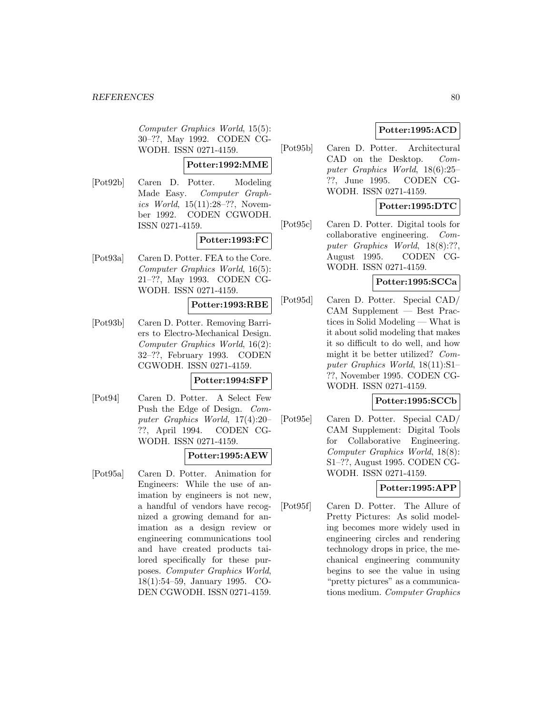Computer Graphics World, 15(5): 30–??, May 1992. CODEN CG-WODH. ISSN 0271-4159.

### **Potter:1992:MME**

[Pot92b] Caren D. Potter. Modeling Made Easy. Computer Graphics World, 15(11):28–??, November 1992. CODEN CGWODH. ISSN 0271-4159.

## **Potter:1993:FC**

[Pot93a] Caren D. Potter. FEA to the Core. Computer Graphics World, 16(5): 21–??, May 1993. CODEN CG-WODH. ISSN 0271-4159.

### **Potter:1993:RBE**

[Pot93b] Caren D. Potter. Removing Barriers to Electro-Mechanical Design. Computer Graphics World, 16(2): 32–??, February 1993. CODEN CGWODH. ISSN 0271-4159.

## **Potter:1994:SFP**

[Pot94] Caren D. Potter. A Select Few Push the Edge of Design. Computer Graphics World, 17(4):20– ??, April 1994. CODEN CG-WODH. ISSN 0271-4159.

# **Potter:1995:AEW**

[Pot95a] Caren D. Potter. Animation for Engineers: While the use of animation by engineers is not new, a handful of vendors have recognized a growing demand for animation as a design review or engineering communications tool and have created products tailored specifically for these purposes. Computer Graphics World, 18(1):54–59, January 1995. CO-DEN CGWODH. ISSN 0271-4159.

# **Potter:1995:ACD**

[Pot95b] Caren D. Potter. Architectural CAD on the Desktop. Computer Graphics World, 18(6):25– ??, June 1995. CODEN CG-WODH. ISSN 0271-4159.

# **Potter:1995:DTC**

[Pot95c] Caren D. Potter. Digital tools for collaborative engineering. Computer Graphics World, 18(8):??, August 1995. CODEN CG-WODH. ISSN 0271-4159.

## **Potter:1995:SCCa**

[Pot95d] Caren D. Potter. Special CAD/ CAM Supplement — Best Practices in Solid Modeling — What is it about solid modeling that makes it so difficult to do well, and how might it be better utilized? Computer Graphics World, 18(11):S1– ??, November 1995. CODEN CG-WODH. ISSN 0271-4159.

## **Potter:1995:SCCb**

[Pot95e] Caren D. Potter. Special CAD/ CAM Supplement: Digital Tools for Collaborative Engineering. Computer Graphics World, 18(8): S1–??, August 1995. CODEN CG-WODH. ISSN 0271-4159.

# **Potter:1995:APP**

[Pot95f] Caren D. Potter. The Allure of Pretty Pictures: As solid modeling becomes more widely used in engineering circles and rendering technology drops in price, the mechanical engineering community begins to see the value in using "pretty pictures" as a communications medium. Computer Graphics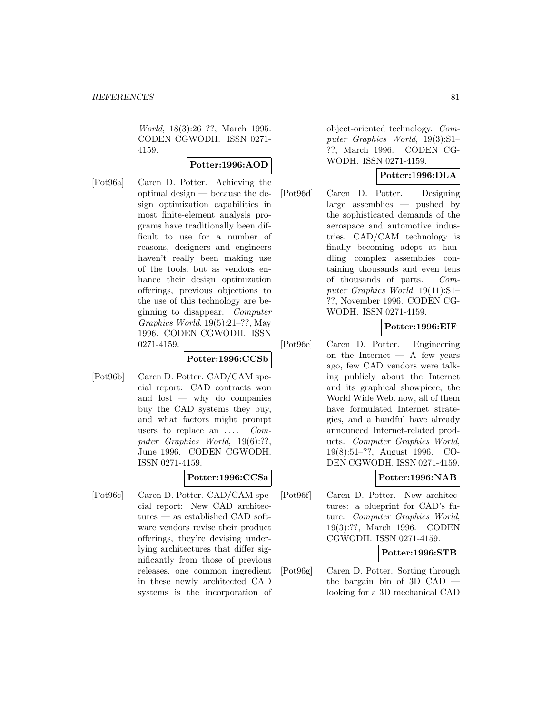World, 18(3):26–??, March 1995. CODEN CGWODH. ISSN 0271- 4159.

### **Potter:1996:AOD**

[Pot96a] Caren D. Potter. Achieving the optimal design — because the design optimization capabilities in most finite-element analysis programs have traditionally been difficult to use for a number of reasons, designers and engineers haven't really been making use of the tools. but as vendors enhance their design optimization offerings, previous objections to the use of this technology are beginning to disappear. Computer Graphics World, 19(5):21–??, May 1996. CODEN CGWODH. ISSN 0271-4159.

### **Potter:1996:CCSb**

[Pot96b] Caren D. Potter. CAD/CAM special report: CAD contracts won and lost — why do companies buy the CAD systems they buy, and what factors might prompt users to replace an  $\dots$  Computer Graphics World, 19(6):??, June 1996. CODEN CGWODH. ISSN 0271-4159.

### **Potter:1996:CCSa**

[Pot96c] Caren D. Potter. CAD/CAM special report: New CAD architectures — as established CAD software vendors revise their product offerings, they're devising underlying architectures that differ significantly from those of previous releases. one common ingredient in these newly architected CAD systems is the incorporation of object-oriented technology. Computer Graphics World, 19(3):S1– ??, March 1996. CODEN CG-WODH. ISSN 0271-4159.

### **Potter:1996:DLA**

[Pot96d] Caren D. Potter. Designing large assemblies — pushed by the sophisticated demands of the aerospace and automotive industries, CAD/CAM technology is finally becoming adept at handling complex assemblies containing thousands and even tens of thousands of parts. Computer Graphics World, 19(11):S1– ??, November 1996. CODEN CG-WODH. ISSN 0271-4159.

# **Potter:1996:EIF**

[Pot96e] Caren D. Potter. Engineering on the Internet  $- A$  few years ago, few CAD vendors were talking publicly about the Internet and its graphical showpiece, the World Wide Web. now, all of them have formulated Internet strategies, and a handful have already announced Internet-related products. Computer Graphics World, 19(8):51–??, August 1996. CO-DEN CGWODH. ISSN 0271-4159.

## **Potter:1996:NAB**

[Pot96f] Caren D. Potter. New architectures: a blueprint for CAD's future. Computer Graphics World, 19(3):??, March 1996. CODEN CGWODH. ISSN 0271-4159.

### **Potter:1996:STB**

[Pot96g] Caren D. Potter. Sorting through the bargain bin of 3D CAD looking for a 3D mechanical CAD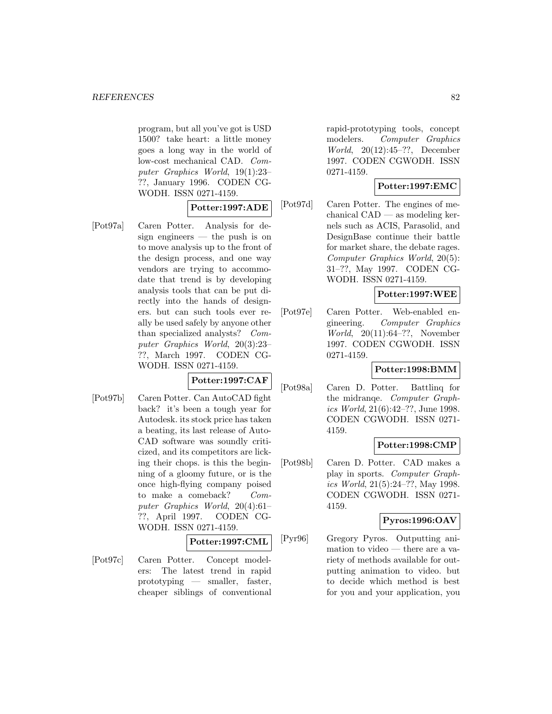program, but all you've got is USD 1500? take heart: a little money goes a long way in the world of low-cost mechanical CAD. Computer Graphics World, 19(1):23– ??, January 1996. CODEN CG-WODH. ISSN 0271-4159.

## **Potter:1997:ADE**

[Pot97a] Caren Potter. Analysis for design engineers — the push is on to move analysis up to the front of the design process, and one way vendors are trying to accommodate that trend is by developing analysis tools that can be put directly into the hands of designers. but can such tools ever really be used safely by anyone other than specialized analysts? Computer Graphics World, 20(3):23– ??, March 1997. CODEN CG-WODH. ISSN 0271-4159.

**Potter:1997:CAF**

[Pot97b] Caren Potter. Can AutoCAD fight back? it's been a tough year for Autodesk. its stock price has taken a beating, its last release of Auto-CAD software was soundly criticized, and its competitors are licking their chops. is this the beginning of a gloomy future, or is the once high-flying company poised to make a comeback? Computer Graphics World, 20(4):61– ??, April 1997. CODEN CG-WODH. ISSN 0271-4159.

**Potter:1997:CML**

[Pot97c] Caren Potter. Concept modelers: The latest trend in rapid prototyping — smaller, faster, cheaper siblings of conventional

rapid-prototyping tools, concept modelers. Computer Graphics World, 20(12):45–??, December 1997. CODEN CGWODH. ISSN 0271-4159.

## **Potter:1997:EMC**

[Pot97d] Caren Potter. The engines of mechanical CAD — as modeling kernels such as ACIS, Parasolid, and DesignBase continue their battle for market share, the debate rages. Computer Graphics World, 20(5): 31–??, May 1997. CODEN CG-WODH. ISSN 0271-4159.

## **Potter:1997:WEE**

[Pot97e] Caren Potter. Web-enabled engineering. Computer Graphics World, 20(11):64–??, November 1997. CODEN CGWODH. ISSN 0271-4159.

## **Potter:1998:BMM**

[Pot98a] Caren D. Potter. Battlinq for the midranqe. Computer Graphics World, 21(6):42–??, June 1998. CODEN CGWODH. ISSN 0271- 4159.

## **Potter:1998:CMP**

[Pot98b] Caren D. Potter. CAD makes a play in sports. Computer Graphics World, 21(5):24–??, May 1998. CODEN CGWODH. ISSN 0271- 4159.

# **Pyros:1996:OAV**

[Pyr96] Gregory Pyros. Outputting animation to video — there are a variety of methods available for outputting animation to video. but to decide which method is best for you and your application, you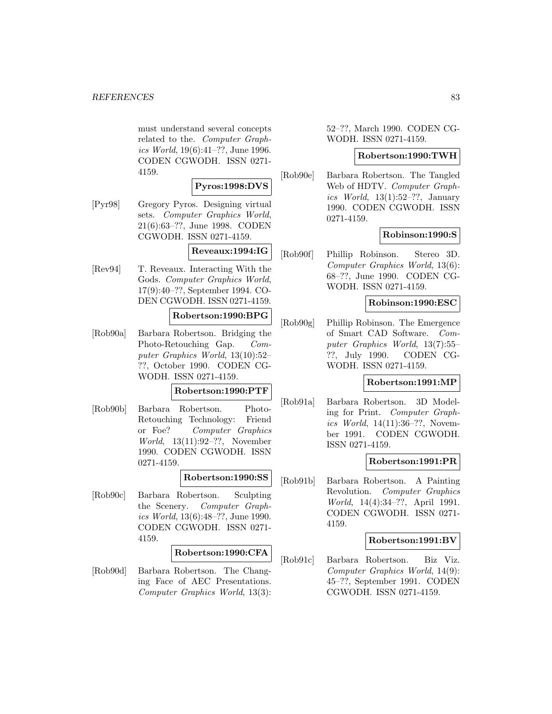must understand several concepts related to the. Computer Graphics World, 19(6):41–??, June 1996. CODEN CGWODH. ISSN 0271- 4159.

## **Pyros:1998:DVS**

[Pyr98] Gregory Pyros. Designing virtual sets. Computer Graphics World, 21(6):63–??, June 1998. CODEN CGWODH. ISSN 0271-4159.

## **Reveaux:1994:IG**

[Rev94] T. Reveaux. Interacting With the Gods. Computer Graphics World, 17(9):40–??, September 1994. CO-DEN CGWODH. ISSN 0271-4159.

## **Robertson:1990:BPG**

[Rob90a] Barbara Robertson. Bridging the Photo-Retouching Gap. Computer Graphics World, 13(10):52– ??, October 1990. CODEN CG-WODH. ISSN 0271-4159.

#### **Robertson:1990:PTF**

[Rob90b] Barbara Robertson. Photo-Retouching Technology: Friend or Foe? Computer Graphics World, 13(11):92–??, November 1990. CODEN CGWODH. ISSN 0271-4159.

#### **Robertson:1990:SS**

[Rob90c] Barbara Robertson. Sculpting the Scenery. Computer Graphics World, 13(6):48–??, June 1990. CODEN CGWODH. ISSN 0271- 4159.

### **Robertson:1990:CFA**

[Rob90d] Barbara Robertson. The Changing Face of AEC Presentations. Computer Graphics World, 13(3): 52–??, March 1990. CODEN CG-WODH. ISSN 0271-4159.

#### **Robertson:1990:TWH**

[Rob90e] Barbara Robertson. The Tangled Web of HDTV. Computer Graphics World,  $13(1):52-??$ , January 1990. CODEN CGWODH. ISSN 0271-4159.

#### **Robinson:1990:S**

[Rob90f] Phillip Robinson. Stereo 3D. Computer Graphics World, 13(6): 68–??, June 1990. CODEN CG-WODH. ISSN 0271-4159.

#### **Robinson:1990:ESC**

[Rob90g] Phillip Robinson. The Emergence of Smart CAD Software. Computer Graphics World, 13(7):55– ??, July 1990. CODEN CG-WODH. ISSN 0271-4159.

### **Robertson:1991:MP**

[Rob91a] Barbara Robertson. 3D Modeling for Print. Computer Graphics World, 14(11):36–??, November 1991. CODEN CGWODH. ISSN 0271-4159.

### **Robertson:1991:PR**

[Rob91b] Barbara Robertson. A Painting Revolution. Computer Graphics World, 14(4):34–??, April 1991. CODEN CGWODH. ISSN 0271- 4159.

#### **Robertson:1991:BV**

[Rob91c] Barbara Robertson. Biz Viz. Computer Graphics World, 14(9): 45–??, September 1991. CODEN CGWODH. ISSN 0271-4159.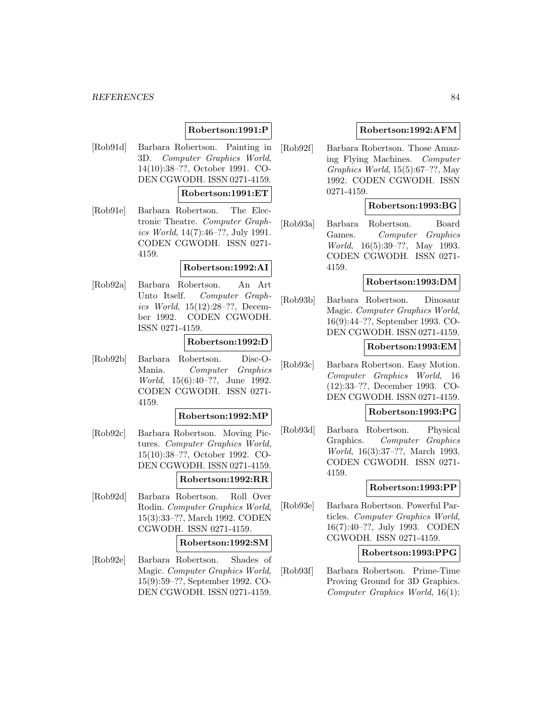#### *REFERENCES* 84

## **Robertson:1991:P**

[Rob91d] Barbara Robertson. Painting in 3D. Computer Graphics World, 14(10):38–??, October 1991. CO-DEN CGWODH. ISSN 0271-4159.

### **Robertson:1991:ET**

[Rob91e] Barbara Robertson. The Electronic Theatre. Computer Graphics World, 14(7):46–??, July 1991. CODEN CGWODH. ISSN 0271- 4159.

#### **Robertson:1992:AI**

[Rob92a] Barbara Robertson. An Art Unto Itself. Computer Graphics World, 15(12):28–??, December 1992. CODEN CGWODH. ISSN 0271-4159.

#### **Robertson:1992:D**

[Rob92b] Barbara Robertson. Disc-O-Mania. Computer Graphics World, 15(6):40–??, June 1992. CODEN CGWODH. ISSN 0271- 4159.

#### **Robertson:1992:MP**

- [Rob92c] Barbara Robertson. Moving Pictures. Computer Graphics World, 15(10):38–??, October 1992. CO-DEN CGWODH. ISSN 0271-4159. **Robertson:1992:RR**
- [Rob92d] Barbara Robertson. Roll Over Rodin. Computer Graphics World, 15(3):33–??, March 1992. CODEN CGWODH. ISSN 0271-4159.

#### **Robertson:1992:SM**

[Rob92e] Barbara Robertson. Shades of Magic. Computer Graphics World, 15(9):59–??, September 1992. CO-DEN CGWODH. ISSN 0271-4159.

### **Robertson:1992:AFM**

[Rob92f] Barbara Robertson. Those Amazing Flying Machines. Computer Graphics World, 15(5):67–??, May 1992. CODEN CGWODH. ISSN 0271-4159.

#### **Robertson:1993:BG**

[Rob93a] Barbara Robertson. Board Games. Computer Graphics World, 16(5):39–??, May 1993. CODEN CGWODH. ISSN 0271- 4159.

## **Robertson:1993:DM**

[Rob93b] Barbara Robertson. Dinosaur Magic. Computer Graphics World, 16(9):44–??, September 1993. CO-DEN CGWODH. ISSN 0271-4159.

#### **Robertson:1993:EM**

[Rob93c] Barbara Robertson. Easy Motion. Computer Graphics World, 16 (12):33–??, December 1993. CO-DEN CGWODH. ISSN 0271-4159.

### **Robertson:1993:PG**

[Rob93d] Barbara Robertson. Physical Graphics. Computer Graphics World, 16(3):37–??, March 1993. CODEN CGWODH. ISSN 0271- 4159.

#### **Robertson:1993:PP**

[Rob93e] Barbara Robertson. Powerful Particles. Computer Graphics World, 16(7):40–??, July 1993. CODEN CGWODH. ISSN 0271-4159.

#### **Robertson:1993:PPG**

[Rob93f] Barbara Robertson. Prime-Time Proving Ground for 3D Graphics. Computer Graphics World, 16(1):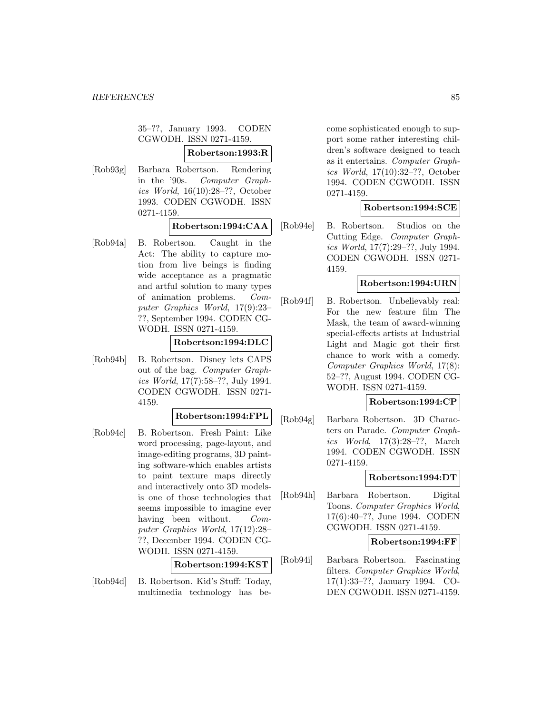35–??, January 1993. CODEN CGWODH. ISSN 0271-4159.

#### **Robertson:1993:R**

[Rob93g] Barbara Robertson. Rendering in the '90s. Computer Graphics World, 16(10):28–??, October 1993. CODEN CGWODH. ISSN 0271-4159.

## **Robertson:1994:CAA**

[Rob94a] B. Robertson. Caught in the Act: The ability to capture motion from live beings is finding wide acceptance as a pragmatic and artful solution to many types of animation problems. Computer Graphics World, 17(9):23– ??, September 1994. CODEN CG-WODH. ISSN 0271-4159.

#### **Robertson:1994:DLC**

[Rob94b] B. Robertson. Disney lets CAPS out of the bag. Computer Graphics World, 17(7):58–??, July 1994. CODEN CGWODH. ISSN 0271- 4159.

## **Robertson:1994:FPL**

[Rob94c] B. Robertson. Fresh Paint: Like word processing, page-layout, and image-editing programs, 3D painting software-which enables artists to paint texture maps directly and interactively onto 3D modelsis one of those technologies that seems impossible to imagine ever having been without. Computer Graphics World, 17(12):28– ??, December 1994. CODEN CG-WODH. ISSN 0271-4159.

### **Robertson:1994:KST**

[Rob94d] B. Robertson. Kid's Stuff: Today, multimedia technology has become sophisticated enough to support some rather interesting children's software designed to teach as it entertains. Computer Graphics World, 17(10):32–??, October 1994. CODEN CGWODH. ISSN 0271-4159.

### **Robertson:1994:SCE**

[Rob94e] B. Robertson. Studios on the Cutting Edge. Computer Graphics World, 17(7):29–??, July 1994. CODEN CGWODH. ISSN 0271- 4159.

### **Robertson:1994:URN**

[Rob94f] B. Robertson. Unbelievably real: For the new feature film The Mask, the team of award-winning special-effects artists at Industrial Light and Magic got their first chance to work with a comedy. Computer Graphics World, 17(8): 52–??, August 1994. CODEN CG-WODH. ISSN 0271-4159.

#### **Robertson:1994:CP**

[Rob94g] Barbara Robertson. 3D Characters on Parade. Computer Graphics World, 17(3):28–??, March 1994. CODEN CGWODH. ISSN 0271-4159.

### **Robertson:1994:DT**

[Rob94h] Barbara Robertson. Digital Toons. Computer Graphics World, 17(6):40–??, June 1994. CODEN CGWODH. ISSN 0271-4159.

#### **Robertson:1994:FF**

[Rob94i] Barbara Robertson. Fascinating filters. Computer Graphics World, 17(1):33–??, January 1994. CO-DEN CGWODH. ISSN 0271-4159.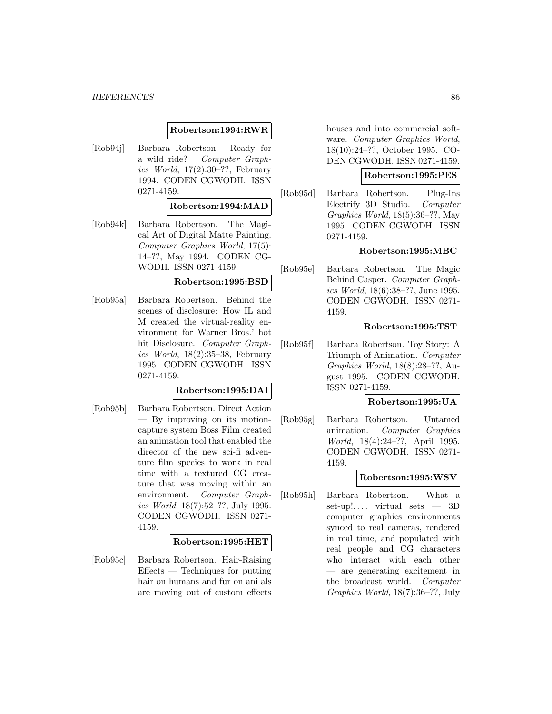#### **Robertson:1994:RWR**

[Rob94j] Barbara Robertson. Ready for a wild ride? Computer Graphics World,  $17(2):30-??$ , February 1994. CODEN CGWODH. ISSN 0271-4159.

#### **Robertson:1994:MAD**

[Rob94k] Barbara Robertson. The Magical Art of Digital Matte Painting. Computer Graphics World, 17(5): 14–??, May 1994. CODEN CG-WODH. ISSN 0271-4159.

### **Robertson:1995:BSD**

[Rob95a] Barbara Robertson. Behind the scenes of disclosure: How IL and M created the virtual-reality environment for Warner Bros.' hot hit Disclosure. Computer Graphics World,  $18(2):35-38$ , February 1995. CODEN CGWODH. ISSN 0271-4159.

### **Robertson:1995:DAI**

[Rob95b] Barbara Robertson. Direct Action — By improving on its motioncapture system Boss Film created an animation tool that enabled the director of the new sci-fi adventure film species to work in real time with a textured CG creature that was moving within an environment. Computer Graphics World, 18(7):52–??, July 1995. CODEN CGWODH. ISSN 0271- 4159.

#### **Robertson:1995:HET**

[Rob95c] Barbara Robertson. Hair-Raising  $E\text{ffects}$  — Techniques for putting hair on humans and fur on ani als are moving out of custom effects

houses and into commercial software. Computer Graphics World, 18(10):24–??, October 1995. CO-DEN CGWODH. ISSN 0271-4159.

#### **Robertson:1995:PES**

[Rob95d] Barbara Robertson. Plug-Ins Electrify 3D Studio. Computer Graphics World, 18(5):36–??, May 1995. CODEN CGWODH. ISSN 0271-4159.

#### **Robertson:1995:MBC**

[Rob95e] Barbara Robertson. The Magic Behind Casper. Computer Graphics World, 18(6):38–??, June 1995. CODEN CGWODH. ISSN 0271- 4159.

### **Robertson:1995:TST**

[Rob95f] Barbara Robertson. Toy Story: A Triumph of Animation. Computer Graphics World, 18(8):28–??, August 1995. CODEN CGWODH. ISSN 0271-4159.

### **Robertson:1995:UA**

[Rob95g] Barbara Robertson. Untamed animation. Computer Graphics World, 18(4):24–??, April 1995. CODEN CGWODH. ISSN 0271- 4159.

## **Robertson:1995:WSV**

[Rob95h] Barbara Robertson. What a set-up!.... virtual sets  $-3D$ computer graphics environments synced to real cameras, rendered in real time, and populated with real people and CG characters who interact with each other — are generating excitement in the broadcast world. Computer Graphics World, 18(7):36–??, July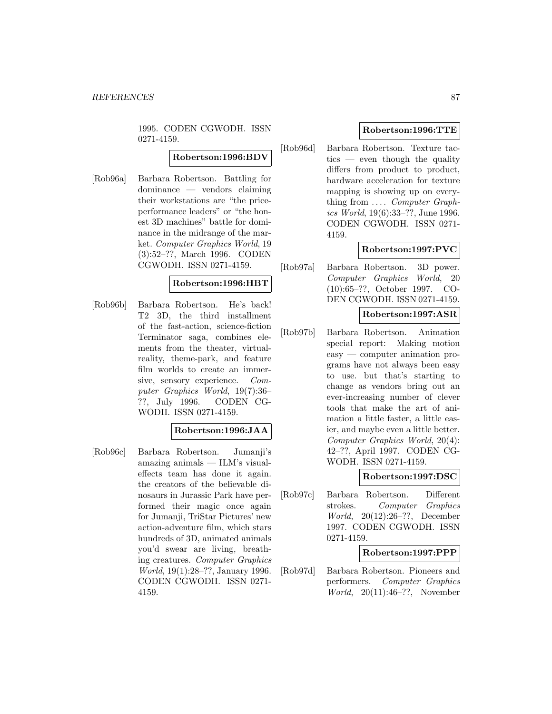1995. CODEN CGWODH. ISSN 0271-4159.

## **Robertson:1996:BDV**

[Rob96a] Barbara Robertson. Battling for dominance — vendors claiming their workstations are "the priceperformance leaders" or "the honest 3D machines" battle for dominance in the midrange of the market. Computer Graphics World, 19 (3):52–??, March 1996. CODEN CGWODH. ISSN 0271-4159.

## **Robertson:1996:HBT**

[Rob96b] Barbara Robertson. He's back! T2 3D, the third installment of the fast-action, science-fiction Terminator saga, combines elements from the theater, virtualreality, theme-park, and feature film worlds to create an immersive, sensory experience. Computer Graphics World, 19(7):36– ??, July 1996. CODEN CG-WODH. ISSN 0271-4159.

## **Robertson:1996:JAA**

[Rob96c] Barbara Robertson. Jumanji's amazing animals — ILM's visualeffects team has done it again. the creators of the believable dinosaurs in Jurassic Park have performed their magic once again for Jumanji, TriStar Pictures' new action-adventure film, which stars hundreds of 3D, animated animals you'd swear are living, breathing creatures. Computer Graphics World, 19(1):28–??, January 1996. CODEN CGWODH. ISSN 0271- 4159.

## **Robertson:1996:TTE**

[Rob96d] Barbara Robertson. Texture tac $tics$  — even though the quality differs from product to product, hardware acceleration for texture mapping is showing up on everything from .... *Computer Graph*ics World, 19(6):33–??, June 1996. CODEN CGWODH. ISSN 0271- 4159.

## **Robertson:1997:PVC**

[Rob97a] Barbara Robertson. 3D power. Computer Graphics World, 20 (10):65–??, October 1997. CO-DEN CGWODH. ISSN 0271-4159.

### **Robertson:1997:ASR**

[Rob97b] Barbara Robertson. Animation special report: Making motion easy — computer animation programs have not always been easy to use. but that's starting to change as vendors bring out an ever-increasing number of clever tools that make the art of animation a little faster, a little easier, and maybe even a little better. Computer Graphics World, 20(4): 42–??, April 1997. CODEN CG-WODH. ISSN 0271-4159.

## **Robertson:1997:DSC**

[Rob97c] Barbara Robertson. Different strokes. Computer Graphics World, 20(12):26–??, December 1997. CODEN CGWODH. ISSN 0271-4159.

### **Robertson:1997:PPP**

[Rob97d] Barbara Robertson. Pioneers and performers. Computer Graphics World, 20(11):46–??, November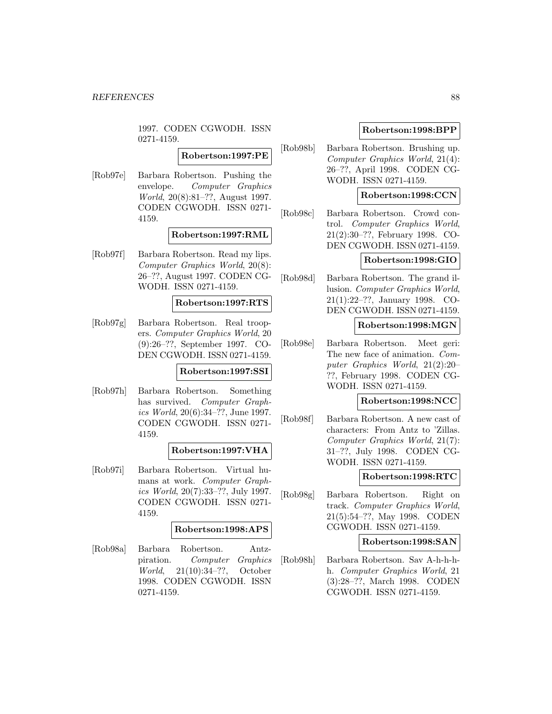1997. CODEN CGWODH. ISSN 0271-4159.

# **Robertson:1997:PE**

[Rob97e] Barbara Robertson. Pushing the envelope. Computer Graphics World, 20(8):81–??, August 1997. CODEN CGWODH. ISSN 0271- 4159.

#### **Robertson:1997:RML**

[Rob97f] Barbara Robertson. Read my lips. Computer Graphics World, 20(8): 26–??, August 1997. CODEN CG-WODH. ISSN 0271-4159.

#### **Robertson:1997:RTS**

[Rob97g] Barbara Robertson. Real troopers. Computer Graphics World, 20 (9):26–??, September 1997. CO-DEN CGWODH. ISSN 0271-4159.

### **Robertson:1997:SSI**

[Rob97h] Barbara Robertson. Something has survived. Computer Graphics World, 20(6):34–??, June 1997. CODEN CGWODH. ISSN 0271- 4159.

#### **Robertson:1997:VHA**

[Rob97i] Barbara Robertson. Virtual humans at work. Computer Graphics World, 20(7):33–??, July 1997. CODEN CGWODH. ISSN 0271- 4159.

## **Robertson:1998:APS**

[Rob98a] Barbara Robertson. Antzpiration. Computer Graphics World, 21(10):34–??, October 1998. CODEN CGWODH. ISSN 0271-4159.

### **Robertson:1998:BPP**

[Rob98b] Barbara Robertson. Brushing up. Computer Graphics World, 21(4): 26–??, April 1998. CODEN CG-WODH. ISSN 0271-4159.

### **Robertson:1998:CCN**

[Rob98c] Barbara Robertson. Crowd control. Computer Graphics World, 21(2):30–??, February 1998. CO-DEN CGWODH. ISSN 0271-4159.

#### **Robertson:1998:GIO**

[Rob98d] Barbara Robertson. The grand illusion. Computer Graphics World, 21(1):22–??, January 1998. CO-DEN CGWODH. ISSN 0271-4159.

#### **Robertson:1998:MGN**

[Rob98e] Barbara Robertson. Meet geri: The new face of animation. Computer Graphics World, 21(2):20– ??, February 1998. CODEN CG-WODH. ISSN 0271-4159.

#### **Robertson:1998:NCC**

[Rob98f] Barbara Robertson. A new cast of characters: From Antz to 'Zillas. Computer Graphics World, 21(7): 31–??, July 1998. CODEN CG-WODH. ISSN 0271-4159.

### **Robertson:1998:RTC**

[Rob98g] Barbara Robertson. Right on track. Computer Graphics World, 21(5):54–??, May 1998. CODEN CGWODH. ISSN 0271-4159.

#### **Robertson:1998:SAN**

[Rob98h] Barbara Robertson. Sav A-h-h-hh. Computer Graphics World, 21 (3):28–??, March 1998. CODEN CGWODH. ISSN 0271-4159.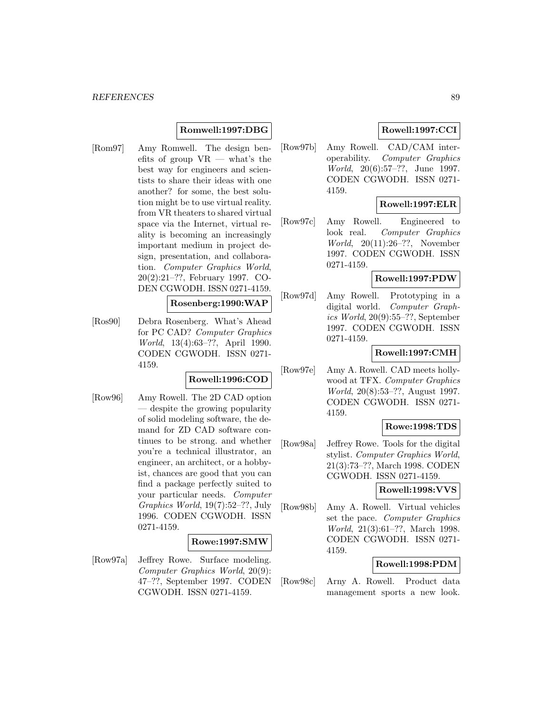## **Romwell:1997:DBG**

[Rom97] Amy Romwell. The design benefits of group  $VR$  — what's the best way for engineers and scientists to share their ideas with one another? for some, the best solution might be to use virtual reality. from VR theaters to shared virtual space via the Internet, virtual reality is becoming an increasingly important medium in project design, presentation, and collaboration. Computer Graphics World, 20(2):21–??, February 1997. CO-DEN CGWODH. ISSN 0271-4159.

## **Rosenberg:1990:WAP**

[Ros90] Debra Rosenberg. What's Ahead for PC CAD? Computer Graphics World, 13(4):63–??, April 1990. CODEN CGWODH. ISSN 0271- 4159.

## **Rowell:1996:COD**

[Row96] Amy Rowell. The 2D CAD option — despite the growing popularity of solid modeling software, the demand for ZD CAD software continues to be strong. and whether you're a technical illustrator, an engineer, an architect, or a hobbyist, chances are good that you can find a package perfectly suited to your particular needs. Computer Graphics World, 19(7):52–??, July 1996. CODEN CGWODH. ISSN 0271-4159.

#### **Rowe:1997:SMW**

[Row97a] Jeffrey Rowe. Surface modeling. Computer Graphics World, 20(9): 47–??, September 1997. CODEN CGWODH. ISSN 0271-4159.

## **Rowell:1997:CCI**

[Row97b] Amy Rowell. CAD/CAM interoperability. Computer Graphics World, 20(6):57–??, June 1997. CODEN CGWODH. ISSN 0271- 4159.

#### **Rowell:1997:ELR**

[Row97c] Amy Rowell. Engineered to look real. Computer Graphics World, 20(11):26–??, November 1997. CODEN CGWODH. ISSN 0271-4159.

#### **Rowell:1997:PDW**

[Row97d] Amy Rowell. Prototyping in a digital world. Computer Graphics World, 20(9):55–??, September 1997. CODEN CGWODH. ISSN 0271-4159.

### **Rowell:1997:CMH**

[Row97e] Amy A. Rowell. CAD meets hollywood at TFX. Computer Graphics World, 20(8):53–??, August 1997. CODEN CGWODH. ISSN 0271- 4159.

#### **Rowe:1998:TDS**

[Row98a] Jeffrey Rowe. Tools for the digital stylist. Computer Graphics World, 21(3):73–??, March 1998. CODEN CGWODH. ISSN 0271-4159.

**Rowell:1998:VVS**

[Row98b] Amy A. Rowell. Virtual vehicles set the pace. Computer Graphics World, 21(3):61–??, March 1998. CODEN CGWODH. ISSN 0271- 4159.

## **Rowell:1998:PDM**

[Row98c] Arny A. Rowell. Product data management sports a new look.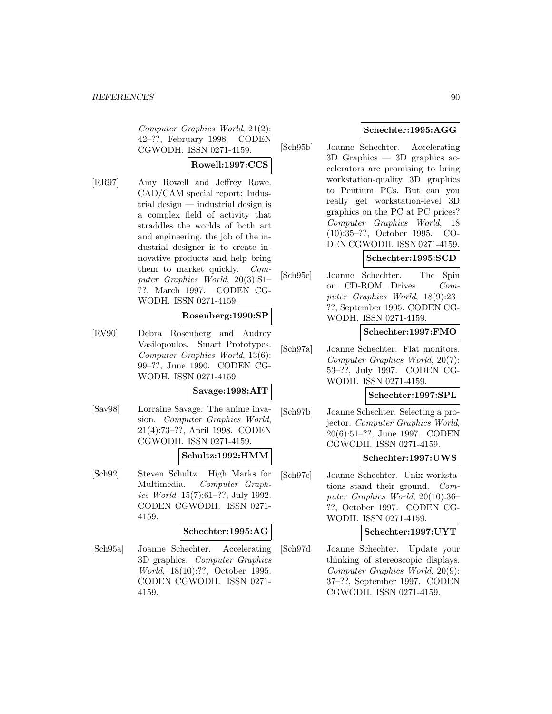Computer Graphics World, 21(2): 42–??, February 1998. CODEN CGWODH. ISSN 0271-4159.

# **Rowell:1997:CCS**

[RR97] Amy Rowell and Jeffrey Rowe. CAD/CAM special report: Industrial design — industrial design is a complex field of activity that straddles the worlds of both art and engineering. the job of the industrial designer is to create innovative products and help bring them to market quickly. Computer Graphics World, 20(3):S1– ??, March 1997. CODEN CG-WODH. ISSN 0271-4159.

## **Rosenberg:1990:SP**

[RV90] Debra Rosenberg and Audrey Vasilopoulos. Smart Prototypes. Computer Graphics World, 13(6): 99–??, June 1990. CODEN CG-WODH. ISSN 0271-4159.

#### **Savage:1998:AIT**

[Sav98] Lorraine Savage. The anime invasion. Computer Graphics World, 21(4):73–??, April 1998. CODEN CGWODH. ISSN 0271-4159.

## **Schultz:1992:HMM**

[Sch92] Steven Schultz. High Marks for Multimedia. Computer Graphics World, 15(7):61–??, July 1992. CODEN CGWODH. ISSN 0271- 4159.

### **Schechter:1995:AG**

[Sch95a] Joanne Schechter. Accelerating 3D graphics. Computer Graphics World, 18(10):??, October 1995. CODEN CGWODH. ISSN 0271- 4159.

## **Schechter:1995:AGG**

[Sch95b] Joanne Schechter. Accelerating 3D Graphics — 3D graphics accelerators are promising to bring workstation-quality 3D graphics to Pentium PCs. But can you really get workstation-level 3D graphics on the PC at PC prices? Computer Graphics World, 18 (10):35–??, October 1995. CO-DEN CGWODH. ISSN 0271-4159.

# **Schechter:1995:SCD**

[Sch95c] Joanne Schechter. The Spin on CD-ROM Drives. Computer Graphics World, 18(9):23– ??, September 1995. CODEN CG-WODH. ISSN 0271-4159.

## **Schechter:1997:FMO**

[Sch97a] Joanne Schechter. Flat monitors. Computer Graphics World, 20(7): 53–??, July 1997. CODEN CG-WODH. ISSN 0271-4159.

#### **Schechter:1997:SPL**

[Sch97b] Joanne Schechter. Selecting a projector. Computer Graphics World, 20(6):51–??, June 1997. CODEN CGWODH. ISSN 0271-4159.

### **Schechter:1997:UWS**

[Sch97c] Joanne Schechter. Unix workstations stand their ground. Computer Graphics World, 20(10):36– ??, October 1997. CODEN CG-WODH. ISSN 0271-4159.

### **Schechter:1997:UYT**

[Sch97d] Joanne Schechter. Update your thinking of stereoscopic displays. Computer Graphics World, 20(9): 37–??, September 1997. CODEN CGWODH. ISSN 0271-4159.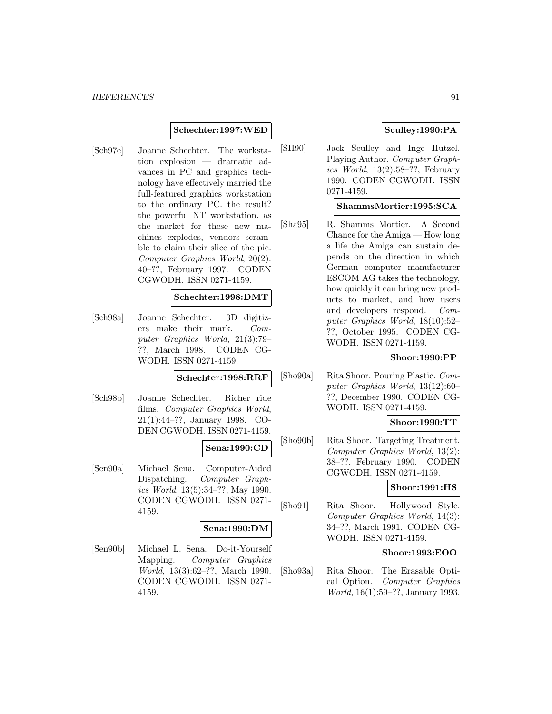### **Schechter:1997:WED**

[Sch97e] Joanne Schechter. The workstation explosion — dramatic advances in PC and graphics technology have effectively married the full-featured graphics workstation to the ordinary PC. the result? the powerful NT workstation. as the market for these new machines explodes, vendors scramble to claim their slice of the pie. Computer Graphics World, 20(2): 40–??, February 1997. CODEN CGWODH. ISSN 0271-4159.

#### **Schechter:1998:DMT**

[Sch98a] Joanne Schechter. 3D digitizers make their mark. Computer Graphics World, 21(3):79– ??, March 1998. CODEN CG-WODH. ISSN 0271-4159.

#### **Schechter:1998:RRF**

[Sch98b] Joanne Schechter. Richer ride films. Computer Graphics World, 21(1):44–??, January 1998. CO-DEN CGWODH. ISSN 0271-4159.

#### **Sena:1990:CD**

[Sen90a] Michael Sena. Computer-Aided Dispatching. Computer Graphics World, 13(5):34–??, May 1990. CODEN CGWODH. ISSN 0271- 4159.

#### **Sena:1990:DM**

[Sen90b] Michael L. Sena. Do-it-Yourself Mapping. Computer Graphics World, 13(3):62–??, March 1990. CODEN CGWODH. ISSN 0271- 4159.

## **Sculley:1990:PA**

[SH90] Jack Sculley and Inge Hutzel. Playing Author. Computer Graphics World,  $13(2):58-$ ??, February 1990. CODEN CGWODH. ISSN 0271-4159.

### **ShammsMortier:1995:SCA**

[Sha95] R. Shamms Mortier. A Second Chance for the Amiga — How long a life the Amiga can sustain depends on the direction in which German computer manufacturer ESCOM AG takes the technology, how quickly it can bring new products to market, and how users and developers respond. Computer Graphics World, 18(10):52– ??, October 1995. CODEN CG-WODH. ISSN 0271-4159.

### **Shoor:1990:PP**

[Sho90a] Rita Shoor. Pouring Plastic. Computer Graphics World, 13(12):60– ??, December 1990. CODEN CG-WODH. ISSN 0271-4159.

#### **Shoor:1990:TT**

[Sho90b] Rita Shoor. Targeting Treatment. Computer Graphics World, 13(2): 38–??, February 1990. CODEN CGWODH. ISSN 0271-4159.

#### **Shoor:1991:HS**

[Sho91] Rita Shoor. Hollywood Style. Computer Graphics World, 14(3): 34–??, March 1991. CODEN CG-WODH. ISSN 0271-4159.

#### **Shoor:1993:EOO**

[Sho93a] Rita Shoor. The Erasable Optical Option. Computer Graphics World, 16(1):59–??, January 1993.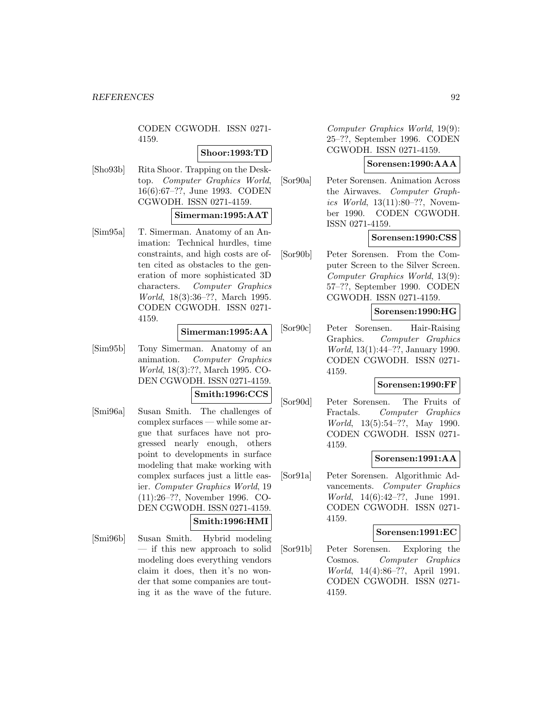CODEN CGWODH. ISSN 0271- 4159.

### **Shoor:1993:TD**

[Sho93b] Rita Shoor. Trapping on the Desktop. Computer Graphics World, 16(6):67–??, June 1993. CODEN CGWODH. ISSN 0271-4159.

### **Simerman:1995:AAT**

[Sim95a] T. Simerman. Anatomy of an Animation: Technical hurdles, time constraints, and high costs are often cited as obstacles to the generation of more sophisticated 3D characters. Computer Graphics World, 18(3):36–??, March 1995. CODEN CGWODH. ISSN 0271- 4159.

### **Simerman:1995:AA**

- [Sim95b] Tony Simerman. Anatomy of an animation. Computer Graphics World, 18(3):??, March 1995. CO-DEN CGWODH. ISSN 0271-4159. **Smith:1996:CCS**
- [Smi96a] Susan Smith. The challenges of complex surfaces — while some argue that surfaces have not progressed nearly enough, others point to developments in surface modeling that make working with complex surfaces just a little easier. Computer Graphics World, 19 (11):26–??, November 1996. CO-DEN CGWODH. ISSN 0271-4159. **Smith:1996:HMI**
- [Smi96b] Susan Smith. Hybrid modeling — if this new approach to solid modeling does everything vendors claim it does, then it's no wonder that some companies are touting it as the wave of the future.

Computer Graphics World, 19(9): 25–??, September 1996. CODEN CGWODH. ISSN 0271-4159.

## **Sorensen:1990:AAA**

[Sor90a] Peter Sorensen. Animation Across the Airwaves. Computer Graphics World, 13(11):80–??, November 1990. CODEN CGWODH. ISSN 0271-4159.

# **Sorensen:1990:CSS**

[Sor90b] Peter Sorensen. From the Computer Screen to the Silver Screen. Computer Graphics World, 13(9): 57–??, September 1990. CODEN CGWODH. ISSN 0271-4159.

# **Sorensen:1990:HG**

[Sor90c] Peter Sorensen. Hair-Raising Graphics. Computer Graphics World, 13(1):44–??, January 1990. CODEN CGWODH. ISSN 0271- 4159.

#### **Sorensen:1990:FF**

[Sor90d] Peter Sorensen. The Fruits of Fractals. Computer Graphics World, 13(5):54–??, May 1990. CODEN CGWODH. ISSN 0271- 4159.

### **Sorensen:1991:AA**

[Sor91a] Peter Sorensen. Algorithmic Advancements. Computer Graphics World, 14(6):42–??, June 1991. CODEN CGWODH. ISSN 0271- 4159.

#### **Sorensen:1991:EC**

[Sor91b] Peter Sorensen. Exploring the Cosmos. Computer Graphics World, 14(4):86–??, April 1991. CODEN CGWODH. ISSN 0271- 4159.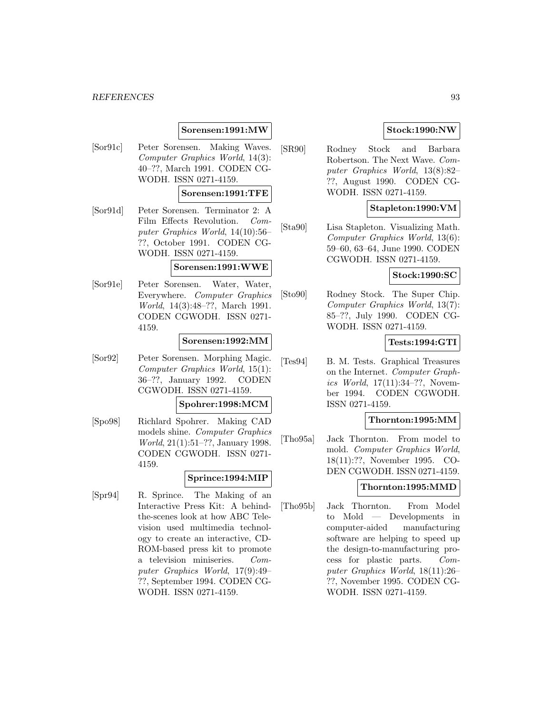#### *REFERENCES* 93

### **Sorensen:1991:MW**

[Sor91c] Peter Sorensen. Making Waves. Computer Graphics World, 14(3): 40–??, March 1991. CODEN CG-WODH. ISSN 0271-4159.

## **Sorensen:1991:TFE**

[Sor91d] Peter Sorensen. Terminator 2: A Film Effects Revolution. Computer Graphics World, 14(10):56– ??, October 1991. CODEN CG-WODH. ISSN 0271-4159.

#### **Sorensen:1991:WWE**

[Sor91e] Peter Sorensen. Water, Water, Everywhere. Computer Graphics World, 14(3):48–??, March 1991. CODEN CGWODH. ISSN 0271- 4159.

#### **Sorensen:1992:MM**

[Sor92] Peter Sorensen. Morphing Magic. Computer Graphics World, 15(1): 36–??, January 1992. CODEN CGWODH. ISSN 0271-4159.

#### **Spohrer:1998:MCM**

[Spo98] Richlard Spohrer. Making CAD models shine. Computer Graphics World, 21(1):51–??, January 1998. CODEN CGWODH. ISSN 0271- 4159.

### **Sprince:1994:MIP**

[Spr94] R. Sprince. The Making of an Interactive Press Kit: A behindthe-scenes look at how ABC Television used multimedia technology to create an interactive, CD-ROM-based press kit to promote a television miniseries. Computer Graphics World, 17(9):49– ??, September 1994. CODEN CG-WODH. ISSN 0271-4159.

## **Stock:1990:NW**

[SR90] Rodney Stock and Barbara Robertson. The Next Wave. Computer Graphics World, 13(8):82– ??, August 1990. CODEN CG-WODH. ISSN 0271-4159.

## **Stapleton:1990:VM**

[Sta90] Lisa Stapleton. Visualizing Math. Computer Graphics World, 13(6): 59–60, 63–64, June 1990. CODEN CGWODH. ISSN 0271-4159.

#### **Stock:1990:SC**

[Sto90] Rodney Stock. The Super Chip. Computer Graphics World, 13(7): 85–??, July 1990. CODEN CG-WODH. ISSN 0271-4159.

## **Tests:1994:GTI**

[Tes94] B. M. Tests. Graphical Treasures on the Internet. Computer Graphics World, 17(11):34–??, November 1994. CODEN CGWODH. ISSN 0271-4159.

### **Thornton:1995:MM**

[Tho95a] Jack Thornton. From model to mold. Computer Graphics World, 18(11):??, November 1995. CO-DEN CGWODH. ISSN 0271-4159.

#### **Thornton:1995:MMD**

[Tho95b] Jack Thornton. From Model to Mold — Developments in computer-aided manufacturing software are helping to speed up the design-to-manufacturing process for plastic parts. Computer Graphics World, 18(11):26– ??, November 1995. CODEN CG-WODH. ISSN 0271-4159.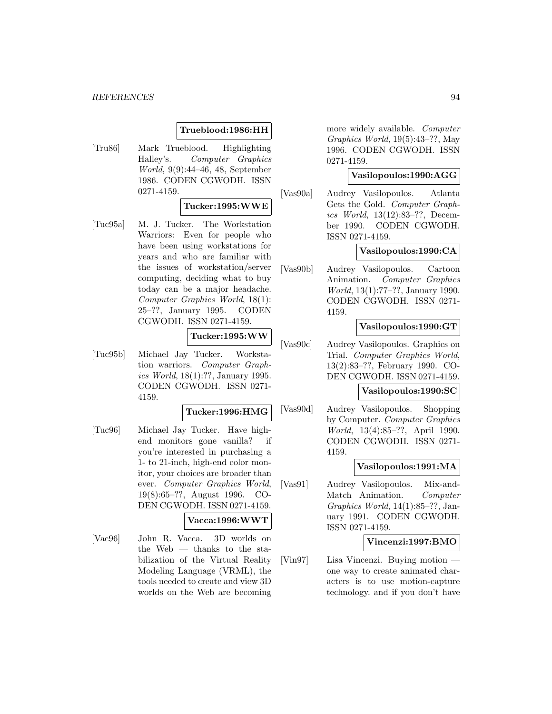#### **Trueblood:1986:HH**

[Tru86] Mark Trueblood. Highlighting Halley's. Computer Graphics World, 9(9):44–46, 48, September 1986. CODEN CGWODH. ISSN 0271-4159.

#### **Tucker:1995:WWE**

[Tuc95a] M. J. Tucker. The Workstation Warriors: Even for people who have been using workstations for years and who are familiar with the issues of workstation/server computing, deciding what to buy today can be a major headache. Computer Graphics World, 18(1): 25–??, January 1995. CODEN CGWODH. ISSN 0271-4159.

### **Tucker:1995:WW**

[Tuc95b] Michael Jay Tucker. Workstation warriors. Computer Graphics World, 18(1):??, January 1995. CODEN CGWODH. ISSN 0271- 4159.

### **Tucker:1996:HMG**

[Tuc96] Michael Jay Tucker. Have highend monitors gone vanilla? if you're interested in purchasing a 1- to 21-inch, high-end color monitor, your choices are broader than ever. Computer Graphics World, 19(8):65–??, August 1996. CO-DEN CGWODH. ISSN 0271-4159.

## **Vacca:1996:WWT**

[Vac96] John R. Vacca. 3D worlds on the Web — thanks to the stabilization of the Virtual Reality Modeling Language (VRML), the tools needed to create and view 3D worlds on the Web are becoming more widely available. Computer Graphics World, 19(5):43–??, May 1996. CODEN CGWODH. ISSN 0271-4159.

#### **Vasilopoulos:1990:AGG**

[Vas90a] Audrey Vasilopoulos. Atlanta Gets the Gold. Computer Graphics World, 13(12):83–??, December 1990. CODEN CGWODH. ISSN 0271-4159.

#### **Vasilopoulos:1990:CA**

[Vas90b] Audrey Vasilopoulos. Cartoon Animation. Computer Graphics World, 13(1):77–??, January 1990. CODEN CGWODH. ISSN 0271- 4159.

### **Vasilopoulos:1990:GT**

[Vas90c] Audrey Vasilopoulos. Graphics on Trial. Computer Graphics World, 13(2):83–??, February 1990. CO-DEN CGWODH. ISSN 0271-4159.

#### **Vasilopoulos:1990:SC**

[Vas90d] Audrey Vasilopoulos. Shopping by Computer. Computer Graphics World, 13(4):85–??, April 1990. CODEN CGWODH. ISSN 0271- 4159.

#### **Vasilopoulos:1991:MA**

[Vas91] Audrey Vasilopoulos. Mix-and-Match Animation. Computer Graphics World, 14(1):85–??, January 1991. CODEN CGWODH. ISSN 0271-4159.

#### **Vincenzi:1997:BMO**

[Vin97] Lisa Vincenzi. Buying motion one way to create animated characters is to use motion-capture technology. and if you don't have